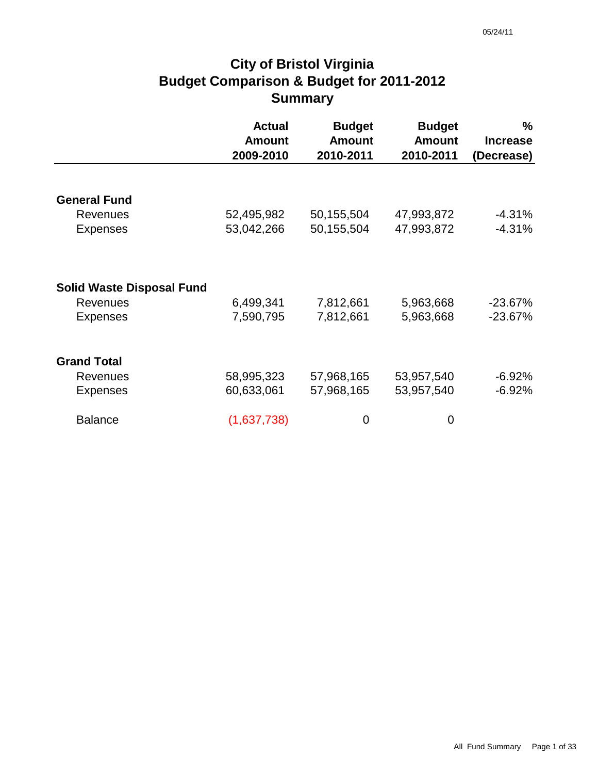# **City of Bristol Virginia Budget Comparison & Budget for 2011-2012 Summary**

|                                  | <b>Actual</b><br><b>Amount</b><br>2009-2010 | <b>Budget</b><br><b>Amount</b><br>2010-2011 | <b>Budget</b><br><b>Amount</b><br>2010-2011 | $\%$<br><b>Increase</b><br>(Decrease) |
|----------------------------------|---------------------------------------------|---------------------------------------------|---------------------------------------------|---------------------------------------|
|                                  |                                             |                                             |                                             |                                       |
| <b>General Fund</b>              |                                             |                                             |                                             |                                       |
| Revenues                         | 52,495,982                                  | 50,155,504                                  | 47,993,872                                  | $-4.31%$                              |
| <b>Expenses</b>                  | 53,042,266                                  | 50,155,504                                  | 47,993,872                                  | $-4.31%$                              |
|                                  |                                             |                                             |                                             |                                       |
| <b>Solid Waste Disposal Fund</b> |                                             |                                             |                                             |                                       |
| <b>Revenues</b>                  | 6,499,341                                   | 7,812,661                                   | 5,963,668                                   | $-23.67%$                             |
| <b>Expenses</b>                  | 7,590,795                                   | 7,812,661                                   | 5,963,668                                   | $-23.67%$                             |
| <b>Grand Total</b>               |                                             |                                             |                                             |                                       |
| Revenues                         | 58,995,323                                  | 57,968,165                                  | 53,957,540                                  | $-6.92\%$                             |
| <b>Expenses</b>                  | 60,633,061                                  | 57,968,165                                  | 53,957,540                                  | $-6.92%$                              |
| <b>Balance</b>                   | (1,637,738)                                 | 0                                           | 0                                           |                                       |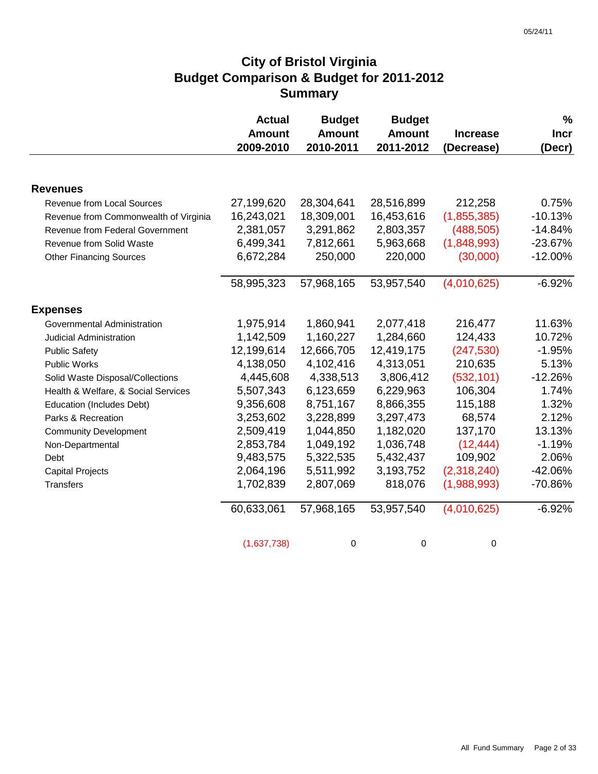# **City of Bristol Virginia Budget Comparison & Budget for 2011-2012 Summary**

|                                       | <b>Actual</b> | <b>Budget</b> | <b>Budget</b> |                 | $\frac{0}{0}$ |
|---------------------------------------|---------------|---------------|---------------|-----------------|---------------|
|                                       | <b>Amount</b> | <b>Amount</b> | <b>Amount</b> | <b>Increase</b> | <b>Incr</b>   |
|                                       | 2009-2010     | 2010-2011     | 2011-2012     | (Decrease)      | (Decr)        |
|                                       |               |               |               |                 |               |
| <b>Revenues</b>                       |               |               |               |                 |               |
| Revenue from Local Sources            | 27,199,620    | 28,304,641    | 28,516,899    | 212,258         | 0.75%         |
| Revenue from Commonwealth of Virginia | 16,243,021    | 18,309,001    | 16,453,616    | (1,855,385)     | $-10.13%$     |
| Revenue from Federal Government       | 2,381,057     | 3,291,862     | 2,803,357     | (488, 505)      | $-14.84%$     |
| Revenue from Solid Waste              | 6,499,341     | 7,812,661     | 5,963,668     | (1,848,993)     | $-23.67%$     |
| <b>Other Financing Sources</b>        | 6,672,284     | 250,000       | 220,000       | (30,000)        | $-12.00%$     |
|                                       | 58,995,323    | 57,968,165    | 53,957,540    | (4,010,625)     | $-6.92%$      |
| <b>Expenses</b>                       |               |               |               |                 |               |
| Governmental Administration           | 1,975,914     | 1,860,941     | 2,077,418     | 216,477         | 11.63%        |
| Judicial Administration               | 1,142,509     | 1,160,227     | 1,284,660     | 124,433         | 10.72%        |
| <b>Public Safety</b>                  | 12,199,614    | 12,666,705    | 12,419,175    | (247, 530)      | $-1.95%$      |
| Public Works                          | 4,138,050     | 4,102,416     | 4,313,051     | 210,635         | 5.13%         |
| Solid Waste Disposal/Collections      | 4,445,608     | 4,338,513     | 3,806,412     | (532, 101)      | $-12.26%$     |
| Health & Welfare, & Social Services   | 5,507,343     | 6,123,659     | 6,229,963     | 106,304         | 1.74%         |
| Education (Includes Debt)             | 9,356,608     | 8,751,167     | 8,866,355     | 115,188         | 1.32%         |
| Parks & Recreation                    | 3,253,602     | 3,228,899     | 3,297,473     | 68,574          | 2.12%         |
| <b>Community Development</b>          | 2,509,419     | 1,044,850     | 1,182,020     | 137,170         | 13.13%        |
| Non-Departmental                      | 2,853,784     | 1,049,192     | 1,036,748     | (12, 444)       | $-1.19%$      |
| Debt                                  | 9,483,575     | 5,322,535     | 5,432,437     | 109,902         | 2.06%         |
| <b>Capital Projects</b>               | 2,064,196     | 5,511,992     | 3,193,752     | (2,318,240)     | $-42.06%$     |
| Transfers                             | 1,702,839     | 2,807,069     | 818,076       | (1,988,993)     | -70.86%       |
|                                       | 60,633,061    | 57,968,165    | 53,957,540    | (4,010,625)     | $-6.92%$      |
|                                       | (1,637,738)   | 0             | 0             | 0               |               |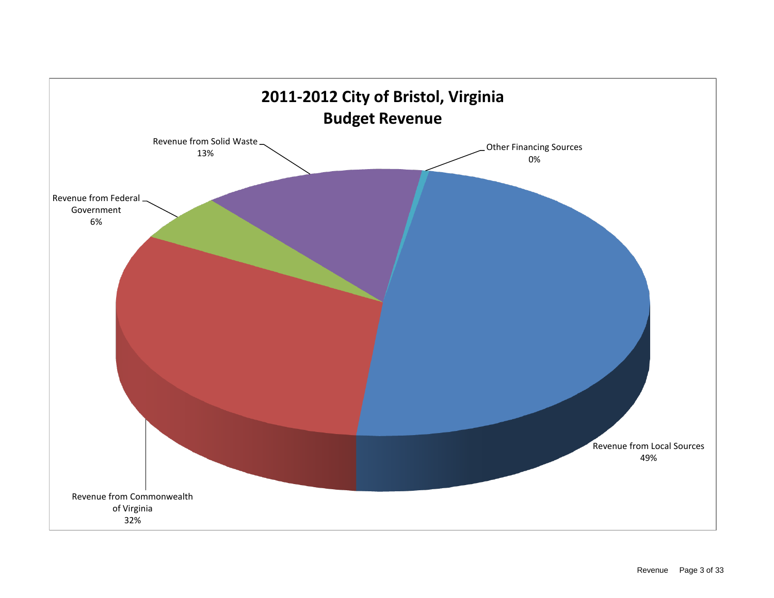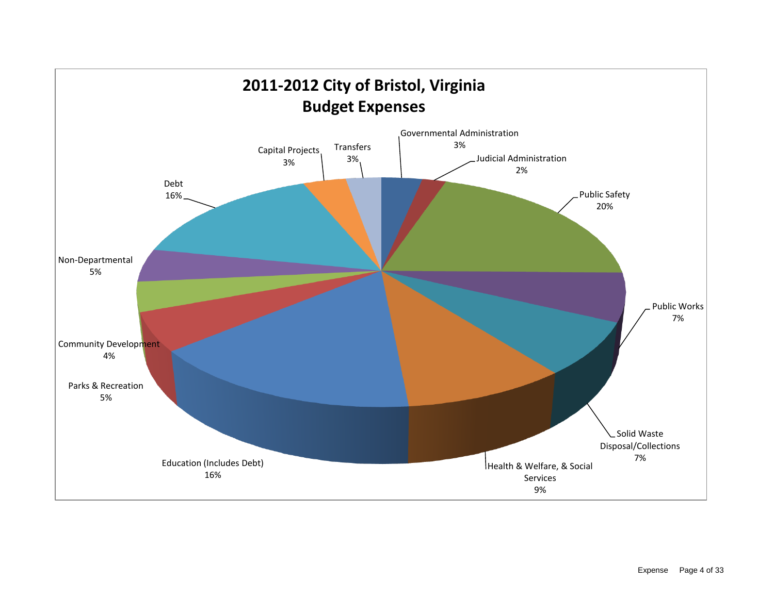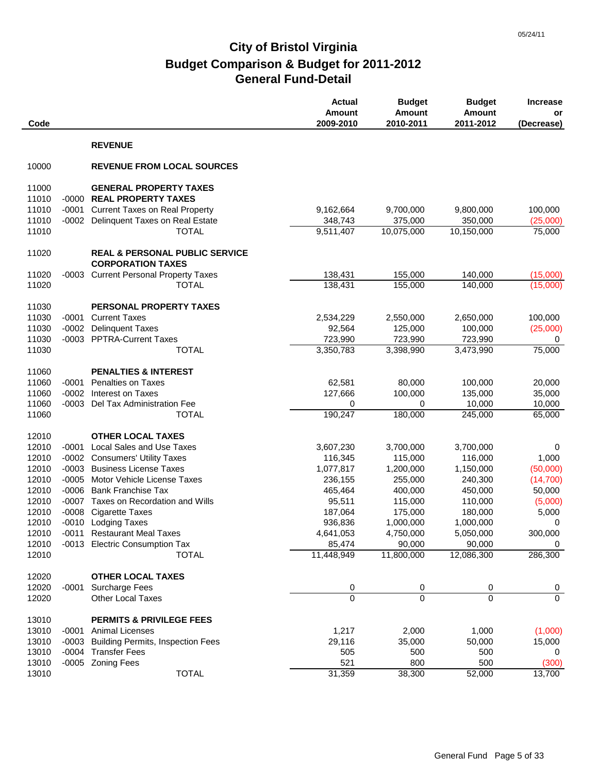| Code           |         |                                                                       | <b>Actual</b><br><b>Amount</b><br>2009-2010 | <b>Budget</b><br><b>Amount</b><br>2010-2011 | <b>Budget</b><br><b>Amount</b><br>2011-2012 | <b>Increase</b><br>or<br>(Decrease) |
|----------------|---------|-----------------------------------------------------------------------|---------------------------------------------|---------------------------------------------|---------------------------------------------|-------------------------------------|
|                |         | <b>REVENUE</b>                                                        |                                             |                                             |                                             |                                     |
| 10000          |         | <b>REVENUE FROM LOCAL SOURCES</b>                                     |                                             |                                             |                                             |                                     |
| 11000          |         | <b>GENERAL PROPERTY TAXES</b>                                         |                                             |                                             |                                             |                                     |
| 11010          |         | -0000 REAL PROPERTY TAXES                                             |                                             |                                             |                                             |                                     |
| 11010          | $-0001$ | <b>Current Taxes on Real Property</b>                                 | 9,162,664                                   | 9,700,000                                   | 9,800,000                                   | 100,000                             |
| 11010          |         | -0002 Delinquent Taxes on Real Estate                                 | 348,743                                     | 375,000                                     | 350,000                                     | (25,000)                            |
| 11010          |         | <b>TOTAL</b>                                                          | 9,511,407                                   | 10,075,000                                  | 10,150,000                                  | 75,000                              |
| 11020          |         | <b>REAL &amp; PERSONAL PUBLIC SERVICE</b><br><b>CORPORATION TAXES</b> |                                             |                                             |                                             |                                     |
| 11020          | -0003   | <b>Current Personal Property Taxes</b>                                | 138,431                                     | 155,000                                     | 140,000                                     | (15,000)                            |
| 11020          |         | <b>TOTAL</b>                                                          | 138,431                                     | 155,000                                     | 140,000                                     | (15,000)                            |
|                |         |                                                                       |                                             |                                             |                                             |                                     |
| 11030          |         | PERSONAL PROPERTY TAXES                                               |                                             |                                             |                                             |                                     |
| 11030          | $-0001$ | <b>Current Taxes</b>                                                  | 2,534,229                                   | 2,550,000                                   | 2,650,000                                   | 100,000                             |
| 11030<br>11030 | $-0002$ | <b>Delinquent Taxes</b><br>-0003 PPTRA-Current Taxes                  | 92,564<br>723,990                           | 125,000                                     | 100,000                                     | (25,000)                            |
| 11030          |         | <b>TOTAL</b>                                                          | 3,350,783                                   | 723,990<br>3,398,990                        | 723,990<br>3,473,990                        | 0<br>75,000                         |
|                |         |                                                                       |                                             |                                             |                                             |                                     |
| 11060          |         | <b>PENALTIES &amp; INTEREST</b>                                       |                                             |                                             |                                             |                                     |
| 11060          | $-0001$ | Penalties on Taxes                                                    | 62,581                                      | 80,000                                      | 100,000                                     | 20,000                              |
| 11060          | $-0002$ | Interest on Taxes                                                     | 127,666                                     | 100,000                                     | 135,000                                     | 35,000                              |
| 11060          | -0003   | Del Tax Administration Fee                                            | 0                                           | 0                                           | 10,000                                      | 10,000                              |
| 11060          |         | <b>TOTAL</b>                                                          | 190,247                                     | 180,000                                     | 245,000                                     | 65,000                              |
| 12010          |         | <b>OTHER LOCAL TAXES</b>                                              |                                             |                                             |                                             |                                     |
| 12010          | $-0001$ | <b>Local Sales and Use Taxes</b>                                      | 3,607,230                                   | 3,700,000                                   | 3,700,000                                   | 0                                   |
| 12010          |         | -0002 Consumers' Utility Taxes                                        | 116,345                                     | 115,000                                     | 116,000                                     | 1,000                               |
| 12010          | -0003   | <b>Business License Taxes</b>                                         | 1,077,817                                   | 1,200,000                                   | 1,150,000                                   | (50,000)                            |
| 12010          | $-0005$ | Motor Vehicle License Taxes                                           | 236,155                                     | 255,000                                     | 240,300                                     | (14, 700)                           |
| 12010          | $-0006$ | <b>Bank Franchise Tax</b>                                             | 465,464                                     | 400,000                                     | 450,000                                     | 50,000                              |
| 12010          |         | -0007 Taxes on Recordation and Wills                                  | 95,511                                      | 115,000                                     | 110,000                                     | (5,000)                             |
| 12010          | $-0008$ | <b>Cigarette Taxes</b>                                                | 187,064                                     | 175,000                                     | 180,000                                     | 5,000                               |
| 12010          |         | -0010 Lodging Taxes                                                   | 936,836                                     | 1,000,000                                   | 1,000,000                                   | 0                                   |
| 12010          |         | -0011 Restaurant Meal Taxes                                           | 4,641,053                                   | 4,750,000                                   | 5,050,000                                   | 300,000                             |
| 12010          |         | -0013 Electric Consumption Tax                                        | 85,474                                      | 90,000                                      | 90,000                                      | 0                                   |
| 12010          |         | <b>TOTAL</b>                                                          | 11,448,949                                  | 11,800,000                                  | 12,086,300                                  | 286,300                             |
| 12020          |         | <b>OTHER LOCAL TAXES</b>                                              |                                             |                                             |                                             |                                     |
| 12020          | -0001   | <b>Surcharge Fees</b>                                                 | 0                                           | 0                                           | 0                                           | $\mathbf{0}$                        |
| 12020          |         | <b>Other Local Taxes</b>                                              | $\mathbf 0$                                 | $\overline{0}$                              | $\Omega$                                    | $\mathbf 0$                         |
|                |         |                                                                       |                                             |                                             |                                             |                                     |
| 13010<br>13010 |         | <b>PERMITS &amp; PRIVILEGE FEES</b><br>-0001 Animal Licenses          | 1,217                                       | 2,000                                       | 1,000                                       | (1,000)                             |
| 13010          |         | -0003 Building Permits, Inspection Fees                               | 29,116                                      | 35,000                                      | 50,000                                      | 15,000                              |
| 13010          |         | -0004 Transfer Fees                                                   | 505                                         | 500                                         | 500                                         | 0                                   |
| 13010          |         | -0005 Zoning Fees                                                     | 521                                         | 800                                         | 500                                         | (300)                               |
| 13010          |         | <b>TOTAL</b>                                                          | 31,359                                      | 38,300                                      | 52,000                                      | 13,700                              |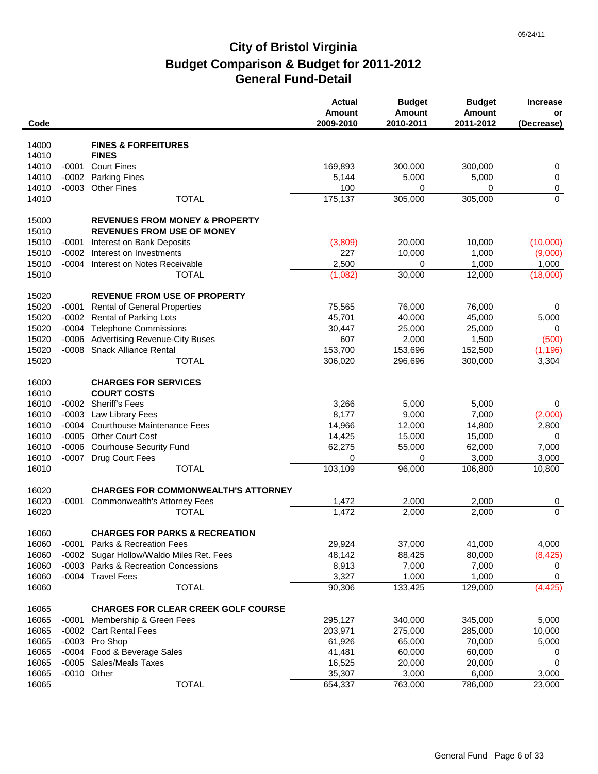| Code           |         |                                            | <b>Actual</b><br>Amount<br>2009-2010 | <b>Budget</b><br><b>Amount</b><br>2010-2011 | <b>Budget</b><br><b>Amount</b><br>2011-2012 | <b>Increase</b><br>or<br>(Decrease) |
|----------------|---------|--------------------------------------------|--------------------------------------|---------------------------------------------|---------------------------------------------|-------------------------------------|
| 14000          |         | <b>FINES &amp; FORFEITURES</b>             |                                      |                                             |                                             |                                     |
| 14010          |         | <b>FINES</b>                               |                                      |                                             |                                             |                                     |
| 14010          | $-0001$ | <b>Court Fines</b>                         | 169,893                              | 300,000                                     | 300,000                                     |                                     |
|                |         |                                            |                                      |                                             |                                             | 0                                   |
| 14010<br>14010 | $-0002$ | <b>Parking Fines</b>                       | 5,144                                | 5,000                                       | 5,000                                       | $\pmb{0}$                           |
|                | $-0003$ | <b>Other Fines</b><br><b>TOTAL</b>         | 100<br>175,137                       | 0<br>305,000                                | 0<br>305,000                                | 0<br>$\mathbf 0$                    |
| 14010          |         |                                            |                                      |                                             |                                             |                                     |
| 15000          |         | <b>REVENUES FROM MONEY &amp; PROPERTY</b>  |                                      |                                             |                                             |                                     |
| 15010          |         | <b>REVENUES FROM USE OF MONEY</b>          |                                      |                                             |                                             |                                     |
| 15010          | $-0001$ | Interest on Bank Deposits                  | (3,809)                              | 20,000                                      | 10,000                                      | (10,000)                            |
| 15010          | $-0002$ | Interest on Investments                    | 227                                  | 10,000                                      | 1,000                                       | (9,000)                             |
| 15010          |         | -0004 Interest on Notes Receivable         | 2,500                                | 0                                           | 1,000                                       | 1,000                               |
| 15010          |         | <b>TOTAL</b>                               |                                      | 30,000                                      |                                             |                                     |
|                |         |                                            | (1,082)                              |                                             | 12,000                                      | (18,000)                            |
| 15020          |         | <b>REVENUE FROM USE OF PROPERTY</b>        |                                      |                                             |                                             |                                     |
| 15020          | $-0001$ | <b>Rental of General Properties</b>        | 75,565                               | 76,000                                      | 76,000                                      | 0                                   |
| 15020          |         | -0002 Rental of Parking Lots               | 45,701                               | 40,000                                      | 45,000                                      | 5,000                               |
| 15020          |         | -0004 Telephone Commissions                | 30,447                               | 25,000                                      | 25,000                                      | $\mathbf 0$                         |
| 15020          | $-0006$ | <b>Advertising Revenue-City Buses</b>      | 607                                  | 2,000                                       | 1,500                                       | (500)                               |
| 15020          |         | -0008 Snack Alliance Rental                | 153,700                              | 153,696                                     | 152,500                                     | (1, 196)                            |
| 15020          |         | <b>TOTAL</b>                               | 306,020                              | 296,696                                     | 300,000                                     | 3,304                               |
|                |         |                                            |                                      |                                             |                                             |                                     |
| 16000          |         | <b>CHARGES FOR SERVICES</b>                |                                      |                                             |                                             |                                     |
| 16010          |         | <b>COURT COSTS</b>                         |                                      |                                             |                                             |                                     |
| 16010          |         | -0002 Sheriff's Fees                       | 3,266                                | 5,000                                       | 5,000                                       | 0                                   |
| 16010          |         | -0003 Law Library Fees                     | 8,177                                | 9,000                                       | 7,000                                       | (2,000)                             |
| 16010          | -0004   | <b>Courthouse Maintenance Fees</b>         | 14,966                               | 12,000                                      | 14,800                                      | 2,800                               |
| 16010          | $-0005$ | <b>Other Court Cost</b>                    | 14,425                               | 15,000                                      | 15,000                                      | 0                                   |
| 16010          | $-0006$ | <b>Courhouse Security Fund</b>             | 62,275                               | 55,000                                      | 62,000                                      | 7,000                               |
| 16010          | $-0007$ | Drug Court Fees                            | 0                                    | 0                                           | 3,000                                       | 3,000                               |
| 16010          |         | <b>TOTAL</b>                               | 103,109                              | 96,000                                      | 106,800                                     | 10,800                              |
|                |         |                                            |                                      |                                             |                                             |                                     |
| 16020          |         | <b>CHARGES FOR COMMONWEALTH'S ATTORNEY</b> |                                      |                                             |                                             |                                     |
| 16020          | $-0001$ | <b>Commonwealth's Attorney Fees</b>        | 1,472                                | 2,000                                       | 2,000                                       | 0                                   |
| 16020          |         | TOTAL                                      | 1,472                                | 2,000                                       | 2,000                                       | $\Omega$                            |
|                |         |                                            |                                      |                                             |                                             |                                     |
| 16060          |         | <b>CHARGES FOR PARKS &amp; RECREATION</b>  |                                      |                                             |                                             |                                     |
| 16060          |         | -0001 Parks & Recreation Fees              | 29,924                               | 37,000                                      | 41,000                                      | 4,000                               |
| 16060          |         | -0002 Sugar Hollow/Waldo Miles Ret. Fees   | 48,142                               | 88,425                                      | 80,000                                      | (8, 425)                            |
| 16060          |         | -0003 Parks & Recreation Concessions       | 8,913                                | 7,000                                       | 7,000                                       | 0                                   |
| 16060          |         | -0004 Travel Fees                          | 3,327                                | 1,000                                       | 1,000                                       | 0                                   |
| 16060          |         | <b>TOTAL</b>                               | 90,306                               | 133,425                                     | 129,000                                     | (4, 425)                            |
|                |         |                                            |                                      |                                             |                                             |                                     |
| 16065          |         | <b>CHARGES FOR CLEAR CREEK GOLF COURSE</b> |                                      |                                             |                                             |                                     |
| 16065          | -0001   | Membership & Green Fees                    | 295,127                              | 340,000                                     | 345,000                                     | 5,000                               |
| 16065          | $-0002$ | <b>Cart Rental Fees</b>                    | 203,971                              | 275,000                                     | 285,000                                     | 10,000                              |
| 16065          |         | -0003 Pro Shop                             | 61,926                               | 65,000                                      | 70,000                                      | 5,000                               |
| 16065          |         | -0004 Food & Beverage Sales                | 41,481                               | 60,000                                      | 60,000                                      | 0                                   |
| 16065          |         | -0005 Sales/Meals Taxes                    | 16,525                               | 20,000                                      | 20,000                                      | 0                                   |
| 16065          |         | -0010 Other                                | 35,307                               | 3,000                                       | 6,000                                       | 3,000                               |
| 16065          |         | <b>TOTAL</b>                               | 654,337                              | 763,000                                     | 786,000                                     | 23,000                              |
|                |         |                                            |                                      |                                             |                                             |                                     |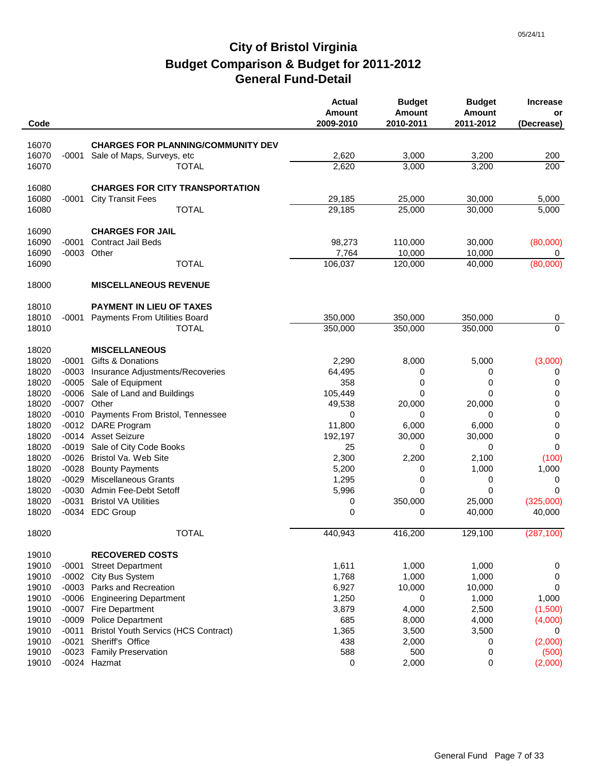| Code  |         |                                             | <b>Actual</b><br><b>Amount</b><br>2009-2010 | <b>Budget</b><br><b>Amount</b><br>2010-2011 | <b>Budget</b><br><b>Amount</b><br>2011-2012 | <b>Increase</b><br>or<br>(Decrease) |
|-------|---------|---------------------------------------------|---------------------------------------------|---------------------------------------------|---------------------------------------------|-------------------------------------|
|       |         |                                             |                                             |                                             |                                             |                                     |
| 16070 |         | <b>CHARGES FOR PLANNING/COMMUNITY DEV</b>   |                                             |                                             |                                             |                                     |
| 16070 | $-0001$ | Sale of Maps, Surveys, etc                  | 2,620                                       | 3,000                                       | 3,200                                       | 200                                 |
| 16070 |         | <b>TOTAL</b>                                | 2,620                                       | 3,000                                       | 3,200                                       | 200                                 |
| 16080 |         | <b>CHARGES FOR CITY TRANSPORTATION</b>      |                                             |                                             |                                             |                                     |
| 16080 | $-0001$ | <b>City Transit Fees</b>                    | 29,185                                      | 25,000                                      | 30,000                                      | 5,000                               |
| 16080 |         | <b>TOTAL</b>                                | 29,185                                      | 25,000                                      | 30,000                                      | 5,000                               |
| 16090 |         | <b>CHARGES FOR JAIL</b>                     |                                             |                                             |                                             |                                     |
| 16090 | $-0001$ | <b>Contract Jail Beds</b>                   | 98,273                                      | 110,000                                     | 30,000                                      | (80,000)                            |
| 16090 | $-0003$ | Other                                       | 7,764                                       | 10,000                                      | 10,000                                      | 0                                   |
| 16090 |         | <b>TOTAL</b>                                | 106,037                                     | 120,000                                     | 40,000                                      | (80,000)                            |
| 18000 |         | <b>MISCELLANEOUS REVENUE</b>                |                                             |                                             |                                             |                                     |
| 18010 |         | PAYMENT IN LIEU OF TAXES                    |                                             |                                             |                                             |                                     |
| 18010 | -0001   | <b>Payments From Utilities Board</b>        | 350,000                                     | 350,000                                     | 350,000                                     | 0                                   |
| 18010 |         | <b>TOTAL</b>                                | 350,000                                     | 350,000                                     | 350,000                                     | $\mathbf 0$                         |
| 18020 |         | <b>MISCELLANEOUS</b>                        |                                             |                                             |                                             |                                     |
| 18020 | $-0001$ | Gifts & Donations                           | 2,290                                       | 8,000                                       | 5,000                                       | (3,000)                             |
| 18020 | $-0003$ | Insurance Adjustments/Recoveries            | 64,495                                      | 0                                           | 0                                           | 0                                   |
| 18020 | $-0005$ | Sale of Equipment                           | 358                                         | 0                                           | 0                                           | 0                                   |
| 18020 | $-0006$ | Sale of Land and Buildings                  | 105,449                                     | 0                                           | 0                                           | 0                                   |
| 18020 | $-0007$ | Other                                       | 49,538                                      | 20,000                                      | 20,000                                      | $\pmb{0}$                           |
| 18020 |         | -0010 Payments From Bristol, Tennessee      | 0                                           | 0                                           | 0                                           | $\pmb{0}$                           |
| 18020 | $-0012$ | DARE Program                                | 11,800                                      | 6,000                                       | 6,000                                       | $\pmb{0}$                           |
| 18020 |         | -0014 Asset Seizure                         | 192,197                                     | 30,000                                      | 30,000                                      | 0                                   |
| 18020 | $-0019$ | Sale of City Code Books                     | 25                                          | 0                                           | 0                                           | 0                                   |
| 18020 |         | -0026 Bristol Va. Web Site                  | 2,300                                       | 2,200                                       | 2,100                                       | (100)                               |
| 18020 | $-0028$ | <b>Bounty Payments</b>                      | 5,200                                       | 0                                           | 1,000                                       | 1,000                               |
| 18020 | $-0029$ | <b>Miscellaneous Grants</b>                 | 1,295                                       | 0                                           | 0                                           | 0                                   |
| 18020 |         | -0030 Admin Fee-Debt Setoff                 | 5,996                                       | 0                                           | 0                                           | $\Omega$                            |
| 18020 | $-0031$ | <b>Bristol VA Utilities</b>                 | 0                                           | 350,000                                     | 25,000                                      | (325,000)                           |
| 18020 |         | -0034 EDC Group                             | 0                                           | 0                                           | 40,000                                      | 40,000                              |
| 18020 |         | <b>TOTAL</b>                                | 440,943                                     | 416,200                                     | 129,100                                     | (287, 100)                          |
| 19010 |         | <b>RECOVERED COSTS</b>                      |                                             |                                             |                                             |                                     |
| 19010 | $-0001$ | <b>Street Department</b>                    | 1,611                                       | 1,000                                       | 1,000                                       | 0                                   |
| 19010 | $-0002$ | City Bus System                             | 1,768                                       | 1,000                                       | 1,000                                       | 0                                   |
| 19010 |         | -0003 Parks and Recreation                  | 6,927                                       | 10,000                                      | 10,000                                      | 0                                   |
| 19010 | $-0006$ | <b>Engineering Department</b>               | 1,250                                       | 0                                           | 1,000                                       | 1,000                               |
| 19010 | $-0007$ | <b>Fire Department</b>                      | 3,879                                       | 4,000                                       | 2,500                                       | (1,500)                             |
| 19010 | $-0009$ | <b>Police Department</b>                    | 685                                         | 8,000                                       | 4,000                                       | (4,000)                             |
| 19010 | $-0011$ | <b>Bristol Youth Servics (HCS Contract)</b> | 1,365                                       | 3,500                                       | 3,500                                       | 0                                   |
| 19010 | $-0021$ | Sheriff's Office                            | 438                                         | 2,000                                       | 0                                           | (2,000)                             |
| 19010 | $-0023$ | <b>Family Preservation</b>                  | 588                                         | 500                                         | 0                                           | (500)                               |
| 19010 |         | -0024 Hazmat                                | 0                                           | 2,000                                       | 0                                           | (2,000)                             |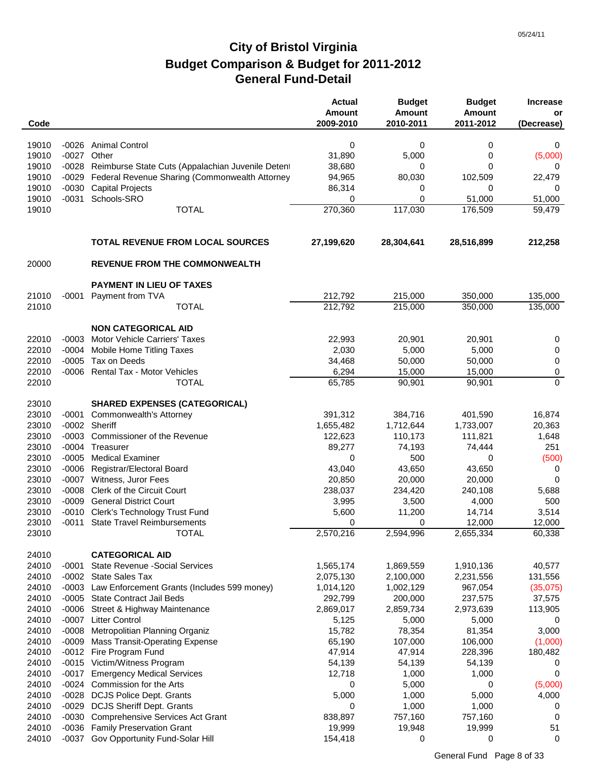| Code           |         |                                                                | <b>Actual</b><br><b>Amount</b><br>2009-2010 | <b>Budget</b><br><b>Amount</b><br>2010-2011 | <b>Budget</b><br><b>Amount</b><br>2011-2012 | <b>Increase</b><br>or<br>(Decrease) |
|----------------|---------|----------------------------------------------------------------|---------------------------------------------|---------------------------------------------|---------------------------------------------|-------------------------------------|
|                |         |                                                                |                                             |                                             |                                             |                                     |
| 19010          |         | -0026 Animal Control                                           | 0                                           | 0                                           | 0                                           | 0                                   |
| 19010          | $-0027$ | Other                                                          | 31,890                                      | 5,000                                       | 0                                           | (5,000)                             |
| 19010          |         | -0028 Reimburse State Cuts (Appalachian Juvenile Deten         | 38,680                                      | 0                                           | 0                                           | 0                                   |
| 19010          | -0029   | Federal Revenue Sharing (Commonwealth Attorney                 | 94,965                                      | 80,030                                      | 102,509                                     | 22,479                              |
| 19010          | $-0030$ | <b>Capital Projects</b>                                        | 86,314                                      | 0                                           | 0                                           | 0                                   |
| 19010          | $-0031$ | Schools-SRO                                                    | 0                                           | 0                                           | 51,000                                      | 51,000                              |
| 19010          |         | <b>TOTAL</b>                                                   | 270,360                                     | 117,030                                     | 176,509                                     | 59,479                              |
|                |         | <b>TOTAL REVENUE FROM LOCAL SOURCES</b>                        | 27,199,620                                  | 28,304,641                                  | 28,516,899                                  | 212,258                             |
| 20000          |         | <b>REVENUE FROM THE COMMONWEALTH</b>                           |                                             |                                             |                                             |                                     |
|                |         | PAYMENT IN LIEU OF TAXES                                       |                                             |                                             |                                             |                                     |
| 21010          |         | -0001 Payment from TVA                                         | 212,792                                     | 215,000                                     | 350,000                                     | 135,000                             |
| 21010          |         | <b>TOTAL</b>                                                   | 212,792                                     | 215,000                                     | 350,000                                     | 135,000                             |
|                |         | <b>NON CATEGORICAL AID</b>                                     |                                             |                                             |                                             |                                     |
| 22010          | $-0003$ | <b>Motor Vehicle Carriers' Taxes</b>                           | 22,993                                      | 20,901                                      | 20,901                                      | 0                                   |
| 22010          | $-0004$ | Mobile Home Titling Taxes                                      | 2,030                                       | 5,000                                       | 5,000                                       | 0                                   |
| 22010          | $-0005$ | Tax on Deeds                                                   | 34,468                                      | 50,000                                      | 50,000                                      | 0                                   |
| 22010          |         | -0006 Rental Tax - Motor Vehicles                              | 6,294                                       | 15,000                                      | 15,000                                      | $\pmb{0}$                           |
| 22010          |         | <b>TOTAL</b>                                                   | 65,785                                      | 90,901                                      | 90,901                                      | $\Omega$                            |
| 23010          |         | <b>SHARED EXPENSES (CATEGORICAL)</b>                           |                                             |                                             |                                             |                                     |
| 23010          | -0001   | Commonwealth's Attorney                                        | 391,312                                     | 384,716                                     | 401,590                                     | 16,874                              |
| 23010          |         | -0002 Sheriff                                                  | 1,655,482                                   | 1,712,644                                   | 1,733,007                                   | 20,363                              |
| 23010          |         | -0003 Commissioner of the Revenue                              | 122,623                                     | 110,173                                     | 111,821                                     | 1,648                               |
| 23010          | -0004   | Treasurer                                                      | 89,277                                      | 74,193                                      | 74,444                                      | 251                                 |
| 23010          | $-0005$ | <b>Medical Examiner</b>                                        | 0                                           | 500                                         | 0                                           | (500)                               |
| 23010          | $-0006$ | Registrar/Electoral Board                                      | 43,040                                      | 43,650                                      | 43,650                                      | 0                                   |
| 23010<br>23010 | $-0008$ | -0007 Witness, Juror Fees<br><b>Clerk of the Circuit Court</b> | 20,850<br>238,037                           | 20,000<br>234,420                           | 20,000<br>240,108                           | 0<br>5,688                          |
| 23010          | $-0009$ | <b>General District Court</b>                                  | 3,995                                       | 3,500                                       | 4,000                                       | 500                                 |
| 23010          | -0010   | Clerk's Technology Trust Fund                                  | 5,600                                       | 11,200                                      | 14,714                                      | 3,514                               |
| 23010          |         | -0011 State Travel Reimbursements                              | 0                                           | 0                                           | 12,000                                      | 12,000                              |
| 23010          |         | <b>TOTAL</b>                                                   | 2,570,216                                   | 2,594,996                                   | 2,655,334                                   | 60,338                              |
| 24010          |         | <b>CATEGORICAL AID</b>                                         |                                             |                                             |                                             |                                     |
| 24010          | $-0001$ | <b>State Revenue - Social Services</b>                         | 1,565,174                                   | 1,869,559                                   | 1,910,136                                   | 40,577                              |
| 24010          |         | -0002 State Sales Tax                                          | 2,075,130                                   | 2,100,000                                   | 2,231,556                                   | 131,556                             |
| 24010          | $-0003$ | Law Enforcement Grants (Includes 599 money)                    | 1,014,120                                   | 1,002,129                                   | 967,054                                     | (35,075)                            |
| 24010          | $-0005$ | <b>State Contract Jail Beds</b>                                | 292,799                                     | 200,000                                     | 237,575                                     | 37,575                              |
| 24010          | -0006   | Street & Highway Maintenance                                   | 2,869,017                                   | 2,859,734                                   | 2,973,639                                   | 113,905                             |
| 24010          | -0007   | <b>Litter Control</b>                                          | 5,125                                       | 5,000                                       | 5,000                                       | 0                                   |
| 24010          | $-0008$ | Metropolitian Planning Organiz                                 | 15,782                                      | 78,354                                      | 81,354                                      | 3,000                               |
| 24010          | $-0009$ | <b>Mass Transit-Operating Expense</b>                          | 65,190                                      | 107,000                                     | 106,000                                     | (1,000)                             |
| 24010          |         | -0012 Fire Program Fund                                        | 47,914                                      | 47,914                                      | 228,396                                     | 180,482                             |
| 24010          | $-0015$ | Victim/Witness Program                                         | 54,139                                      | 54,139                                      | 54,139                                      | 0                                   |
| 24010          | $-0017$ | <b>Emergency Medical Services</b>                              | 12,718                                      | 1,000                                       | 1,000                                       | 0                                   |
| 24010          | -0024   | Commission for the Arts                                        | 0                                           | 5,000                                       | 0                                           | (5,000)                             |
| 24010          |         | -0028 DCJS Police Dept. Grants                                 | 5,000                                       | 1,000                                       | 5,000                                       | 4,000                               |
| 24010          |         | -0029 DCJS Sheriff Dept. Grants                                | 0                                           | 1,000                                       | 1,000                                       | 0                                   |
| 24010          | -0030   | <b>Comprehensive Services Act Grant</b>                        | 838,897                                     | 757,160                                     | 757,160                                     | $\mathbf 0$                         |
| 24010          |         | -0036 Family Preservation Grant                                | 19,999                                      | 19,948                                      | 19,999                                      | 51                                  |
| 24010          | $-0037$ | Gov Opportunity Fund-Solar Hill                                | 154,418                                     | 0                                           | 0                                           | $\mathbf 0$                         |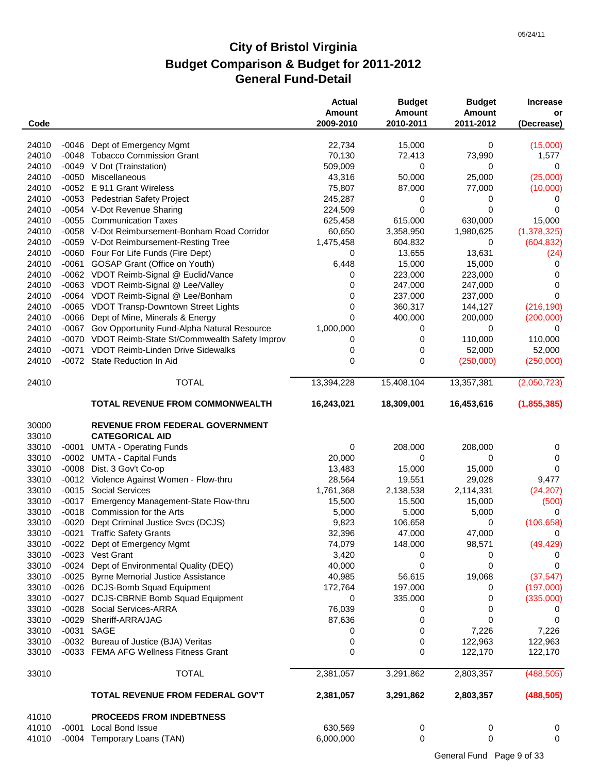| Code  |         |                                                    | <b>Actual</b><br><b>Amount</b><br>2009-2010 | <b>Budget</b><br><b>Amount</b><br>2010-2011 | <b>Budget</b><br><b>Amount</b><br>2011-2012 | <b>Increase</b><br>or<br>(Decrease) |
|-------|---------|----------------------------------------------------|---------------------------------------------|---------------------------------------------|---------------------------------------------|-------------------------------------|
| 24010 | -0046   | Dept of Emergency Mgmt                             | 22,734                                      | 15,000                                      | 0                                           | (15,000)                            |
| 24010 |         | -0048 Tobacco Commission Grant                     | 70,130                                      | 72,413                                      | 73,990                                      | 1,577                               |
| 24010 |         | -0049 V Dot (Trainstation)                         | 509,009                                     | 0                                           | 0                                           | 0                                   |
| 24010 |         | -0050 Miscellaneous                                | 43,316                                      | 50,000                                      | 25,000                                      | (25,000)                            |
| 24010 |         | -0052 E 911 Grant Wireless                         | 75,807                                      | 87,000                                      | 77,000                                      | (10,000)                            |
| 24010 |         | -0053 Pedestrian Safety Project                    | 245,287                                     | 0                                           | 0                                           | 0                                   |
| 24010 |         | -0054 V-Dot Revenue Sharing                        | 224,509                                     | 0                                           | 0                                           | 0                                   |
| 24010 | $-0055$ | <b>Communication Taxes</b>                         | 625,458                                     | 615,000                                     | 630,000                                     | 15,000                              |
| 24010 |         | -0058 V-Dot Reimbursement-Bonham Road Corridor     | 60,650                                      | 3,358,950                                   | 1,980,625                                   | (1,378,325)                         |
| 24010 |         | -0059 V-Dot Reimbursement-Resting Tree             | 1,475,458                                   | 604,832                                     | 0                                           | (604, 832)                          |
| 24010 |         | -0060 Four For Life Funds (Fire Dept)              | 0                                           | 13,655                                      | 13,631                                      | (24)                                |
| 24010 | $-0061$ | <b>GOSAP Grant (Office on Youth)</b>               | 6,448                                       | 15,000                                      | 15,000                                      | 0                                   |
| 24010 |         | -0062 VDOT Reimb-Signal @ Euclid/Vance             | 0                                           | 223,000                                     | 223,000                                     | 0                                   |
| 24010 |         | -0063 VDOT Reimb-Signal @ Lee/Valley               | 0                                           | 247,000                                     | 247,000                                     | 0                                   |
| 24010 |         | -0064 VDOT Reimb-Signal @ Lee/Bonham               | 0                                           | 237,000                                     | 237,000                                     | 0                                   |
| 24010 |         | -0065 VDOT Transp-Downtown Street Lights           | 0                                           | 360,317                                     | 144,127                                     | (216, 190)                          |
| 24010 |         | -0066 Dept of Mine, Minerals & Energy              | 0                                           | 400,000                                     | 200,000                                     | (200,000)                           |
| 24010 |         | -0067 Gov Opportunity Fund-Alpha Natural Resource  | 1,000,000                                   | 0                                           | 0                                           | 0                                   |
| 24010 |         | -0070 VDOT Reimb-State St/Commwealth Safety Improv | 0                                           | 0                                           | 110,000                                     | 110,000                             |
| 24010 |         | -0071 VDOT Reimb-Linden Drive Sidewalks            | 0                                           | 0                                           | 52,000                                      | 52,000                              |
| 24010 |         | -0072 State Reduction In Aid                       | 0                                           | 0                                           | (250,000)                                   | (250,000)                           |
| 24010 |         | <b>TOTAL</b>                                       | 13,394,228                                  | 15,408,104                                  | 13,357,381                                  | (2,050,723)                         |
|       |         | <b>TOTAL REVENUE FROM COMMONWEALTH</b>             | 16,243,021                                  | 18,309,001                                  | 16,453,616                                  | (1,855,385)                         |
| 30000 |         | <b>REVENUE FROM FEDERAL GOVERNMENT</b>             |                                             |                                             |                                             |                                     |
| 33010 |         | <b>CATEGORICAL AID</b>                             |                                             |                                             |                                             |                                     |
| 33010 | -0001   | <b>UMTA - Operating Funds</b>                      | 0                                           | 208,000                                     | 208,000                                     | 0                                   |
| 33010 | $-0002$ | <b>UMTA - Capital Funds</b>                        | 20,000                                      | 0                                           | 0                                           | 0                                   |
| 33010 | $-0008$ | Dist. 3 Gov't Co-op                                | 13,483                                      | 15,000                                      | 15,000                                      | 0                                   |
| 33010 |         | -0012 Violence Against Women - Flow-thru           | 28,564                                      | 19,551                                      | 29,028                                      | 9,477                               |
| 33010 |         | -0015 Social Services                              | 1,761,368                                   | 2,138,538                                   | 2,114,331                                   | (24, 207)                           |
| 33010 | $-0017$ | Emergency Management-State Flow-thru               | 15,500                                      | 15,500                                      | 15,000                                      | (500)                               |
| 33010 |         | -0018 Commission for the Arts                      | 5,000                                       | 5,000                                       | 5,000                                       | $\Omega$                            |
| 33010 |         | -0020 Dept Criminal Justice Svcs (DCJS)            | 9,823                                       | 106,658                                     | 0                                           | (106, 658)                          |
| 33010 |         | -0021 Traffic Safety Grants                        | 32,396                                      | 47,000                                      | 47,000                                      | $\Omega$                            |
| 33010 |         | -0022 Dept of Emergency Mgmt                       | 74,079                                      | 148,000                                     | 98,571                                      | (49, 429)                           |
| 33010 |         | -0023 Vest Grant                                   | 3,420                                       | 0                                           | 0                                           | 0                                   |
| 33010 |         | -0024 Dept of Environmental Quality (DEQ)          | 40,000                                      | 0                                           | 0                                           | 0                                   |
| 33010 |         | -0025 Byrne Memorial Justice Assistance            | 40,985                                      | 56,615                                      | 19,068                                      | (37, 547)                           |
| 33010 |         | -0026 DCJS-Bomb Squad Equipment                    | 172,764                                     | 197,000                                     | 0                                           | (197,000)                           |
| 33010 |         | -0027 DCJS-CBRNE Bomb Squad Equipment              | 0                                           | 335,000                                     | 0                                           | (335,000)                           |
| 33010 |         | -0028 Social Services-ARRA                         | 76,039                                      | 0                                           | 0                                           | 0                                   |
| 33010 |         | -0029 Sheriff-ARRA/JAG                             | 87,636                                      | 0                                           | 0                                           |                                     |
| 33010 |         | -0031 SAGE                                         | 0                                           | 0                                           | 7,226                                       | 7,226                               |
| 33010 |         | -0032 Bureau of Justice (BJA) Veritas              | 0                                           | 0                                           | 122,963                                     | 122,963                             |
| 33010 |         | -0033 FEMA AFG Wellness Fitness Grant              | 0                                           | 0                                           | 122,170                                     | 122,170                             |
| 33010 |         | <b>TOTAL</b>                                       | 2,381,057                                   | 3,291,862                                   | 2,803,357                                   | (488, 505)                          |
|       |         | TOTAL REVENUE FROM FEDERAL GOV'T                   | 2,381,057                                   | 3,291,862                                   | 2,803,357                                   | (488, 505)                          |
| 41010 |         | <b>PROCEEDS FROM INDEBTNESS</b>                    |                                             |                                             |                                             |                                     |
| 41010 |         | -0001 Local Bond Issue                             | 630,569                                     | 0                                           | 0                                           | 0                                   |
| 41010 |         | -0004 Temporary Loans (TAN)                        | 6,000,000                                   | 0                                           | 0                                           | $\mathbf 0$                         |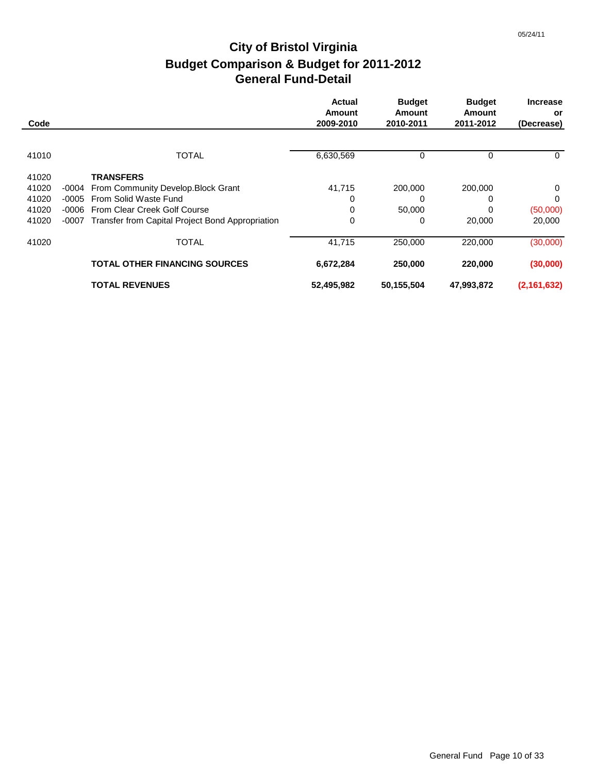|       |       |                                                  | <b>Actual</b>       | <b>Budget</b><br><b>Amount</b> | <b>Budget</b><br>Amount | <b>Increase</b>  |
|-------|-------|--------------------------------------------------|---------------------|--------------------------------|-------------------------|------------------|
| Code  |       |                                                  | Amount<br>2009-2010 | 2010-2011                      | 2011-2012               | or<br>(Decrease) |
|       |       |                                                  |                     |                                |                         |                  |
| 41010 |       | <b>TOTAL</b>                                     | 6,630,569           | 0                              | 0                       | $\mathbf{0}$     |
| 41020 |       | <b>TRANSFERS</b>                                 |                     |                                |                         |                  |
| 41020 | -0004 | From Community Develop. Block Grant              | 41,715              | 200,000                        | 200,000                 | 0                |
| 41020 | -0005 | From Solid Waste Fund                            | 0                   | 0                              | 0                       | $\mathbf 0$      |
| 41020 | -0006 | From Clear Creek Golf Course                     | 0                   | 50,000                         | 0                       | (50,000)         |
| 41020 | -0007 | Transfer from Capital Project Bond Appropriation | 0                   | 0                              | 20,000                  | 20,000           |
| 41020 |       | <b>TOTAL</b>                                     | 41,715              | 250,000                        | 220,000                 | (30,000)         |
|       |       | <b>TOTAL OTHER FINANCING SOURCES</b>             | 6,672,284           | 250,000                        | 220,000                 | (30,000)         |
|       |       | <b>TOTAL REVENUES</b>                            | 52,495,982          | 50,155,504                     | 47,993,872              | (2, 161, 632)    |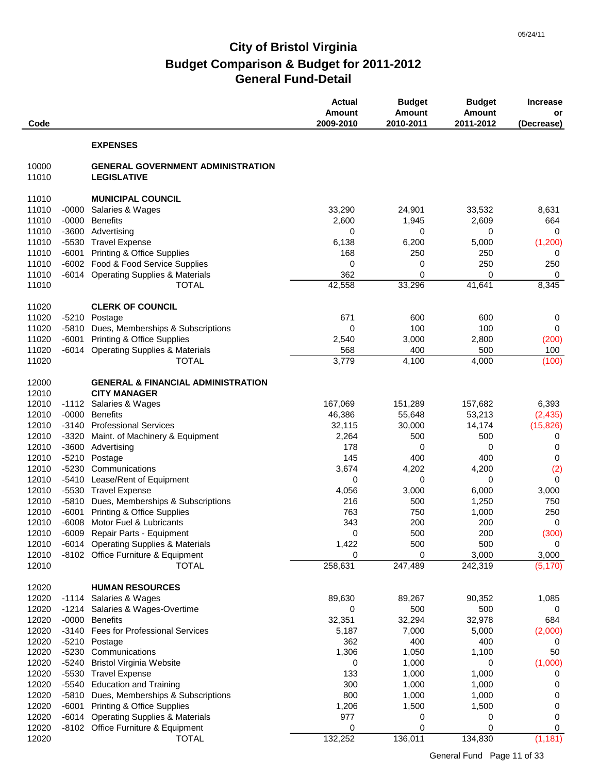| Code           |         |                                                                | <b>Actual</b><br>Amount<br>2009-2010 | <b>Budget</b><br><b>Amount</b><br>2010-2011 | <b>Budget</b><br><b>Amount</b><br>2011-2012 | <b>Increase</b><br>or<br>(Decrease) |
|----------------|---------|----------------------------------------------------------------|--------------------------------------|---------------------------------------------|---------------------------------------------|-------------------------------------|
|                |         | <b>EXPENSES</b>                                                |                                      |                                             |                                             |                                     |
| 10000<br>11010 |         | <b>GENERAL GOVERNMENT ADMINISTRATION</b><br><b>LEGISLATIVE</b> |                                      |                                             |                                             |                                     |
| 11010          |         | <b>MUNICIPAL COUNCIL</b>                                       |                                      |                                             |                                             |                                     |
| 11010          | $-0000$ | Salaries & Wages                                               | 33,290                               | 24,901                                      | 33,532                                      | 8,631                               |
| 11010          | $-0000$ | <b>Benefits</b>                                                | 2,600                                | 1,945                                       | 2,609                                       | 664                                 |
| 11010          | -3600   | Advertising                                                    | 0                                    | 0                                           | 0                                           | $\mathbf 0$                         |
| 11010          |         | -5530 Travel Expense                                           | 6,138                                | 6,200                                       | 5,000                                       | (1,200)                             |
| 11010          | -6001   | <b>Printing &amp; Office Supplies</b>                          | 168                                  | 250                                         | 250                                         | 0                                   |
| 11010          |         | -6002 Food & Food Service Supplies                             | 0                                    | 0                                           | 250                                         | 250                                 |
| 11010          | -6014   | <b>Operating Supplies &amp; Materials</b>                      | 362                                  | 0                                           | 0                                           | $\mathbf 0$                         |
| 11010          |         | <b>TOTAL</b>                                                   | 42,558                               | 33,296                                      | 41,641                                      | 8,345                               |
| 11020          |         | <b>CLERK OF COUNCIL</b>                                        |                                      |                                             |                                             |                                     |
| 11020          |         | -5210 Postage                                                  | 671                                  | 600                                         | 600                                         | 0                                   |
| 11020          | -5810   | Dues, Memberships & Subscriptions                              | 0                                    | 100                                         | 100                                         | 0                                   |
| 11020          | -6001   | <b>Printing &amp; Office Supplies</b>                          | 2,540                                | 3,000                                       | 2,800                                       | (200)                               |
| 11020          | $-6014$ | <b>Operating Supplies &amp; Materials</b>                      | 568                                  | 400                                         | 500                                         | 100                                 |
| 11020          |         | <b>TOTAL</b>                                                   | 3,779                                | 4,100                                       | 4,000                                       | (100)                               |
| 12000          |         | <b>GENERAL &amp; FINANCIAL ADMINISTRATION</b>                  |                                      |                                             |                                             |                                     |
| 12010          |         | <b>CITY MANAGER</b>                                            |                                      |                                             |                                             |                                     |
| 12010          |         | -1112 Salaries & Wages                                         | 167,069                              | 151,289                                     | 157,682                                     | 6,393                               |
| 12010          | -0000   | <b>Benefits</b>                                                | 46,386                               | 55,648                                      | 53,213                                      | (2, 435)                            |
| 12010          | -3140   | <b>Professional Services</b>                                   | 32,115                               | 30,000                                      | 14,174                                      | (15, 826)                           |
| 12010          | -3320   | Maint. of Machinery & Equipment                                | 2,264                                | 500                                         | 500                                         | 0                                   |
| 12010          | $-3600$ | Advertising                                                    | 178                                  | 0                                           | 0                                           | 0                                   |
| 12010          | $-5210$ | Postage                                                        | 145                                  | 400                                         | 400                                         | 0                                   |
| 12010          | -5230   | Communications                                                 | 3,674                                | 4,202                                       | 4,200                                       | (2)                                 |
| 12010          | $-5410$ | Lease/Rent of Equipment                                        | 0                                    | 0                                           | 0                                           | 0                                   |
| 12010          | -5530   | <b>Travel Expense</b>                                          | 4,056                                | 3,000                                       | 6,000                                       | 3,000                               |
| 12010          | $-5810$ | Dues, Memberships & Subscriptions                              | 216                                  | 500                                         | 1,250                                       | 750                                 |
| 12010          | $-6001$ | <b>Printing &amp; Office Supplies</b>                          | 763                                  | 750                                         | 1,000                                       | 250                                 |
| 12010          | $-6008$ | Motor Fuel & Lubricants                                        | 343                                  | 200                                         | 200                                         | $\mathbf 0$                         |
| 12010          |         | -6009 Repair Parts - Equipment                                 | $\Omega$                             | 500                                         | 200                                         | (300)                               |
| 12010          |         | -6014 Operating Supplies & Materials                           | 1,422                                | 500                                         | 500                                         | $\mathbf 0$<br>3,000                |
| 12010<br>12010 |         | -8102 Office Furniture & Equipment<br><b>TOTAL</b>             | 0<br>258,631                         | 0<br>247,489                                | 3,000<br>242,319                            | (5, 170)                            |
|                |         |                                                                |                                      |                                             |                                             |                                     |
| 12020          |         | <b>HUMAN RESOURCES</b>                                         |                                      |                                             |                                             |                                     |
| 12020          |         | -1114 Salaries & Wages                                         | 89,630                               | 89,267                                      | 90,352                                      | 1,085                               |
| 12020          |         | -1214 Salaries & Wages-Overtime                                | 0                                    | 500                                         | 500                                         | 0                                   |
| 12020          | -0000   | <b>Benefits</b>                                                | 32,351                               | 32,294                                      | 32,978                                      | 684                                 |
| 12020          |         | -3140 Fees for Professional Services                           | 5,187                                | 7,000                                       | 5,000                                       | (2,000)                             |
| 12020          |         | -5210 Postage                                                  | 362                                  | 400                                         | 400                                         | 0                                   |
| 12020          | -5230   | Communications                                                 | 1,306                                | 1,050                                       | 1,100                                       | 50                                  |
| 12020          | $-5240$ | <b>Bristol Virginia Website</b>                                | 0                                    | 1,000                                       | 0                                           | (1,000)                             |
| 12020          | $-5530$ | <b>Travel Expense</b>                                          | 133                                  | 1,000                                       | 1,000                                       | 0                                   |
| 12020          | -5540   | <b>Education and Training</b>                                  | 300                                  | 1,000                                       | 1,000                                       | 0                                   |
| 12020          |         | -5810 Dues, Memberships & Subscriptions                        | 800                                  | 1,000                                       | 1,000                                       | 0                                   |
| 12020          | -6001   | <b>Printing &amp; Office Supplies</b>                          | 1,206                                | 1,500                                       | 1,500                                       | 0                                   |
| 12020          |         | -6014 Operating Supplies & Materials                           | 977                                  | 0                                           | 0                                           | 0                                   |
| 12020          |         | -8102 Office Furniture & Equipment                             | 0                                    | 0                                           | $\mathbf 0$                                 | 0                                   |
| 12020          |         | <b>TOTAL</b>                                                   | 132,252                              | 136,011                                     | 134,830                                     | (1, 181)                            |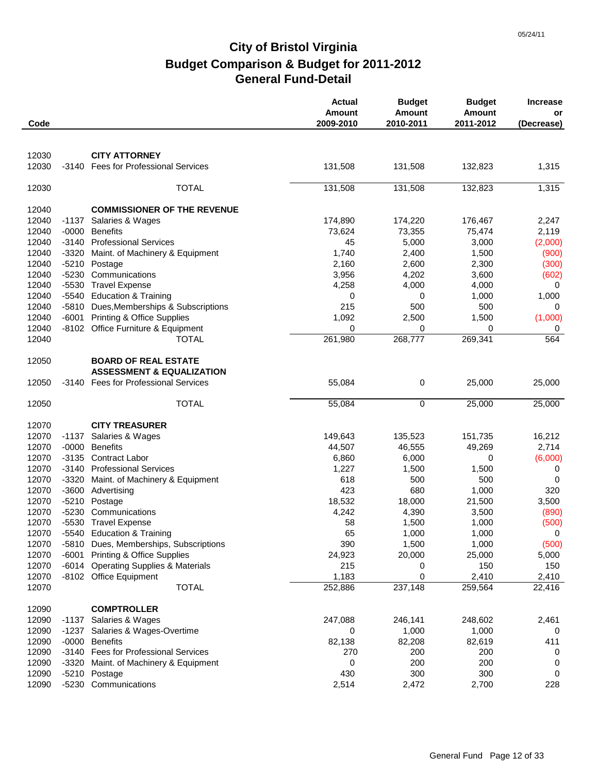| Code           |         |                                                                              | <b>Actual</b><br>Amount<br>2009-2010 | <b>Budget</b><br><b>Amount</b><br>2010-2011 | <b>Budget</b><br><b>Amount</b><br>2011-2012 | <b>Increase</b><br>or<br>(Decrease) |
|----------------|---------|------------------------------------------------------------------------------|--------------------------------------|---------------------------------------------|---------------------------------------------|-------------------------------------|
|                |         |                                                                              |                                      |                                             |                                             |                                     |
| 12030          |         | <b>CITY ATTORNEY</b>                                                         |                                      |                                             |                                             |                                     |
| 12030          | -3140   | <b>Fees for Professional Services</b>                                        | 131,508                              | 131,508                                     | 132,823                                     | 1,315                               |
| 12030          |         | <b>TOTAL</b>                                                                 | 131,508                              | 131,508                                     | 132,823                                     | 1,315                               |
| 12040          |         | <b>COMMISSIONER OF THE REVENUE</b>                                           |                                      |                                             |                                             |                                     |
| 12040          | -1137   | Salaries & Wages                                                             | 174,890                              | 174,220                                     | 176,467                                     | 2,247                               |
| 12040          | $-0000$ | <b>Benefits</b>                                                              | 73,624                               | 73,355                                      | 75,474                                      | 2,119                               |
| 12040          |         | -3140 Professional Services                                                  | 45                                   | 5,000                                       | 3,000                                       | (2,000)                             |
| 12040          | -3320   | Maint. of Machinery & Equipment                                              | 1,740                                | 2,400                                       | 1,500                                       | (900)                               |
| 12040          |         | -5210 Postage                                                                | 2,160                                | 2,600                                       | 2,300                                       | (300)                               |
| 12040          | $-5230$ | Communications                                                               | 3,956                                | 4,202                                       | 3,600                                       | (602)                               |
| 12040          |         | -5530 Travel Expense                                                         | 4,258                                | 4,000                                       | 4,000                                       | 0                                   |
| 12040          |         | -5540 Education & Training                                                   | 0                                    | 0                                           | 1,000                                       | 1,000                               |
| 12040          |         | -5810 Dues, Memberships & Subscriptions                                      | 215                                  | 500                                         | 500                                         | 0                                   |
| 12040          | $-6001$ | <b>Printing &amp; Office Supplies</b>                                        | 1,092                                | 2,500                                       | 1,500                                       | (1,000)                             |
| 12040          |         | -8102 Office Furniture & Equipment                                           | 0                                    | 0                                           | 0                                           | 0                                   |
| 12040          |         | <b>TOTAL</b>                                                                 | 261,980                              | 268,777                                     | 269,341                                     | 564                                 |
| 12050          |         | <b>BOARD OF REAL ESTATE</b>                                                  |                                      |                                             |                                             |                                     |
|                |         | <b>ASSESSMENT &amp; EQUALIZATION</b><br>-3140 Fees for Professional Services |                                      | 0                                           |                                             |                                     |
| 12050          |         |                                                                              | 55,084                               |                                             | 25,000                                      | 25,000                              |
| 12050          |         | <b>TOTAL</b>                                                                 | 55,084                               | $\mathbf 0$                                 | 25,000                                      | 25,000                              |
| 12070          |         | <b>CITY TREASURER</b>                                                        |                                      |                                             |                                             |                                     |
| 12070          | $-1137$ | Salaries & Wages                                                             | 149,643                              | 135,523                                     | 151,735                                     | 16,212                              |
| 12070          | $-0000$ | <b>Benefits</b>                                                              | 44,507                               | 46,555                                      | 49,269                                      | 2,714                               |
| 12070          |         | -3135 Contract Labor                                                         | 6,860                                | 6,000                                       | 0                                           | (6,000)                             |
| 12070          |         | -3140 Professional Services                                                  | 1,227                                | 1,500                                       | 1,500                                       | 0                                   |
| 12070          |         | -3320 Maint. of Machinery & Equipment                                        | 618                                  | 500                                         | 500                                         | 0                                   |
| 12070          |         | -3600 Advertising                                                            | 423                                  | 680                                         | 1,000                                       | 320                                 |
| 12070          |         | -5210 Postage                                                                | 18,532                               | 18,000                                      | 21,500                                      | 3,500                               |
| 12070          |         | -5230 Communications                                                         | 4,242                                | 4,390                                       | 3,500                                       | (890)                               |
| 12070<br>12070 |         | -5530 Travel Expense<br>-5540 Education & Training                           | 58<br>65                             | 1,500<br>1,000                              | 1,000<br>1,000                              | (500)<br>$\mathbf 0$                |
| 12070          |         | -5810 Dues, Memberships, Subscriptions                                       | 390                                  | 1,500                                       | 1,000                                       | (500)                               |
| 12070          | -6001   | <b>Printing &amp; Office Supplies</b>                                        | 24,923                               | 20,000                                      | 25,000                                      | 5,000                               |
| 12070          |         | -6014 Operating Supplies & Materials                                         | 215                                  | 0                                           | 150                                         | 150                                 |
| 12070          |         | -8102 Office Equipment                                                       | 1,183                                | 0                                           | 2,410                                       | 2,410                               |
| 12070          |         | <b>TOTAL</b>                                                                 | 252,886                              | 237,148                                     | 259,564                                     | $\overline{22,416}$                 |
| 12090          |         | <b>COMPTROLLER</b>                                                           |                                      |                                             |                                             |                                     |
| 12090          | -1137   | Salaries & Wages                                                             | 247,088                              | 246,141                                     | 248,602                                     | 2,461                               |
| 12090          | -1237   | Salaries & Wages-Overtime                                                    | 0                                    | 1,000                                       | 1,000                                       | 0                                   |
| 12090          |         | -0000 Benefits                                                               | 82,138                               | 82,208                                      | 82,619                                      | 411                                 |
| 12090          |         | -3140 Fees for Professional Services                                         | 270                                  | 200                                         | 200                                         | 0                                   |
| 12090          |         | -3320 Maint. of Machinery & Equipment                                        | 0                                    | 200                                         | 200                                         | 0                                   |
| 12090          |         | -5210 Postage                                                                | 430                                  | 300                                         | 300                                         | 0                                   |
| 12090          |         | -5230 Communications                                                         | 2,514                                | 2,472                                       | 2,700                                       | 228                                 |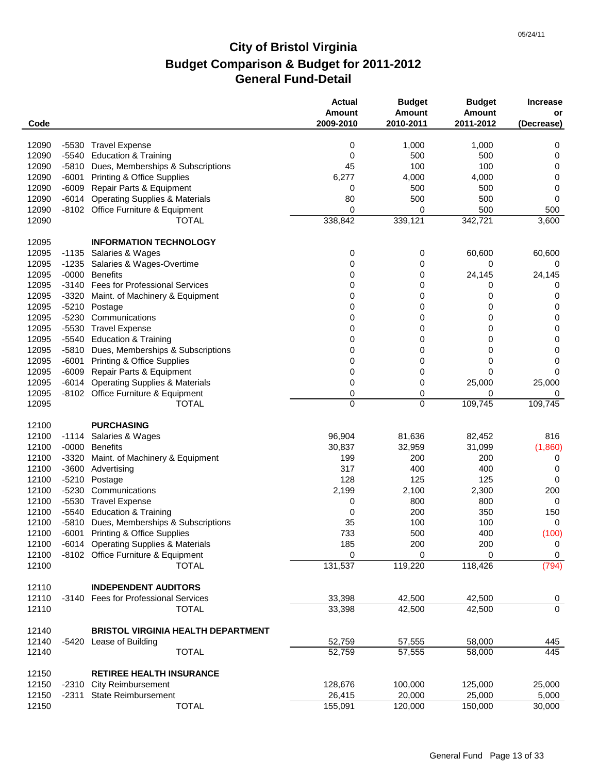| Code  |         |                                           | <b>Actual</b><br><b>Amount</b><br>2009-2010 | <b>Budget</b><br><b>Amount</b><br>2010-2011 | <b>Budget</b><br>Amount<br>2011-2012 | <b>Increase</b><br>or<br>(Decrease) |
|-------|---------|-------------------------------------------|---------------------------------------------|---------------------------------------------|--------------------------------------|-------------------------------------|
|       |         |                                           |                                             |                                             |                                      |                                     |
| 12090 |         | -5530 Travel Expense                      | 0                                           | 1,000                                       | 1,000                                | 0                                   |
| 12090 |         | -5540 Education & Training                | 0                                           | 500                                         | 500                                  | 0                                   |
| 12090 | $-5810$ | Dues, Memberships & Subscriptions         | 45                                          | 100                                         | 100                                  | 0                                   |
| 12090 | -6001   | <b>Printing &amp; Office Supplies</b>     | 6,277                                       | 4,000                                       | 4,000                                | 0                                   |
| 12090 |         | -6009 Repair Parts & Equipment            | 0                                           | 500                                         | 500                                  | 0                                   |
| 12090 | $-6014$ | <b>Operating Supplies &amp; Materials</b> | 80                                          | 500                                         | 500                                  | 0                                   |
| 12090 |         | -8102 Office Furniture & Equipment        | 0                                           | 0                                           | 500                                  | 500                                 |
| 12090 |         | TOTAL                                     | 338,842                                     | 339,121                                     | 342,721                              | 3,600                               |
| 12095 |         | <b>INFORMATION TECHNOLOGY</b>             |                                             |                                             |                                      |                                     |
| 12095 | $-1135$ | Salaries & Wages                          | 0                                           | 0                                           | 60,600                               | 60,600                              |
| 12095 | $-1235$ | Salaries & Wages-Overtime                 | 0                                           | 0                                           | 0                                    | 0                                   |
| 12095 | -0000   | <b>Benefits</b>                           | 0                                           | 0                                           | 24,145                               | 24,145                              |
| 12095 |         | -3140 Fees for Professional Services      | 0                                           | 0                                           | 0                                    | 0                                   |
| 12095 |         | -3320 Maint. of Machinery & Equipment     | 0                                           | 0                                           | 0                                    | 0                                   |
| 12095 | -5210   | Postage                                   | 0                                           | 0                                           | 0                                    | 0                                   |
| 12095 | -5230   | Communications                            | 0                                           | 0                                           | 0                                    | 0                                   |
| 12095 |         | -5530 Travel Expense                      | 0                                           | 0                                           | 0                                    | 0                                   |
| 12095 |         | -5540 Education & Training                | 0                                           | 0                                           | 0                                    | 0                                   |
| 12095 | $-5810$ | Dues, Memberships & Subscriptions         | 0                                           | 0                                           | 0                                    | 0                                   |
| 12095 | $-6001$ | <b>Printing &amp; Office Supplies</b>     | 0                                           | 0                                           | 0                                    | 0                                   |
| 12095 | $-6009$ | Repair Parts & Equipment                  | 0                                           | 0                                           | 0                                    | 0                                   |
| 12095 | $-6014$ | <b>Operating Supplies &amp; Materials</b> | 0                                           | 0                                           | 25,000                               | 25,000                              |
| 12095 |         | -8102 Office Furniture & Equipment        | 0                                           | 0                                           | 0                                    | 0                                   |
| 12095 |         | <b>TOTAL</b>                              | $\mathbf 0$                                 | 0                                           | 109,745                              | 109,745                             |
| 12100 |         | <b>PURCHASING</b>                         |                                             |                                             |                                      |                                     |
| 12100 | -1114   | Salaries & Wages                          | 96,904                                      | 81,636                                      | 82,452                               | 816                                 |
| 12100 |         | -0000 Benefits                            | 30,837                                      | 32,959                                      | 31,099                               | (1,860)                             |
| 12100 | -3320   | Maint. of Machinery & Equipment           | 199                                         | 200                                         | 200                                  | 0                                   |
| 12100 | $-3600$ | Advertising                               | 317                                         | 400                                         | 400                                  | 0                                   |
| 12100 | -5210   | Postage                                   | 128                                         | 125                                         | 125                                  | 0                                   |
| 12100 | -5230   | Communications                            | 2,199                                       | 2,100                                       | 2,300                                | 200                                 |
| 12100 | $-5530$ | <b>Travel Expense</b>                     | 0                                           | 800                                         | 800                                  | 0                                   |
| 12100 | -5540   | <b>Education &amp; Training</b>           | 0                                           | 200                                         | 350                                  | 150                                 |
| 12100 |         | -5810 Dues, Memberships & Subscriptions   | 35                                          | 100                                         | 100                                  | 0                                   |
| 12100 |         | -6001 Printing & Office Supplies          | 733                                         | 500                                         | 400                                  | (100)                               |
| 12100 |         | -6014 Operating Supplies & Materials      | 185                                         | 200                                         | 200                                  | 0                                   |
| 12100 |         | -8102 Office Furniture & Equipment        | 0                                           | 0                                           | 0                                    | $\mathbf 0$                         |
| 12100 |         | <b>TOTAL</b>                              | 131,537                                     | 119,220                                     | 118,426                              | (794)                               |
| 12110 |         | <b>INDEPENDENT AUDITORS</b>               |                                             |                                             |                                      |                                     |
|       |         |                                           |                                             |                                             |                                      |                                     |
| 12110 |         | -3140 Fees for Professional Services      | 33,398                                      | 42,500                                      | 42,500                               | $\overline{0}$<br>$\overline{0}$    |
| 12110 |         | <b>TOTAL</b>                              | 33,398                                      | 42,500                                      | 42,500                               |                                     |
| 12140 |         | <b>BRISTOL VIRGINIA HEALTH DEPARTMENT</b> |                                             |                                             |                                      |                                     |
| 12140 | -5420   | Lease of Building                         | 52,759                                      | 57,555                                      | 58,000                               | 445                                 |
| 12140 |         | <b>TOTAL</b>                              | 52,759                                      | 57,555                                      | 58,000                               | 445                                 |
| 12150 |         | <b>RETIREE HEALTH INSURANCE</b>           |                                             |                                             |                                      |                                     |
| 12150 | -2310   | <b>City Reimbursement</b>                 | 128,676                                     | 100,000                                     | 125,000                              | 25,000                              |
| 12150 | -2311   | <b>State Reimbursement</b>                | 26,415                                      | 20,000                                      | 25,000                               | 5,000                               |
| 12150 |         | <b>TOTAL</b>                              | 155,091                                     | 120,000                                     | 150,000                              | 30,000                              |
|       |         |                                           |                                             |                                             |                                      |                                     |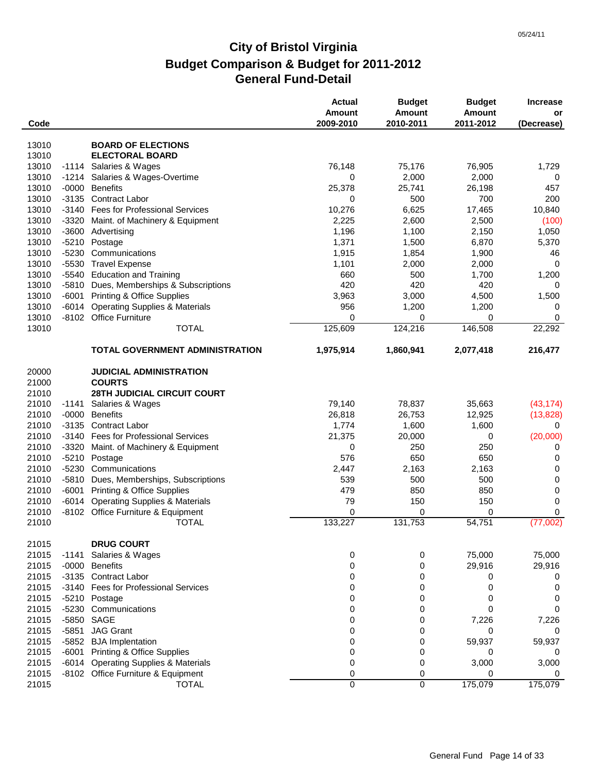| Code                    |         |                                                                                       | <b>Actual</b><br><b>Amount</b><br>2009-2010 | <b>Budget</b><br><b>Amount</b><br>2010-2011 | <b>Budget</b><br><b>Amount</b><br>2011-2012 | <b>Increase</b><br>or<br>(Decrease) |
|-------------------------|---------|---------------------------------------------------------------------------------------|---------------------------------------------|---------------------------------------------|---------------------------------------------|-------------------------------------|
|                         |         |                                                                                       |                                             |                                             |                                             |                                     |
| 13010                   |         | <b>BOARD OF ELECTIONS</b>                                                             |                                             |                                             |                                             |                                     |
| 13010                   |         | <b>ELECTORAL BOARD</b>                                                                |                                             |                                             |                                             |                                     |
| 13010                   |         | -1114 Salaries & Wages                                                                | 76,148                                      | 75,176                                      | 76,905                                      | 1,729                               |
| 13010                   |         | -1214 Salaries & Wages-Overtime                                                       | 0                                           | 2,000                                       | 2,000                                       | 0                                   |
| 13010                   | -0000   | <b>Benefits</b>                                                                       | 25,378                                      | 25,741                                      | 26,198                                      | 457                                 |
| 13010                   |         | -3135 Contract Labor                                                                  | 0                                           | 500                                         | 700                                         | 200                                 |
| 13010                   |         | -3140 Fees for Professional Services                                                  | 10,276                                      | 6,625                                       | 17,465                                      | 10,840                              |
| 13010                   | $-3320$ | Maint. of Machinery & Equipment                                                       | 2,225                                       | 2,600                                       | 2,500                                       | (100)                               |
| 13010                   | $-3600$ | Advertising                                                                           | 1,196                                       | 1,100                                       | 2,150                                       | 1,050                               |
| 13010                   | $-5210$ | Postage                                                                               | 1,371                                       | 1,500                                       | 6,870                                       | 5,370                               |
| 13010                   | $-5230$ | Communications                                                                        | 1,915                                       | 1,854                                       | 1,900                                       | 46                                  |
| 13010                   | $-5530$ | <b>Travel Expense</b>                                                                 | 1,101                                       | 2,000                                       | 2,000                                       | $\mathbf 0$                         |
| 13010                   |         | -5540 Education and Training                                                          | 660                                         | 500                                         | 1,700                                       | 1,200                               |
| 13010                   |         | -5810 Dues, Memberships & Subscriptions                                               | 420                                         | 420                                         | 420                                         | 0                                   |
| 13010                   |         | -6001 Printing & Office Supplies                                                      | 3,963                                       | 3,000                                       | 4,500                                       | 1,500                               |
| 13010                   |         | -6014 Operating Supplies & Materials                                                  | 956                                         | 1,200                                       | 1,200                                       | 0                                   |
| 13010                   |         | -8102 Office Furniture                                                                | 0                                           | 0                                           | 0                                           | $\mathbf 0$                         |
| 13010                   |         | <b>TOTAL</b>                                                                          | 125,609                                     | 124,216                                     | 146,508                                     | 22,292                              |
|                         |         | <b>TOTAL GOVERNMENT ADMINISTRATION</b>                                                | 1,975,914                                   | 1,860,941                                   | 2,077,418                                   | 216,477                             |
| 20000<br>21000<br>21010 |         | <b>JUDICIAL ADMINISTRATION</b><br><b>COURTS</b><br><b>28TH JUDICIAL CIRCUIT COURT</b> |                                             |                                             |                                             |                                     |
| 21010                   |         | -1141 Salaries & Wages                                                                | 79,140                                      | 78,837                                      | 35,663                                      | (43, 174)                           |
| 21010                   | $-0000$ | <b>Benefits</b>                                                                       | 26,818                                      | 26,753                                      | 12,925                                      | (13,828)                            |
| 21010                   | $-3135$ | Contract Labor                                                                        | 1,774                                       | 1,600                                       | 1,600                                       | 0                                   |
| 21010                   |         | -3140 Fees for Professional Services                                                  | 21,375                                      | 20,000                                      | 0                                           | (20,000)                            |
| 21010                   | $-3320$ |                                                                                       | 0                                           | 250                                         | 250                                         | 0                                   |
| 21010                   | $-5210$ | Maint. of Machinery & Equipment<br>Postage                                            | 576                                         | 650                                         | 650                                         | 0                                   |
| 21010                   | -5230   | Communications                                                                        |                                             |                                             |                                             | 0                                   |
| 21010                   |         | -5810 Dues, Memberships, Subscriptions                                                | 2,447<br>539                                | 2,163<br>500                                | 2,163<br>500                                | 0                                   |
| 21010                   |         |                                                                                       | 479                                         | 850                                         | 850                                         | 0                                   |
| 21010                   | $-6014$ | -6001 Printing & Office Supplies                                                      | 79                                          | 150                                         | 150                                         | 0                                   |
| 21010                   |         | <b>Operating Supplies &amp; Materials</b><br>-8102 Office Furniture & Equipment       | 0                                           | 0                                           | 0                                           | 0                                   |
|                         |         |                                                                                       |                                             |                                             |                                             |                                     |
| 21010                   |         | <b>TOTAL</b>                                                                          | 133,227                                     | 131,753                                     | 54,751                                      | (77,002)                            |
| 21015                   |         | <b>DRUG COURT</b>                                                                     |                                             |                                             |                                             |                                     |
| 21015                   | -1141   | Salaries & Wages                                                                      | 0                                           | 0                                           | 75,000                                      | 75,000                              |
| 21015                   |         | -0000 Benefits                                                                        | 0                                           | 0                                           | 29,916                                      | 29,916                              |
| 21015                   |         | -3135 Contract Labor                                                                  | 0                                           | 0                                           | 0                                           | 0                                   |
| 21015                   |         | -3140 Fees for Professional Services                                                  | 0                                           | 0                                           | 0                                           | 0                                   |
| 21015                   |         | -5210 Postage                                                                         | 0                                           | 0                                           | 0                                           | 0                                   |
| 21015                   | $-5230$ | Communications                                                                        | 0                                           | 0                                           | 0                                           | 0                                   |
| 21015                   | $-5850$ | SAGE                                                                                  | 0                                           | 0                                           | 7,226                                       | 7,226                               |
| 21015                   | $-5851$ | <b>JAG Grant</b>                                                                      | 0                                           | 0                                           | 0                                           | 0                                   |
| 21015                   |         | -5852 BJA Implentation                                                                | 0                                           | 0                                           | 59,937                                      | 59,937                              |
| 21015                   |         | -6001 Printing & Office Supplies                                                      | 0                                           | 0                                           | 0                                           | 0                                   |
| 21015                   |         | -6014 Operating Supplies & Materials                                                  | 0                                           | 0                                           | 3,000                                       | 3,000                               |
| 21015                   |         | -8102 Office Furniture & Equipment                                                    | 0                                           | 0                                           | 0                                           | 0                                   |
| 21015                   |         | <b>TOTAL</b>                                                                          | 0                                           | 0                                           | 175,079                                     | 175,079                             |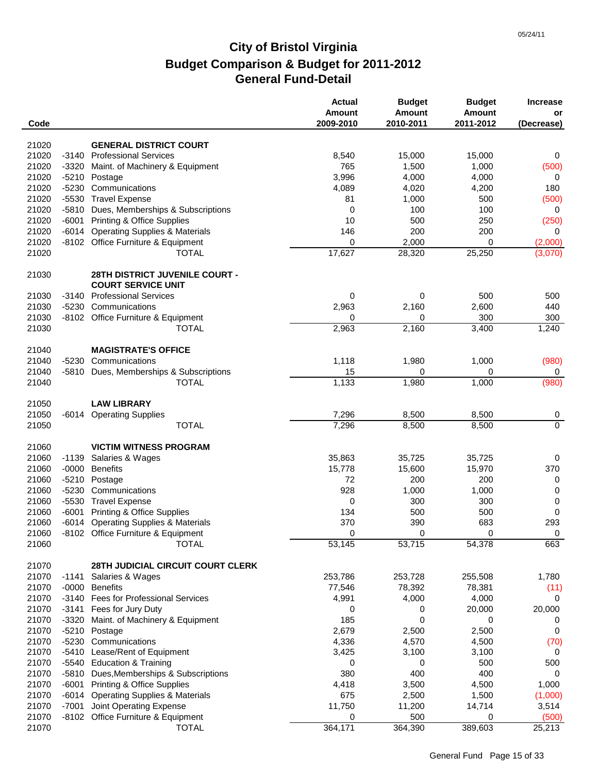| Code           |         |                                                          | <b>Actual</b><br><b>Amount</b><br>2009-2010 | <b>Budget</b><br>Amount<br>2010-2011 | <b>Budget</b><br><b>Amount</b><br>2011-2012 | <b>Increase</b><br>or<br>(Decrease) |
|----------------|---------|----------------------------------------------------------|---------------------------------------------|--------------------------------------|---------------------------------------------|-------------------------------------|
| 21020          |         | <b>GENERAL DISTRICT COURT</b>                            |                                             |                                      |                                             |                                     |
| 21020          |         | -3140 Professional Services                              | 8,540                                       | 15,000                               | 15,000                                      | 0                                   |
| 21020          |         | -3320 Maint. of Machinery & Equipment                    | 765                                         | 1,500                                | 1,000                                       | (500)                               |
| 21020          |         | -5210 Postage                                            | 3,996                                       | 4,000                                | 4,000                                       | 0                                   |
| 21020          | $-5230$ | Communications                                           | 4,089                                       | 4,020                                | 4,200                                       | 180                                 |
| 21020          |         | -5530 Travel Expense                                     | 81                                          | 1,000                                | 500                                         | (500)                               |
| 21020          |         | -5810 Dues, Memberships & Subscriptions                  | 0                                           | 100                                  | 100                                         | 0                                   |
| 21020          |         | -6001 Printing & Office Supplies                         | 10                                          | 500                                  | 250                                         | (250)                               |
| 21020          |         | -6014 Operating Supplies & Materials                     | 146                                         | 200                                  | 200                                         | 0                                   |
| 21020          |         | -8102 Office Furniture & Equipment                       | 0                                           | 2,000                                | 0                                           | (2,000)                             |
| 21020          |         | <b>TOTAL</b>                                             | 17,627                                      | 28,320                               | 25,250                                      | (3,070)                             |
| 21030          |         | <b>28TH DISTRICT JUVENILE COURT -</b>                    |                                             |                                      |                                             |                                     |
|                |         | <b>COURT SERVICE UNIT</b><br>-3140 Professional Services |                                             |                                      |                                             |                                     |
| 21030          |         |                                                          | 0                                           | 0                                    | 500                                         | 500                                 |
| 21030<br>21030 |         | -5230 Communications                                     | 2,963                                       | 2,160                                | 2,600                                       | 440                                 |
|                |         | -8102 Office Furniture & Equipment                       | 0                                           | 0                                    | 300                                         | 300                                 |
| 21030          |         | <b>TOTAL</b>                                             | 2,963                                       | 2,160                                | 3,400                                       | 1,240                               |
| 21040          |         | <b>MAGISTRATE'S OFFICE</b>                               |                                             |                                      |                                             |                                     |
| 21040          | $-5230$ | Communications                                           | 1,118                                       | 1,980                                | 1,000                                       | (980)                               |
| 21040          |         | -5810 Dues, Memberships & Subscriptions                  | 15                                          | 0                                    | 0                                           | 0                                   |
| 21040          |         | <b>TOTAL</b>                                             | 1,133                                       | 1,980                                | 1,000                                       | (980)                               |
| 21050          |         | <b>LAW LIBRARY</b>                                       |                                             |                                      |                                             |                                     |
| 21050          |         | -6014 Operating Supplies                                 | 7,296                                       | 8,500                                | 8,500                                       | 0                                   |
| 21050          |         | <b>TOTAL</b>                                             | 7,296                                       | 8,500                                | 8,500                                       | $\overline{0}$                      |
| 21060          |         | <b>VICTIM WITNESS PROGRAM</b>                            |                                             |                                      |                                             |                                     |
| 21060          |         | -1139 Salaries & Wages                                   | 35,863                                      | 35,725                               | 35,725                                      | 0                                   |
| 21060          |         | -0000 Benefits                                           | 15,778                                      | 15,600                               | 15,970                                      | 370                                 |
| 21060          |         | -5210 Postage                                            | 72                                          | 200                                  | 200                                         | 0                                   |
| 21060          | $-5230$ | Communications                                           | 928                                         | 1,000                                | 1,000                                       | 0                                   |
| 21060          | $-5530$ | <b>Travel Expense</b>                                    | 0                                           | 300                                  | 300                                         | $\pmb{0}$                           |
| 21060          |         | -6001 Printing & Office Supplies                         | 134                                         | 500                                  | 500                                         | 0                                   |
| 21060          |         | -6014 Operating Supplies & Materials                     | 370                                         | 390                                  | 683                                         | 293                                 |
| 21060          |         | -8102 Office Furniture & Equipment                       | $\Omega$                                    | $\Omega$                             | $\Omega$                                    | $\Omega$                            |
| 21060          |         | <b>TOTAL</b>                                             | 53,145                                      | 53,715                               | 54,378                                      | 663                                 |
| 21070          |         | 28TH JUDICIAL CIRCUIT COURT CLERK                        |                                             |                                      |                                             |                                     |
| 21070          | -1141   | Salaries & Wages                                         | 253,786                                     | 253,728                              | 255,508                                     | 1,780                               |
| 21070          |         | -0000 Benefits                                           | 77,546                                      | 78,392                               | 78,381                                      | (11)                                |
| 21070          |         | -3140 Fees for Professional Services                     | 4,991                                       | 4,000                                | 4,000                                       | 0                                   |
| 21070          |         | -3141 Fees for Jury Duty                                 | 0                                           | 0                                    | 20,000                                      | 20,000                              |
| 21070          |         | -3320 Maint. of Machinery & Equipment                    | 185                                         | 0                                    | 0                                           | 0                                   |
| 21070          |         | -5210 Postage                                            | 2,679                                       | 2,500                                | 2,500                                       | 0                                   |
| 21070          | $-5230$ | Communications                                           | 4,336                                       | 4,570                                | 4,500                                       | (70)                                |
| 21070          |         | -5410 Lease/Rent of Equipment                            | 3,425                                       | 3,100                                | 3,100                                       | 0                                   |
| 21070          |         | -5540 Education & Training                               | 0                                           | 0                                    | 500                                         | 500                                 |
| 21070          |         | -5810 Dues, Memberships & Subscriptions                  | 380                                         | 400                                  | 400                                         | 0                                   |
| 21070          |         | -6001 Printing & Office Supplies                         | 4,418                                       | 3,500                                | 4,500                                       | 1,000                               |
| 21070          |         | -6014 Operating Supplies & Materials                     | 675                                         | 2,500                                | 1,500                                       | (1,000)                             |
| 21070          | -7001   | Joint Operating Expense                                  | 11,750                                      | 11,200                               | 14,714                                      | 3,514                               |
| 21070          |         | -8102 Office Furniture & Equipment                       | 0                                           | 500                                  | 0                                           | (500)                               |
| 21070          |         | <b>TOTAL</b>                                             | 364,171                                     | 364,390                              | 389,603                                     | 25,213                              |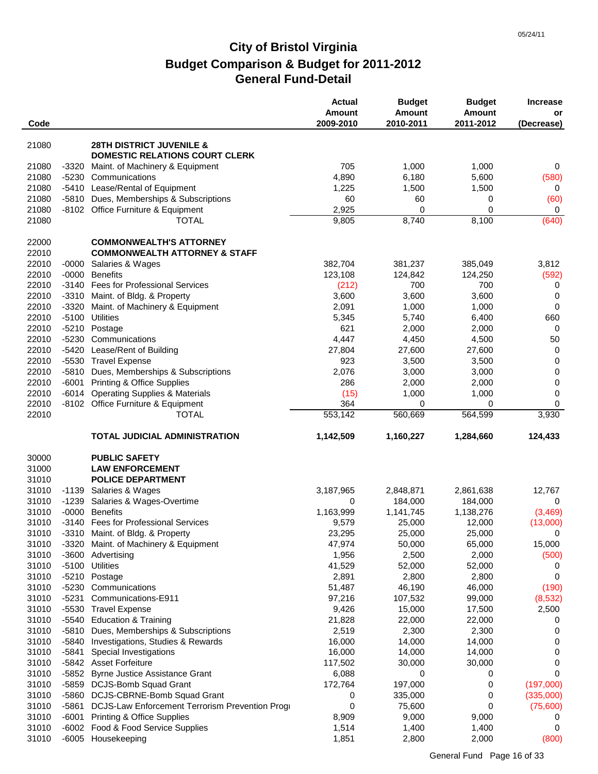| Code           |         |                                                                              | <b>Actual</b><br><b>Amount</b><br>2009-2010 | <b>Budget</b><br><b>Amount</b><br>2010-2011 | <b>Budget</b><br><b>Amount</b><br>2011-2012 | <b>Increase</b><br>or<br>(Decrease) |
|----------------|---------|------------------------------------------------------------------------------|---------------------------------------------|---------------------------------------------|---------------------------------------------|-------------------------------------|
|                |         |                                                                              |                                             |                                             |                                             |                                     |
| 21080          |         | <b>28TH DISTRICT JUVENILE &amp;</b><br><b>DOMESTIC RELATIONS COURT CLERK</b> |                                             |                                             |                                             |                                     |
| 21080          |         | -3320 Maint. of Machinery & Equipment                                        | 705                                         | 1,000                                       | 1,000                                       | 0                                   |
| 21080          |         | -5230 Communications                                                         | 4,890                                       | 6,180                                       | 5,600                                       | (580)                               |
| 21080          |         | -5410 Lease/Rental of Equipment                                              | 1,225                                       | 1,500                                       | 1,500                                       | 0                                   |
| 21080          |         | -5810 Dues, Memberships & Subscriptions                                      | 60                                          | 60                                          | 0                                           | (60)                                |
| 21080          |         | -8102 Office Furniture & Equipment                                           | 2,925                                       | 0                                           | $\Omega$                                    | 0                                   |
| 21080          |         | <b>TOTAL</b>                                                                 | 9,805                                       | 8,740                                       | 8,100                                       | (640)                               |
| 22000          |         | <b>COMMONWEALTH'S ATTORNEY</b>                                               |                                             |                                             |                                             |                                     |
| 22010          |         | <b>COMMONWEALTH ATTORNEY &amp; STAFF</b>                                     |                                             |                                             |                                             |                                     |
| 22010          | -0000   | Salaries & Wages                                                             | 382,704                                     | 381,237                                     | 385,049                                     | 3,812                               |
| 22010          |         | -0000 Benefits                                                               | 123,108                                     | 124,842                                     | 124,250                                     | (592)                               |
| 22010          |         | -3140 Fees for Professional Services                                         | (212)                                       | 700                                         | 700                                         | 0                                   |
| 22010          |         | -3310 Maint. of Bldg. & Property                                             | 3,600                                       | 3,600                                       | 3,600                                       | $\mathbf 0$                         |
| 22010          | -3320   | Maint. of Machinery & Equipment                                              | 2,091                                       | 1,000                                       | 1,000                                       | $\mathbf 0$                         |
| 22010          | $-5100$ | Utilities                                                                    | 5,345                                       | 5,740                                       | 6,400                                       | 660                                 |
| 22010          |         | -5210 Postage                                                                | 621                                         | 2,000                                       | 2,000                                       | $\mathbf 0$                         |
| 22010          |         | -5230 Communications                                                         | 4,447                                       | 4,450                                       | 4,500                                       | 50                                  |
| 22010          | $-5420$ | Lease/Rent of Building                                                       | 27,804                                      | 27,600                                      | 27,600                                      | $\mathbf 0$                         |
| 22010          |         | -5530 Travel Expense                                                         | 923                                         | 3,500                                       | 3,500                                       | $\mathbf 0$                         |
| 22010          |         | -5810 Dues, Memberships & Subscriptions                                      | 2,076                                       | 3,000                                       | 3,000                                       | 0                                   |
| 22010          |         | -6001 Printing & Office Supplies                                             | 286                                         | 2,000                                       | 2,000                                       | 0                                   |
| 22010<br>22010 |         | -6014 Operating Supplies & Materials                                         | (15)<br>364                                 | 1,000<br>0                                  | 1,000<br>$\Omega$                           | 0<br>0                              |
| 22010          |         | -8102 Office Furniture & Equipment<br>TOTAL                                  | 553,142                                     | 560,669                                     | 564,599                                     | 3,930                               |
|                |         |                                                                              |                                             |                                             |                                             |                                     |
|                |         | <b>TOTAL JUDICIAL ADMINISTRATION</b>                                         | 1,142,509                                   | 1,160,227                                   | 1,284,660                                   | 124,433                             |
| 30000          |         | <b>PUBLIC SAFETY</b>                                                         |                                             |                                             |                                             |                                     |
| 31000          |         | <b>LAW ENFORCEMENT</b>                                                       |                                             |                                             |                                             |                                     |
| 31010          |         | <b>POLICE DEPARTMENT</b>                                                     |                                             |                                             |                                             |                                     |
| 31010          |         | -1139 Salaries & Wages                                                       | 3,187,965                                   | 2,848,871                                   | 2,861,638                                   | 12,767                              |
| 31010          | -1239   | Salaries & Wages-Overtime                                                    | 0                                           | 184,000                                     | 184,000                                     | 0                                   |
| 31010          | $-0000$ | <b>Benefits</b>                                                              | 1,163,999                                   | 1,141,745                                   | 1,138,276                                   | (3, 469)                            |
| 31010          |         | -3140 Fees for Professional Services                                         | 9,579                                       | 25,000                                      | 12,000                                      | (13,000)                            |
| 31010          |         | -3310 Maint. of Bldg. & Property                                             | 23,295                                      | 25,000                                      | 25,000                                      | $\Omega$                            |
| 31010          |         | -3320 Maint. of Machinery & Equipment                                        | 47,974                                      | 50,000                                      | 65,000                                      | 15,000                              |
| 31010          |         | -3600 Advertising                                                            | 1,956                                       | 2,500                                       | 2,000                                       | (500)                               |
| 31010          | $-5100$ | Utilities                                                                    | 41,529                                      | 52,000                                      | 52,000                                      | 0                                   |
| 31010          | -5210   | Postage                                                                      | 2,891                                       | 2,800                                       | 2,800                                       | 0                                   |
| 31010          | $-5230$ | Communications                                                               | 51,487                                      | 46,190                                      | 46,000                                      | (190)                               |
| 31010<br>31010 | -5231   | Communications-E911<br>-5530 Travel Expense                                  | 97,216<br>9,426                             | 107,532<br>15,000                           | 99,000<br>17,500                            | (8,532)<br>2,500                    |
| 31010          |         | -5540 Education & Training                                                   | 21,828                                      | 22,000                                      | 22,000                                      | 0                                   |
| 31010          |         | -5810 Dues, Memberships & Subscriptions                                      | 2,519                                       | 2,300                                       | 2,300                                       | 0                                   |
| 31010          |         | -5840 Investigations, Studies & Rewards                                      | 16,000                                      | 14,000                                      | 14,000                                      | 0                                   |
| 31010          | -5841   | Special Investigations                                                       | 16,000                                      | 14,000                                      | 14,000                                      | 0                                   |
| 31010          |         | -5842 Asset Forfeiture                                                       | 117,502                                     | 30,000                                      | 30,000                                      | 0                                   |
| 31010          | -5852   | <b>Byrne Justice Assistance Grant</b>                                        | 6,088                                       | 0                                           | 0                                           | 0                                   |
| 31010          |         | -5859 DCJS-Bomb Squad Grant                                                  | 172,764                                     | 197,000                                     | 0                                           | (197,000)                           |
| 31010          |         | -5860 DCJS-CBRNE-Bomb Squad Grant                                            | 0                                           | 335,000                                     | 0                                           | (335,000)                           |
| 31010          |         | -5861 DCJS-Law Enforcement Terrorism Prevention Prog                         | 0                                           | 75,600                                      | 0                                           | (75,600)                            |
| 31010          |         | -6001 Printing & Office Supplies                                             | 8,909                                       | 9,000                                       | 9,000                                       | 0                                   |
| 31010          | -6002   | Food & Food Service Supplies                                                 | 1,514                                       | 1,400                                       | 1,400                                       | 0                                   |
| 31010          |         | -6005 Housekeeping                                                           | 1,851                                       | 2,800                                       | 2,000                                       | (800)                               |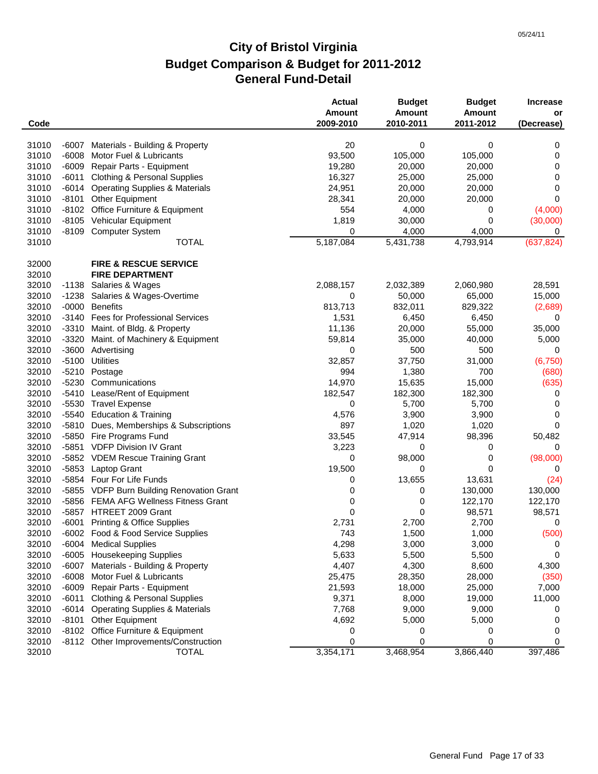|       |         |                                           | <b>Actual</b><br>Amount | <b>Budget</b><br><b>Amount</b> | <b>Budget</b><br><b>Amount</b> | <b>Increase</b><br>or |
|-------|---------|-------------------------------------------|-------------------------|--------------------------------|--------------------------------|-----------------------|
| Code  |         |                                           | 2009-2010               | 2010-2011                      | 2011-2012                      | (Decrease)            |
| 31010 | -6007   | Materials - Building & Property           | 20                      | 0                              | 0                              | 0                     |
| 31010 | $-6008$ | Motor Fuel & Lubricants                   | 93,500                  | 105,000                        | 105,000                        | 0                     |
| 31010 | $-6009$ | Repair Parts - Equipment                  | 19,280                  | 20,000                         | 20,000                         | 0                     |
| 31010 | $-6011$ | <b>Clothing &amp; Personal Supplies</b>   | 16,327                  | 25,000                         | 25,000                         | 0                     |
| 31010 | -6014   | <b>Operating Supplies &amp; Materials</b> | 24,951                  | 20,000                         | 20,000                         | 0                     |
| 31010 | -8101   | <b>Other Equipment</b>                    | 28,341                  | 20,000                         | 20,000                         | 0                     |
| 31010 |         | -8102 Office Furniture & Equipment        | 554                     | 4,000                          | 0                              | (4,000)               |
| 31010 |         | -8105 Vehicular Equipment                 | 1,819                   | 30,000                         | 0                              | (30,000)              |
| 31010 | $-8109$ | <b>Computer System</b>                    | 0                       | 4,000                          | 4,000                          | 0                     |
| 31010 |         | <b>TOTAL</b>                              | 5,187,084               | 5,431,738                      | 4,793,914                      | (637, 824)            |
| 32000 |         | <b>FIRE &amp; RESCUE SERVICE</b>          |                         |                                |                                |                       |
| 32010 |         | <b>FIRE DEPARTMENT</b>                    |                         |                                |                                |                       |
| 32010 | -1138   | Salaries & Wages                          | 2,088,157               | 2,032,389                      | 2,060,980                      | 28,591                |
| 32010 | -1238   | Salaries & Wages-Overtime                 | 0                       | 50,000                         | 65,000                         | 15,000                |
| 32010 | $-0000$ | <b>Benefits</b>                           | 813,713                 | 832,011                        | 829,322                        | (2,689)               |
| 32010 |         | -3140 Fees for Professional Services      | 1,531                   | 6,450                          | 6,450                          | 0                     |
| 32010 |         | -3310 Maint. of Bldg. & Property          | 11,136                  | 20,000                         | 55,000                         | 35,000                |
| 32010 | $-3320$ | Maint. of Machinery & Equipment           | 59,814                  | 35,000                         | 40,000                         | 5,000                 |
| 32010 | $-3600$ | Advertising                               | 0                       | 500                            | 500                            | 0                     |
| 32010 | $-5100$ | <b>Utilities</b>                          | 32,857                  | 37,750                         | 31,000                         | (6, 750)              |
| 32010 |         | -5210 Postage                             | 994                     | 1,380                          | 700                            | (680)                 |
| 32010 | $-5230$ | Communications                            | 14,970                  | 15,635                         | 15,000                         | (635)                 |
| 32010 | -5410   | Lease/Rent of Equipment                   | 182,547                 | 182,300                        | 182,300                        | 0                     |
| 32010 |         | -5530 Travel Expense                      | 0                       | 5,700                          | 5,700                          | 0                     |
| 32010 |         | -5540 Education & Training                | 4,576                   | 3,900                          | 3,900                          | 0                     |
| 32010 | -5810   | Dues, Memberships & Subscriptions         | 897                     | 1,020                          | 1,020                          | 0                     |
| 32010 |         | -5850 Fire Programs Fund                  | 33,545                  | 47,914                         | 98,396                         | 50,482                |
| 32010 |         | -5851 VDFP Division IV Grant              | 3,223                   | 0                              | 0                              | 0                     |
| 32010 |         | -5852 VDEM Rescue Training Grant          | 0                       | 98,000                         | 0                              | (98,000)              |
| 32010 |         | -5853 Laptop Grant                        | 19,500                  | 0                              | 0                              | 0                     |
| 32010 |         | -5854 Four For Life Funds                 | 0                       | 13,655                         | 13,631                         | (24)                  |
| 32010 |         | -5855 VDFP Burn Building Renovation Grant | 0                       | 0                              | 130,000                        | 130,000               |
| 32010 |         | -5856 FEMA AFG Wellness Fitness Grant     | 0                       | 0                              | 122,170                        | 122,170               |
| 32010 |         | -5857 HTREET 2009 Grant                   | $\mathbf 0$             | 0                              | 98,571                         | 98,571                |
| 32010 |         | -6001 Printing & Office Supplies          |                         |                                |                                |                       |
|       |         |                                           | 2,731                   | 2,700                          | 2,700                          | 0                     |
| 32010 |         | -6002 Food & Food Service Supplies        | 743                     | 1,500                          | 1,000                          | (500)                 |
| 32010 |         | -6004 Medical Supplies                    | 4,298                   | 3,000                          | 3,000                          | 0                     |
| 32010 |         | -6005 Housekeeping Supplies               | 5,633                   | 5,500                          | 5,500                          | 0                     |
| 32010 | -6007   | Materials - Building & Property           | 4,407                   | 4,300                          | 8,600                          | 4,300                 |
| 32010 | $-6008$ | Motor Fuel & Lubricants                   | 25,475                  | 28,350                         | 28,000                         | (350)                 |
| 32010 |         | -6009 Repair Parts - Equipment            | 21,593                  | 18,000                         | 25,000                         | 7,000                 |
| 32010 | -6011   | <b>Clothing &amp; Personal Supplies</b>   | 9,371                   | 8,000                          | 19,000                         | 11,000                |
| 32010 | -6014   | <b>Operating Supplies &amp; Materials</b> | 7,768                   | 9,000                          | 9,000                          | 0                     |
| 32010 | -8101   | <b>Other Equipment</b>                    | 4,692                   | 5,000                          | 5,000                          | 0                     |
| 32010 |         | -8102 Office Furniture & Equipment        | 0                       | 0                              | 0                              | 0                     |
| 32010 |         | -8112 Other Improvements/Construction     | 0                       | 0                              | 0                              | 0                     |
| 32010 |         | <b>TOTAL</b>                              | 3,354,171               | 3,468,954                      | 3,866,440                      | 397,486               |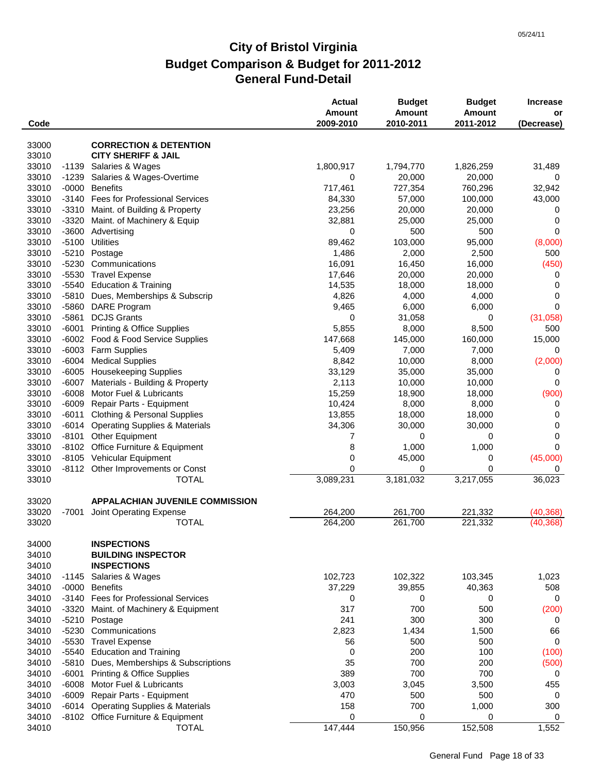| Code                    |                    |                                                                       | <b>Actual</b><br>Amount<br>2009-2010 | <b>Budget</b><br><b>Amount</b><br>2010-2011 | <b>Budget</b><br>Amount<br>2011-2012 | <b>Increase</b><br>or<br>(Decrease) |
|-------------------------|--------------------|-----------------------------------------------------------------------|--------------------------------------|---------------------------------------------|--------------------------------------|-------------------------------------|
|                         |                    |                                                                       |                                      |                                             |                                      |                                     |
| 33000                   |                    | <b>CORRECTION &amp; DETENTION</b>                                     |                                      |                                             |                                      |                                     |
| 33010                   |                    | <b>CITY SHERIFF &amp; JAIL</b>                                        |                                      |                                             |                                      |                                     |
| 33010                   |                    | -1139 Salaries & Wages                                                | 1,800,917                            | 1,794,770                                   | 1,826,259                            | 31,489                              |
| 33010                   | -1239              | Salaries & Wages-Overtime                                             | 0                                    | 20,000                                      | 20,000                               | 0                                   |
| 33010                   | $-0000$            | <b>Benefits</b>                                                       | 717,461                              | 727,354                                     | 760,296                              | 32,942                              |
| 33010                   |                    | -3140 Fees for Professional Services                                  | 84,330                               | 57,000                                      | 100,000                              | 43,000                              |
| 33010                   |                    | -3310 Maint. of Building & Property                                   | 23,256                               | 20,000                                      | 20,000                               | 0                                   |
| 33010                   | -3320              | Maint. of Machinery & Equip                                           | 32,881                               | 25,000                                      | 25,000                               | 0                                   |
| 33010                   | $-3600$            | Advertising                                                           | 0                                    | 500                                         | 500                                  | 0                                   |
| 33010                   | $-5100$            | <b>Utilities</b>                                                      | 89,462                               | 103,000                                     | 95,000                               | (8,000)                             |
| 33010                   | $-5210$<br>$-5230$ | Postage                                                               | 1,486                                | 2,000                                       | 2,500                                | 500                                 |
| 33010                   |                    | Communications                                                        | 16,091                               | 16,450                                      | 16,000                               | (450)                               |
| 33010<br>33010          | $-5530$            | <b>Travel Expense</b>                                                 | 17,646                               | 20,000                                      | 20,000                               | 0<br>0                              |
| 33010                   |                    | -5540 Education & Training<br>-5810 Dues, Memberships & Subscrip      | 14,535<br>4,826                      | 18,000<br>4,000                             | 18,000<br>4,000                      | 0                                   |
| 33010                   | -5860              | DARE Program                                                          | 9,465                                | 6,000                                       | 6,000                                | 0                                   |
| 33010                   |                    | -5861 DCJS Grants                                                     | 0                                    | 31,058                                      | 0                                    | (31,058)                            |
| 33010                   | -6001              | <b>Printing &amp; Office Supplies</b>                                 | 5,855                                |                                             |                                      | 500                                 |
| 33010                   |                    | -6002 Food & Food Service Supplies                                    | 147,668                              | 8,000<br>145,000                            | 8,500<br>160,000                     | 15,000                              |
| 33010                   |                    | -6003 Farm Supplies                                                   | 5,409                                | 7,000                                       | 7,000                                | 0                                   |
| 33010                   |                    | -6004 Medical Supplies                                                | 8,842                                | 10,000                                      | 8,000                                | (2,000)                             |
| 33010                   |                    | -6005 Housekeeping Supplies                                           | 33,129                               | 35,000                                      | 35,000                               | 0                                   |
| 33010                   |                    | -6007 Materials - Building & Property                                 | 2,113                                | 10,000                                      | 10,000                               | 0                                   |
| 33010                   | $-6008$            | Motor Fuel & Lubricants                                               | 15,259                               | 18,900                                      | 18,000                               | (900)                               |
| 33010                   | -6009              | Repair Parts - Equipment                                              | 10,424                               | 8,000                                       | 8,000                                | 0                                   |
| 33010                   |                    | -6011 Clothing & Personal Supplies                                    | 13,855                               | 18,000                                      | 18,000                               | 0                                   |
| 33010                   |                    | -6014 Operating Supplies & Materials                                  | 34,306                               | 30,000                                      | 30,000                               | 0                                   |
| 33010                   | -8101              | <b>Other Equipment</b>                                                | 7                                    | 0                                           | 0                                    | 0                                   |
| 33010                   |                    | -8102 Office Furniture & Equipment                                    | 8                                    | 1,000                                       | 1,000                                | 0                                   |
| 33010                   |                    | -8105 Vehicular Equipment                                             | 0                                    | 45,000                                      | 0                                    | (45,000)                            |
| 33010                   |                    | -8112 Other Improvements or Const                                     | 0                                    | 0                                           | $\mathbf 0$                          | 0                                   |
| 33010                   |                    | <b>TOTAL</b>                                                          | 3,089,231                            | 3,181,032                                   | 3,217,055                            | 36,023                              |
|                         |                    |                                                                       |                                      |                                             |                                      |                                     |
| 33020                   |                    | <b>APPALACHIAN JUVENILE COMMISSION</b>                                |                                      |                                             |                                      |                                     |
| 33020                   | -7001              | Joint Operating Expense                                               | 264,200                              | 261,700                                     | 221,332                              | (40, 368)                           |
| 33020                   |                    | <b>TOTAL</b>                                                          | 264,200                              | 261,700                                     | 221,332                              | (40, 368)                           |
| 34000<br>34010<br>34010 |                    | <b>INSPECTIONS</b><br><b>BUILDING INSPECTOR</b><br><b>INSPECTIONS</b> |                                      |                                             |                                      |                                     |
| 34010                   |                    | -1145 Salaries & Wages                                                | 102,723                              | 102,322                                     | 103,345                              | 1,023                               |
| 34010                   |                    | -0000 Benefits                                                        | 37,229                               | 39,855                                      | 40,363                               | 508                                 |
| 34010                   |                    | -3140 Fees for Professional Services                                  | 0                                    | 0                                           | 0                                    | $\mathbf 0$                         |
| 34010                   | $-3320$            | Maint. of Machinery & Equipment                                       | 317                                  | 700                                         | 500                                  | (200)                               |
| 34010                   |                    | -5210 Postage                                                         | 241                                  | 300                                         | 300                                  | 0                                   |
| 34010                   | $-5230$            | Communications                                                        | 2,823                                | 1,434                                       | 1,500                                | 66                                  |
| 34010                   | $-5530$            | <b>Travel Expense</b>                                                 | 56                                   | 500                                         | 500                                  | $\mathbf 0$                         |
| 34010                   |                    | -5540 Education and Training                                          | 0                                    | 200                                         | 100                                  | (100)                               |
| 34010                   |                    | -5810 Dues, Memberships & Subscriptions                               | 35                                   | 700                                         | 200                                  | (500)                               |
| 34010                   | -6001              | <b>Printing &amp; Office Supplies</b>                                 | 389                                  | 700                                         | 700                                  | 0                                   |
| 34010                   | $-6008$            | Motor Fuel & Lubricants                                               | 3,003                                | 3,045                                       | 3,500                                | 455                                 |
| 34010                   | $-6009$            | Repair Parts - Equipment                                              | 470                                  | 500                                         | 500                                  | 0                                   |
| 34010                   | $-6014$            | <b>Operating Supplies &amp; Materials</b>                             | 158                                  | 700                                         | 1,000                                | 300                                 |
| 34010                   |                    | -8102 Office Furniture & Equipment                                    | 0                                    | 0                                           | 0                                    | 0                                   |
| 34010                   |                    | <b>TOTAL</b>                                                          | 147,444                              | 150,956                                     | 152,508                              | 1,552                               |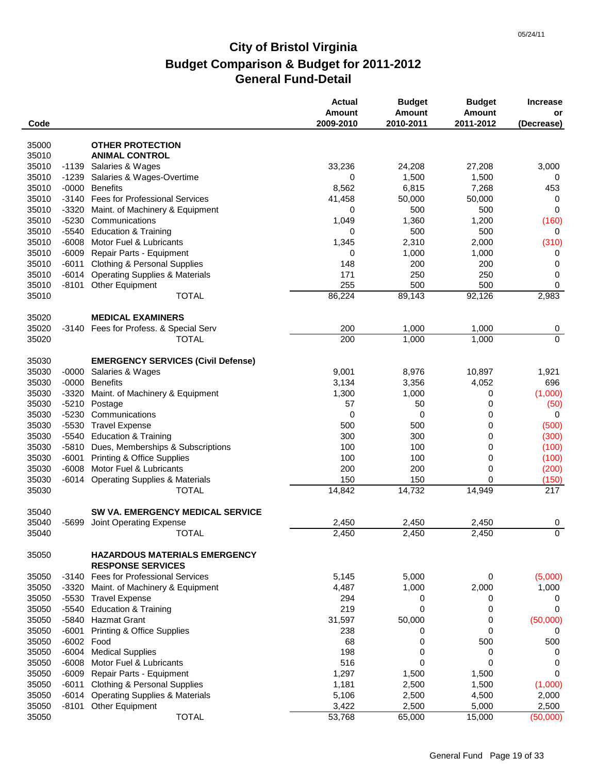| Code           |                       |                                                                  | <b>Actual</b><br><b>Amount</b><br>2009-2010 | <b>Budget</b><br><b>Amount</b><br>2010-2011 | <b>Budget</b><br><b>Amount</b><br>2011-2012 | <b>Increase</b><br>or<br>(Decrease) |
|----------------|-----------------------|------------------------------------------------------------------|---------------------------------------------|---------------------------------------------|---------------------------------------------|-------------------------------------|
|                |                       |                                                                  |                                             |                                             |                                             |                                     |
| 35000          |                       | <b>OTHER PROTECTION</b>                                          |                                             |                                             |                                             |                                     |
| 35010          |                       | <b>ANIMAL CONTROL</b>                                            |                                             |                                             |                                             |                                     |
| 35010          | -1139                 | Salaries & Wages                                                 | 33,236                                      | 24,208                                      | 27,208                                      | 3,000                               |
| 35010          |                       | -1239 Salaries & Wages-Overtime                                  | 0                                           | 1,500                                       | 1,500                                       | 0                                   |
| 35010          | $-0000$               | <b>Benefits</b><br><b>Fees for Professional Services</b>         | 8,562                                       | 6,815                                       | 7,268                                       | 453                                 |
| 35010          | $-3140$               |                                                                  | 41,458                                      | 50,000                                      | 50,000                                      | 0                                   |
| 35010<br>35010 | $-3320$<br>$-5230$    | Maint. of Machinery & Equipment<br>Communications                | 0                                           | 500<br>1,360                                | 500                                         | 0                                   |
| 35010          | $-5540$               | <b>Education &amp; Training</b>                                  | 1,049<br>0                                  | 500                                         | 1,200<br>500                                | (160)<br>0                          |
| 35010          | $-6008$               | Motor Fuel & Lubricants                                          | 1,345                                       | 2,310                                       | 2,000                                       | (310)                               |
| 35010          |                       | -6009 Repair Parts - Equipment                                   | 0                                           | 1,000                                       | 1,000                                       | 0                                   |
| 35010          |                       | -6011 Clothing & Personal Supplies                               | 148                                         | 200                                         | 200                                         | 0                                   |
| 35010          |                       | -6014 Operating Supplies & Materials                             | 171                                         | 250                                         | 250                                         | 0                                   |
| 35010          |                       | -8101 Other Equipment                                            | 255                                         | 500                                         | 500                                         | 0                                   |
| 35010          |                       | <b>TOTAL</b>                                                     | 86,224                                      | 89,143                                      | 92,126                                      | 2,983                               |
|                |                       |                                                                  |                                             |                                             |                                             |                                     |
| 35020          |                       | <b>MEDICAL EXAMINERS</b>                                         |                                             |                                             |                                             |                                     |
| 35020          |                       | -3140 Fees for Profess. & Special Serv                           | 200                                         | 1,000                                       | 1,000                                       | 0                                   |
| 35020          |                       | <b>TOTAL</b>                                                     | 200                                         | 1,000                                       | 1,000                                       | $\mathbf 0$                         |
|                |                       |                                                                  |                                             |                                             |                                             |                                     |
| 35030          |                       | <b>EMERGENCY SERVICES (Civil Defense)</b>                        |                                             |                                             |                                             |                                     |
| 35030          | $-0000$               | Salaries & Wages                                                 | 9,001                                       | 8,976                                       | 10,897                                      | 1,921                               |
| 35030          |                       | -0000 Benefits                                                   | 3,134                                       | 3,356                                       | 4,052                                       | 696                                 |
| 35030          | $-3320$               | Maint. of Machinery & Equipment                                  | 1,300                                       | 1,000                                       | 0                                           | (1,000)                             |
| 35030          | $-5210$               | Postage                                                          | 57                                          | 50                                          | 0                                           | (50)                                |
| 35030          | $-5230$               | Communications                                                   | 0                                           | 0                                           | 0                                           | 0                                   |
| 35030          | $-5530$               | <b>Travel Expense</b>                                            | 500                                         | 500                                         | 0                                           | (500)                               |
| 35030          | -5540                 | <b>Education &amp; Training</b>                                  | 300                                         | 300                                         | 0                                           | (300)                               |
| 35030          |                       | -5810 Dues, Memberships & Subscriptions                          | 100                                         | 100                                         | 0                                           | (100)                               |
| 35030          | $-6001$               | <b>Printing &amp; Office Supplies</b>                            | 100                                         | 100                                         | 0                                           | (100)                               |
| 35030          | -6008                 | Motor Fuel & Lubricants                                          | 200                                         | 200                                         | 0                                           | (200)                               |
| 35030          | $-6014$               | <b>Operating Supplies &amp; Materials</b>                        | 150                                         | 150                                         | 0                                           | (150)                               |
| 35030          |                       | <b>TOTAL</b>                                                     | 14,842                                      | 14,732                                      | 14,949                                      | 217                                 |
|                |                       |                                                                  |                                             |                                             |                                             |                                     |
| 35040          |                       | <b>SW VA. EMERGENCY MEDICAL SERVICE</b>                          |                                             |                                             |                                             |                                     |
| 35040          | -5699                 | Joint Operating Expense                                          | 2,450                                       | 2,450                                       | 2,450                                       | 0                                   |
| 35040          |                       | <b>TOTAL</b>                                                     | 2,450                                       | 2,450                                       | 2,450                                       | $\overline{0}$                      |
| 35050          |                       | <b>HAZARDOUS MATERIALS EMERGENCY</b><br><b>RESPONSE SERVICES</b> |                                             |                                             |                                             |                                     |
| 35050          |                       | -3140 Fees for Professional Services                             | 5,145                                       | 5,000                                       | 0                                           | (5,000)                             |
|                |                       |                                                                  |                                             |                                             |                                             |                                     |
| 35050<br>35050 | -3320                 | Maint. of Machinery & Equipment                                  | 4,487                                       | 1,000                                       | 2,000                                       | 1,000                               |
| 35050          | $-5540$               | -5530 Travel Expense<br><b>Education &amp; Training</b>          | 294<br>219                                  | 0<br>0                                      | 0<br>0                                      | 0<br>0                              |
| 35050          | $-5840$               | <b>Hazmat Grant</b>                                              |                                             |                                             |                                             | (50,000)                            |
| 35050          |                       |                                                                  | 31,597                                      | 50,000                                      | 0<br>0                                      |                                     |
|                | $-6001$               | <b>Printing &amp; Office Supplies</b>                            | 238                                         | 0                                           |                                             | 0                                   |
| 35050<br>35050 | -6002 Food<br>$-6004$ | <b>Medical Supplies</b>                                          | 68<br>198                                   | 0<br>0                                      | 500<br>0                                    | 500<br>0                            |
|                |                       |                                                                  |                                             |                                             |                                             |                                     |
| 35050          | $-6008$               | Motor Fuel & Lubricants                                          | 516                                         | 0                                           | $\mathbf 0$                                 | 0<br>0                              |
| 35050          | -6009                 | Repair Parts - Equipment                                         | 1,297                                       | 1,500                                       | 1,500                                       |                                     |
| 35050<br>35050 |                       | -6011 Clothing & Personal Supplies                               | 1,181<br>5,106                              | 2,500                                       | 1,500                                       | (1,000)                             |
| 35050          | $-8101$               | -6014 Operating Supplies & Materials<br>Other Equipment          | 3,422                                       | 2,500<br>2,500                              | 4,500<br>5,000                              | 2,000<br>2,500                      |
| 35050          |                       | <b>TOTAL</b>                                                     | 53,768                                      | 65,000                                      | 15,000                                      | (50,000)                            |
|                |                       |                                                                  |                                             |                                             |                                             |                                     |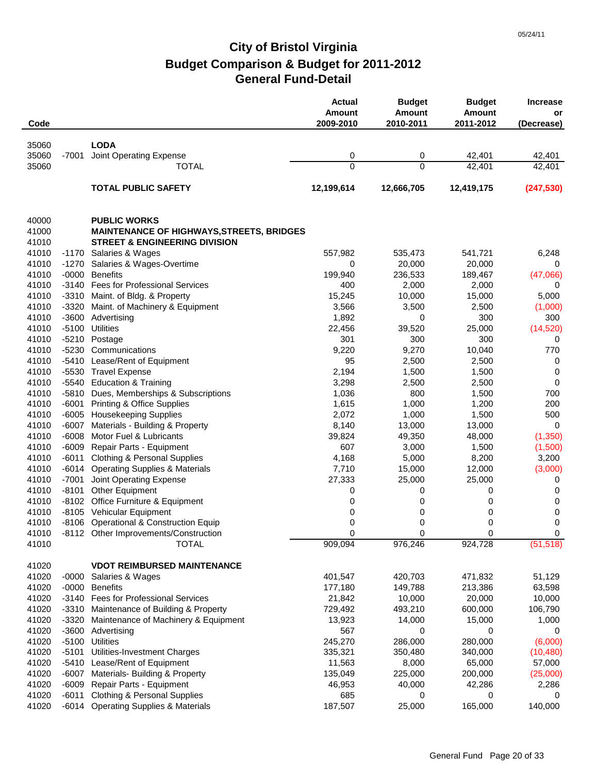| Code           |                    |                                                                     | <b>Actual</b><br>Amount<br>2009-2010 | <b>Budget</b><br><b>Amount</b><br>2010-2011 | <b>Budget</b><br>Amount<br>2011-2012 | <b>Increase</b><br>or<br>(Decrease) |
|----------------|--------------------|---------------------------------------------------------------------|--------------------------------------|---------------------------------------------|--------------------------------------|-------------------------------------|
|                |                    |                                                                     |                                      |                                             |                                      |                                     |
| 35060          |                    | <b>LODA</b>                                                         |                                      |                                             |                                      |                                     |
| 35060          | -7001              | Joint Operating Expense                                             | 0<br>0                               | 0<br>0                                      | 42,401<br>42,401                     | 42,401                              |
| 35060          |                    | <b>TOTAL</b>                                                        |                                      |                                             |                                      | 42,401                              |
|                |                    | <b>TOTAL PUBLIC SAFETY</b>                                          | 12,199,614                           | 12,666,705                                  | 12,419,175                           | (247, 530)                          |
| 40000          |                    | <b>PUBLIC WORKS</b>                                                 |                                      |                                             |                                      |                                     |
| 41000          |                    | <b>MAINTENANCE OF HIGHWAYS, STREETS, BRIDGES</b>                    |                                      |                                             |                                      |                                     |
| 41010          |                    | <b>STREET &amp; ENGINEERING DIVISION</b>                            |                                      |                                             |                                      |                                     |
| 41010          |                    | -1170 Salaries & Wages                                              | 557,982                              | 535,473                                     | 541,721                              | 6,248                               |
| 41010          | $-1270$            | Salaries & Wages-Overtime                                           | 0                                    | 20,000                                      | 20,000                               | 0                                   |
| 41010          | -0000              | <b>Benefits</b>                                                     | 199,940                              | 236,533                                     | 189,467                              | (47,066)                            |
| 41010          |                    | -3140 Fees for Professional Services                                | 400                                  | 2,000                                       | 2,000                                | 0                                   |
| 41010          |                    | -3310 Maint. of Bldg. & Property                                    | 15,245                               | 10,000                                      | 15,000                               | 5,000                               |
| 41010          | -3320              | Maint. of Machinery & Equipment                                     | 3,566                                | 3,500                                       | 2,500                                | (1,000)                             |
| 41010          |                    | -3600 Advertising                                                   | 1,892                                | 0                                           | 300                                  | 300                                 |
| 41010          | $-5100$            | <b>Utilities</b>                                                    | 22,456                               | 39,520                                      | 25,000                               | (14, 520)                           |
| 41010          | $-5210$            | Postage                                                             | 301                                  | 300                                         | 300                                  | 0                                   |
| 41010          | $-5230$            | Communications                                                      | 9,220                                | 9,270                                       | 10,040                               | 770                                 |
| 41010          | $-5410$            | Lease/Rent of Equipment                                             | 95                                   | 2,500                                       | 2,500                                | 0                                   |
| 41010          | $-5530$            | <b>Travel Expense</b>                                               | 2,194                                | 1,500                                       | 1,500                                | $\mathbf 0$                         |
| 41010          | -5540              | <b>Education &amp; Training</b>                                     | 3,298                                | 2,500                                       | 2,500                                | $\mathbf 0$                         |
| 41010          | -5810              | Dues, Memberships & Subscriptions                                   | 1,036                                | 800                                         | 1,500                                | 700                                 |
| 41010          | -6001              | <b>Printing &amp; Office Supplies</b>                               | 1,615                                | 1,000                                       | 1,200                                | 200                                 |
| 41010          |                    | -6005 Housekeeping Supplies                                         | 2,072                                | 1,000                                       | 1,500                                | 500                                 |
| 41010          | -6007              | Materials - Building & Property                                     | 8,140                                | 13,000                                      | 13,000                               | 0                                   |
| 41010          | $-6008$            | Motor Fuel & Lubricants                                             | 39,824                               | 49,350                                      | 48,000                               | (1, 350)                            |
| 41010          |                    | -6009 Repair Parts - Equipment                                      | 607                                  | 3,000                                       | 1,500                                | (1,500)                             |
| 41010          |                    | -6011 Clothing & Personal Supplies                                  | 4,168                                | 5,000                                       | 8,200                                | 3,200                               |
| 41010          | -6014              | <b>Operating Supplies &amp; Materials</b>                           | 7,710                                | 15,000                                      | 12,000                               | (3,000)                             |
| 41010          | $-7001$            | Joint Operating Expense                                             | 27,333                               | 25,000                                      | 25,000                               | 0                                   |
| 41010          | -8101              | <b>Other Equipment</b>                                              | 0                                    | 0                                           | 0                                    | 0                                   |
| 41010          |                    | -8102 Office Furniture & Equipment                                  | 0                                    | 0                                           | 0                                    | 0                                   |
| 41010<br>41010 |                    | -8105 Vehicular Equipment<br>-8106 Operational & Construction Equip | 0<br>0                               | 0<br>0                                      | 0                                    | 0                                   |
| 41010          |                    | -8112 Other Improvements/Construction                               | $\Omega$                             | $\Omega$                                    | 0<br>$\Omega$                        | 0<br>0                              |
| 41010          |                    | <b>TOTAL</b>                                                        | 909,094                              | 976,246                                     | 924,728                              | $(5\overline{1,518})$               |
|                |                    |                                                                     |                                      |                                             |                                      |                                     |
| 41020          |                    | <b>VDOT REIMBURSED MAINTENANCE</b>                                  |                                      |                                             |                                      |                                     |
| 41020          | -0000              | Salaries & Wages                                                    | 401,547                              | 420,703                                     | 471,832                              | 51,129                              |
| 41020          |                    | -0000 Benefits                                                      | 177,180                              | 149,788                                     | 213,386                              | 63,598                              |
| 41020          |                    | -3140 Fees for Professional Services                                | 21,842                               | 10,000                                      | 20,000                               | 10,000                              |
| 41020          | -3310              | Maintenance of Building & Property                                  | 729,492                              | 493,210                                     | 600,000                              | 106,790                             |
| 41020<br>41020 | $-3320$            | Maintenance of Machinery & Equipment<br>-3600 Advertising           | 13,923                               | 14,000                                      | 15,000                               | 1,000                               |
| 41020          |                    |                                                                     | 567                                  | 0                                           | 0                                    | 0                                   |
| 41020          | $-5100$<br>$-5101$ | Utilities<br>Utilities-Investment Charges                           | 245,270<br>335,321                   | 286,000<br>350,480                          | 280,000<br>340,000                   | (6,000)<br>(10, 480)                |
| 41020          | $-5410$            | Lease/Rent of Equipment                                             | 11,563                               | 8,000                                       | 65,000                               | 57,000                              |
| 41020          | -6007              | Materials- Building & Property                                      | 135,049                              | 225,000                                     | 200,000                              | (25,000)                            |
| 41020          | -6009              | Repair Parts - Equipment                                            | 46,953                               | 40,000                                      | 42,286                               | 2,286                               |
| 41020          | -6011              | <b>Clothing &amp; Personal Supplies</b>                             | 685                                  | 0                                           | 0                                    | 0                                   |
| 41020          |                    | -6014 Operating Supplies & Materials                                | 187,507                              | 25,000                                      | 165,000                              | 140,000                             |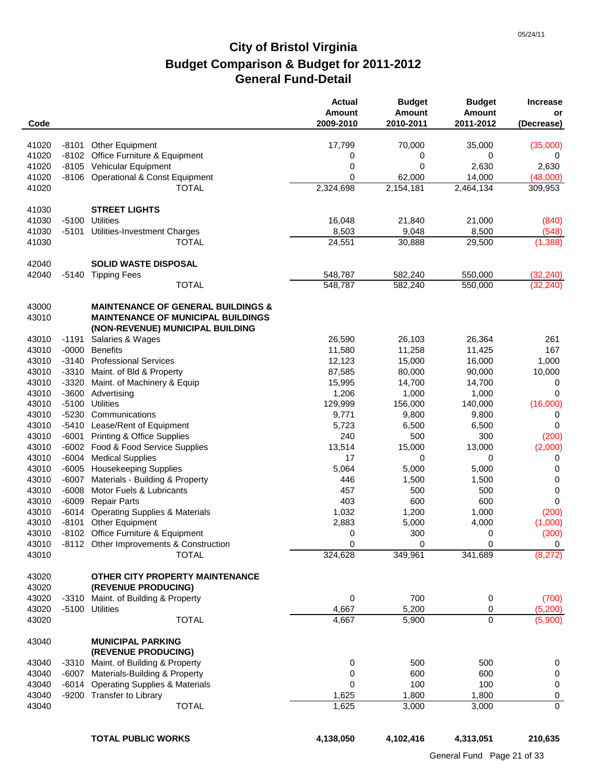| Code           |         |                                                                 | <b>Actual</b><br><b>Amount</b><br>2009-2010 | <b>Budget</b><br><b>Amount</b><br>2010-2011 | <b>Budget</b><br><b>Amount</b><br>2011-2012 | <b>Increase</b><br>or<br>(Decrease) |
|----------------|---------|-----------------------------------------------------------------|---------------------------------------------|---------------------------------------------|---------------------------------------------|-------------------------------------|
|                |         |                                                                 |                                             |                                             |                                             |                                     |
| 41020          |         | -8101 Other Equipment                                           | 17,799                                      | 70,000                                      | 35,000                                      | (35,000)                            |
| 41020<br>41020 |         | -8102 Office Furniture & Equipment<br>-8105 Vehicular Equipment | 0<br>0                                      | 0<br>0                                      | 0<br>2,630                                  | 0<br>2,630                          |
| 41020          |         | -8106 Operational & Const Equipment                             | 0                                           | 62,000                                      | 14,000                                      | (48,000)                            |
| 41020          |         | <b>TOTAL</b>                                                    | 2,324,698                                   | 2,154,181                                   | 2,464,134                                   | 309,953                             |
|                |         |                                                                 |                                             |                                             |                                             |                                     |
| 41030          |         | <b>STREET LIGHTS</b>                                            |                                             |                                             |                                             |                                     |
| 41030          | $-5100$ | <b>Utilities</b>                                                | 16,048                                      | 21,840                                      | 21,000                                      | (840)                               |
| 41030          | -5101   | Utilities-Investment Charges                                    | 8,503                                       | 9,048                                       | 8,500                                       | (548)                               |
| 41030          |         | TOTAL                                                           | 24,551                                      | 30,888                                      | 29,500                                      | (1, 388)                            |
| 42040          |         | <b>SOLID WASTE DISPOSAL</b>                                     |                                             |                                             |                                             |                                     |
| 42040          |         | -5140 Tipping Fees                                              | 548,787                                     | 582,240                                     | 550,000                                     | (32, 240)                           |
|                |         | <b>TOTAL</b>                                                    | 548,787                                     | 582,240                                     | 550,000                                     | (32, 240)                           |
| 43000          |         | <b>MAINTENANCE OF GENERAL BUILDINGS &amp;</b>                   |                                             |                                             |                                             |                                     |
| 43010          |         | <b>MAINTENANCE OF MUNICIPAL BUILDINGS</b>                       |                                             |                                             |                                             |                                     |
|                |         | (NON-REVENUE) MUNICIPAL BUILDING                                |                                             |                                             |                                             |                                     |
| 43010          | -1191   | Salaries & Wages                                                | 26,590                                      | 26,103                                      | 26,364                                      | 261                                 |
| 43010          | $-0000$ | <b>Benefits</b>                                                 | 11,580                                      | 11,258                                      | 11,425                                      | 167                                 |
| 43010          | -3140   | <b>Professional Services</b>                                    | 12,123                                      | 15,000                                      | 16,000                                      | 1,000                               |
| 43010<br>43010 | -3310   | Maint. of Bld & Property                                        | 87,585<br>15,995                            | 80,000                                      | 90,000                                      | 10,000                              |
| 43010          | -3320   | Maint. of Machinery & Equip<br>-3600 Advertising                | 1,206                                       | 14,700<br>1,000                             | 14,700<br>1,000                             | 0<br>0                              |
| 43010          | $-5100$ | <b>Utilities</b>                                                | 129,999                                     | 156,000                                     | 140,000                                     | (16,000)                            |
| 43010          |         | -5230 Communications                                            | 9,771                                       | 9,800                                       | 9,800                                       | 0                                   |
| 43010          |         | -5410 Lease/Rent of Equipment                                   | 5,723                                       | 6,500                                       | 6,500                                       | 0                                   |
| 43010          | -6001   | <b>Printing &amp; Office Supplies</b>                           | 240                                         | 500                                         | 300                                         | (200)                               |
| 43010          |         | -6002 Food & Food Service Supplies                              | 13,514                                      | 15,000                                      | 13,000                                      | (2,000)                             |
| 43010          | -6004   | <b>Medical Supplies</b>                                         | 17                                          | 0                                           | 0                                           | 0                                   |
| 43010          |         | -6005 Housekeeping Supplies                                     | 5,064                                       | 5,000                                       | 5,000                                       | 0                                   |
| 43010          | -6007   | Materials - Building & Property                                 | 446                                         | 1,500                                       | 1,500                                       | 0                                   |
| 43010          | $-6008$ | Motor Fuels & Lubricants                                        | 457                                         | 500                                         | 500                                         | 0                                   |
| 43010          | $-6009$ | <b>Repair Parts</b>                                             | 403                                         | 600                                         | 600                                         | 0                                   |
| 43010          | -6014   | <b>Operating Supplies &amp; Materials</b>                       | 1,032                                       | 1,200                                       | 1,000                                       | (200)                               |
| 43010          |         | -8101 Other Equipment                                           | 2,883                                       | 5,000                                       | 4,000                                       | (1,000)                             |
| 43010          |         | -8102 Office Furniture & Equipment                              | 0                                           | 300                                         | 0                                           | (300)                               |
| 43010          |         | -8112 Other Improvements & Construction                         | 0                                           | 0                                           | 0                                           | 0                                   |
| 43010          |         | <b>TOTAL</b>                                                    | 324,628                                     | 349,961                                     | 341,689                                     | (8, 272)                            |
| 43020<br>43020 |         | OTHER CITY PROPERTY MAINTENANCE<br>(REVENUE PRODUCING)          |                                             |                                             |                                             |                                     |
| 43020          |         | -3310 Maint. of Building & Property                             | 0                                           | 700                                         | 0                                           | (700)                               |
| 43020          |         | -5100 Utilities                                                 | 4,667                                       | 5,200                                       | 0                                           | (5,200)                             |
| 43020          |         | <b>TOTAL</b>                                                    | 4,667                                       | 5,900                                       | 0                                           | (5,900)                             |
| 43040          |         | <b>MUNICIPAL PARKING</b><br>(REVENUE PRODUCING)                 |                                             |                                             |                                             |                                     |
| 43040          |         | -3310 Maint. of Building & Property                             | 0                                           | 500                                         | 500                                         |                                     |
| 43040          |         | -6007 Materials-Building & Property                             | 0                                           | 600                                         | 600                                         | 0<br>0                              |
| 43040          |         | -6014 Operating Supplies & Materials                            | 0                                           | 100                                         | 100                                         | 0                                   |
| 43040          |         | -9200 Transfer to Library                                       | 1,625                                       | 1,800                                       | 1,800                                       | 0                                   |
| 43040          |         | <b>TOTAL</b>                                                    | 1,625                                       | 3,000                                       | 3,000                                       | $\mathbf 0$                         |
|                |         |                                                                 |                                             |                                             |                                             |                                     |

**TOTAL PUBLIC WORKS 4,138,050 4,102,416 4,313,051 210,635**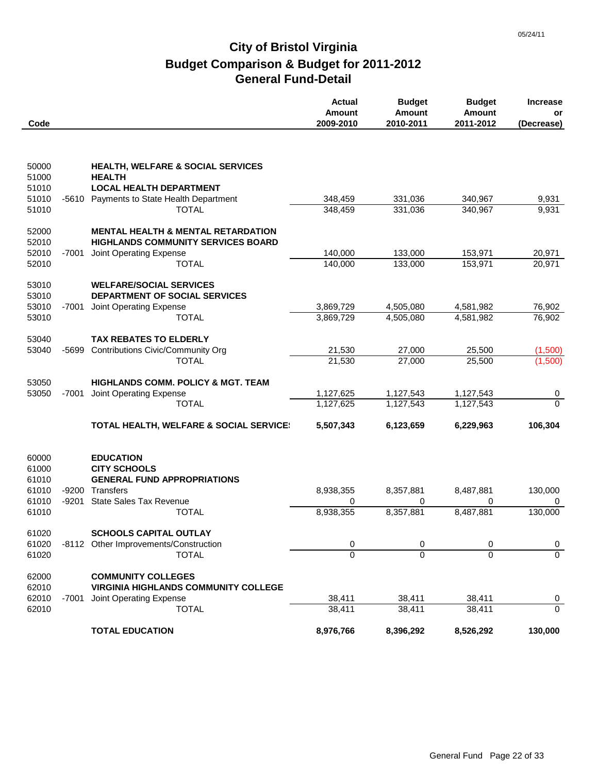|                |         |                                                                                            | <b>Actual</b><br><b>Amount</b> | <b>Budget</b><br><b>Amount</b> | <b>Budget</b><br><b>Amount</b> | <b>Increase</b><br>or         |
|----------------|---------|--------------------------------------------------------------------------------------------|--------------------------------|--------------------------------|--------------------------------|-------------------------------|
| Code           |         |                                                                                            | 2009-2010                      | 2010-2011                      | 2011-2012                      | (Decrease)                    |
|                |         |                                                                                            |                                |                                |                                |                               |
| 50000          |         | HEALTH, WELFARE & SOCIAL SERVICES                                                          |                                |                                |                                |                               |
| 51000          |         | <b>HEALTH</b>                                                                              |                                |                                |                                |                               |
| 51010<br>51010 |         | <b>LOCAL HEALTH DEPARTMENT</b><br>-5610 Payments to State Health Department                | 348,459                        | 331,036                        | 340,967                        | 9,931                         |
| 51010          |         | <b>TOTAL</b>                                                                               | 348,459                        | 331,036                        | 340,967                        | 9,931                         |
|                |         |                                                                                            |                                |                                |                                |                               |
| 52000<br>52010 |         | <b>MENTAL HEALTH &amp; MENTAL RETARDATION</b><br><b>HIGHLANDS COMMUNITY SERVICES BOARD</b> |                                |                                |                                |                               |
| 52010          | -7001   | Joint Operating Expense                                                                    | 140,000                        | 133,000                        | 153,971                        | 20,971                        |
| 52010          |         | <b>TOTAL</b>                                                                               | 140,000                        | 133,000                        | 153,971                        | 20,971                        |
|                |         |                                                                                            |                                |                                |                                |                               |
| 53010<br>53010 |         | <b>WELFARE/SOCIAL SERVICES</b><br>DEPARTMENT OF SOCIAL SERVICES                            |                                |                                |                                |                               |
| 53010          | -7001   | Joint Operating Expense                                                                    | 3,869,729                      | 4,505,080                      | 4,581,982                      | 76,902                        |
| 53010          |         | <b>TOTAL</b>                                                                               | 3,869,729                      | 4,505,080                      | 4,581,982                      | 76,902                        |
|                |         |                                                                                            |                                |                                |                                |                               |
| 53040          |         | <b>TAX REBATES TO ELDERLY</b>                                                              |                                |                                |                                |                               |
| 53040          | -5699   | <b>Contributions Civic/Community Org</b>                                                   | 21,530                         | 27,000                         | 25,500                         | (1,500)                       |
|                |         | <b>TOTAL</b>                                                                               | 21,530                         | 27,000                         | 25,500                         | (1,500)                       |
| 53050          |         | <b>HIGHLANDS COMM. POLICY &amp; MGT. TEAM</b>                                              |                                |                                |                                |                               |
| 53050          | $-7001$ | Joint Operating Expense                                                                    | 1,127,625                      | 1,127,543                      | 1,127,543                      | 0                             |
|                |         | <b>TOTAL</b>                                                                               | 1,127,625                      | 1,127,543                      | 1,127,543                      | $\overline{0}$                |
|                |         |                                                                                            |                                |                                |                                |                               |
|                |         | <b>TOTAL HEALTH, WELFARE &amp; SOCIAL SERVICE</b>                                          | 5,507,343                      | 6,123,659                      | 6,229,963                      | 106,304                       |
| 60000          |         | <b>EDUCATION</b>                                                                           |                                |                                |                                |                               |
| 61000          |         | <b>CITY SCHOOLS</b>                                                                        |                                |                                |                                |                               |
| 61010          |         | <b>GENERAL FUND APPROPRIATIONS</b>                                                         |                                |                                |                                |                               |
| 61010          | $-9200$ | Transfers                                                                                  | 8,938,355                      | 8,357,881                      | 8,487,881                      | 130,000                       |
| 61010          | $-9201$ | <b>State Sales Tax Revenue</b>                                                             | 0                              | 0                              | 0                              | 0                             |
| 61010          |         | <b>TOTAL</b>                                                                               | 8,938,355                      | 8,357,881                      | 8,487,881                      | 130,000                       |
| 61020          |         | <b>SCHOOLS CAPITAL OUTLAY</b>                                                              |                                |                                |                                |                               |
| 61020          |         | -8112 Other Improvements/Construction                                                      | 0                              | 0                              | 0                              | $\overline{0}$                |
| 61020          |         | <b>TOTAL</b>                                                                               | $\Omega$                       | 0                              | $\Omega$                       | $\Omega$                      |
|                |         |                                                                                            |                                |                                |                                |                               |
| 62000          |         | <b>COMMUNITY COLLEGES</b>                                                                  |                                |                                |                                |                               |
| 62010<br>62010 | -7001   | <b>VIRGINIA HIGHLANDS COMMUNITY COLLEGE</b><br>Joint Operating Expense                     | 38,411                         | 38,411                         | 38,411                         |                               |
| 62010          |         | <b>TOTAL</b>                                                                               | 38,411                         | 38,411                         | 38,411                         | $\overline{0}$<br>$\mathbf 0$ |
|                |         |                                                                                            |                                |                                |                                |                               |
|                |         | <b>TOTAL EDUCATION</b>                                                                     | 8,976,766                      | 8,396,292                      | 8,526,292                      | 130,000                       |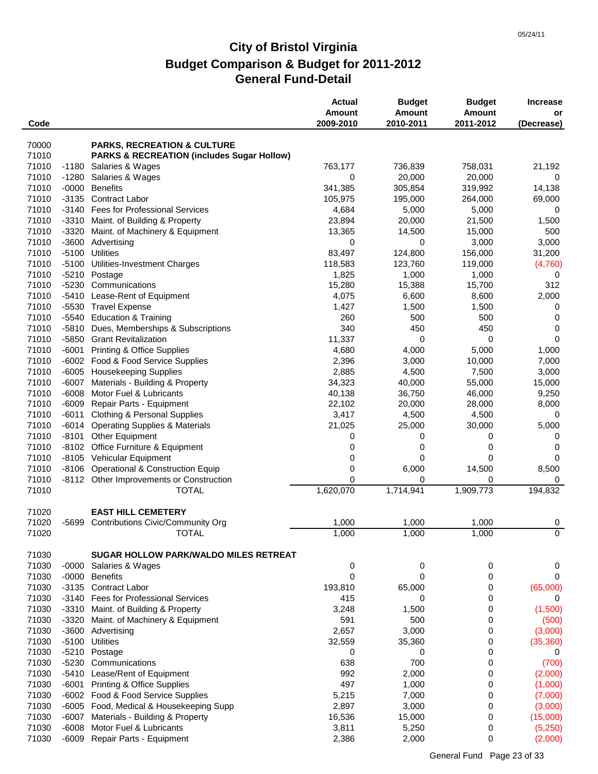| Code           |                    |                                                          | <b>Actual</b><br><b>Amount</b><br>2009-2010 | <b>Budget</b><br>Amount<br>2010-2011 | <b>Budget</b><br><b>Amount</b><br>2011-2012 | <b>Increase</b><br>or<br>(Decrease) |
|----------------|--------------------|----------------------------------------------------------|---------------------------------------------|--------------------------------------|---------------------------------------------|-------------------------------------|
|                |                    |                                                          |                                             |                                      |                                             |                                     |
| 70000          |                    | <b>PARKS, RECREATION &amp; CULTURE</b>                   |                                             |                                      |                                             |                                     |
| 71010          |                    | <b>PARKS &amp; RECREATION (includes Sugar Hollow)</b>    |                                             |                                      |                                             |                                     |
| 71010          | -1180              | Salaries & Wages                                         | 763,177                                     | 736,839                              | 758,031                                     | 21,192                              |
| 71010          | $-1280$            | Salaries & Wages                                         | 0                                           | 20,000                               | 20,000                                      | 0                                   |
| 71010<br>71010 | $-0000$<br>$-3135$ | <b>Benefits</b><br><b>Contract Labor</b>                 | 341,385<br>105,975                          | 305,854<br>195,000                   | 319,992                                     | 14,138                              |
| 71010          | $-3140$            | Fees for Professional Services                           | 4,684                                       | 5,000                                | 264,000<br>5,000                            | 69,000<br>0                         |
| 71010          |                    | -3310 Maint. of Building & Property                      | 23,894                                      | 20,000                               | 21,500                                      | 1,500                               |
| 71010          | $-3320$            | Maint. of Machinery & Equipment                          | 13,365                                      | 14,500                               | 15,000                                      | 500                                 |
| 71010          | $-3600$            | Advertising                                              | 0                                           | 0                                    | 3,000                                       | 3,000                               |
| 71010          | $-5100$            | <b>Utilities</b>                                         | 83,497                                      | 124,800                              | 156,000                                     | 31,200                              |
| 71010          | $-5100$            | Utilities-Investment Charges                             | 118,583                                     | 123,760                              | 119,000                                     | (4,760)                             |
| 71010          | $-5210$            | Postage                                                  | 1,825                                       | 1,000                                | 1,000                                       | 0                                   |
| 71010          | $-5230$            | Communications                                           | 15,280                                      | 15,388                               | 15,700                                      | 312                                 |
| 71010          | $-5410$            | Lease-Rent of Equipment                                  | 4,075                                       | 6,600                                | 8,600                                       | 2,000                               |
| 71010          | $-5530$            | <b>Travel Expense</b>                                    | 1,427                                       | 1,500                                | 1,500                                       | 0                                   |
| 71010          | -5540              | <b>Education &amp; Training</b>                          | 260                                         | 500                                  | 500                                         | $\mathbf 0$                         |
| 71010          | $-5810$            | Dues, Memberships & Subscriptions                        | 340                                         | 450                                  | 450                                         | 0                                   |
| 71010          | $-5850$            | <b>Grant Revitalization</b>                              | 11,337                                      | 0                                    | 0                                           | 0                                   |
| 71010          | $-6001$            | <b>Printing &amp; Office Supplies</b>                    | 4,680                                       | 4,000                                | 5,000                                       | 1,000                               |
| 71010          |                    | -6002 Food & Food Service Supplies                       | 2,396                                       | 3,000                                | 10,000                                      | 7,000                               |
| 71010          |                    | -6005 Housekeeping Supplies                              | 2,885                                       | 4,500                                | 7,500                                       | 3,000                               |
| 71010          | $-6007$            | Materials - Building & Property                          | 34,323                                      | 40,000                               | 55,000                                      | 15,000                              |
| 71010          | $-6008$            | Motor Fuel & Lubricants                                  | 40,138                                      | 36,750                               | 46,000                                      | 9,250                               |
| 71010          | -6009              | Repair Parts - Equipment                                 | 22,102                                      | 20,000                               | 28,000                                      | 8,000                               |
| 71010          | -6011              | <b>Clothing &amp; Personal Supplies</b>                  | 3,417                                       | 4,500                                | 4,500                                       | 0                                   |
| 71010          |                    | -6014 Operating Supplies & Materials                     | 21,025                                      | 25,000                               | 30,000                                      | 5,000                               |
| 71010          |                    | -8101 Other Equipment                                    | 0                                           | 0                                    | 0                                           | 0                                   |
| 71010          |                    | -8102 Office Furniture & Equipment                       | 0                                           | 0                                    | 0                                           | 0                                   |
| 71010          |                    | -8105 Vehicular Equipment                                | 0                                           | 0                                    | $\mathbf 0$                                 | 0                                   |
| 71010<br>71010 |                    | -8106 Operational & Construction Equip                   | 0<br>0                                      | 6,000<br>0                           | 14,500<br>0                                 | 8,500                               |
| 71010          |                    | -8112 Other Improvements or Construction<br><b>TOTAL</b> | 1,620,070                                   | 1,714,941                            | 1,909,773                                   | 0<br>194,832                        |
|                |                    |                                                          |                                             |                                      |                                             |                                     |
| 71020          |                    | <b>EAST HILL CEMETERY</b>                                |                                             |                                      |                                             |                                     |
| 71020          | -5699              | <b>Contributions Civic/Community Org</b>                 | 1,000                                       | 1,000                                | 1,000                                       | 0                                   |
| 71020          |                    | <b>TOTAL</b>                                             | 1,000                                       | 1,000                                | 1,000                                       | $\overline{0}$                      |
| 71030          |                    | <b>SUGAR HOLLOW PARK/WALDO MILES RETREAT</b>             |                                             |                                      |                                             |                                     |
| 71030          |                    | -0000 Salaries & Wages                                   | 0                                           | 0                                    | 0                                           | 0                                   |
| 71030          | $-0000$            | <b>Benefits</b>                                          | 0                                           | 0                                    | 0                                           | 0                                   |
| 71030          |                    | -3135 Contract Labor                                     | 193,810                                     | 65,000                               | 0                                           | (65,000)                            |
| 71030          | $-3140$            | <b>Fees for Professional Services</b>                    | 415                                         | 0                                    | 0                                           | 0                                   |
| 71030          | $-3310$            | Maint. of Building & Property                            | 3,248                                       | 1,500                                | 0                                           | (1,500)                             |
| 71030          | $-3320$            | Maint. of Machinery & Equipment                          | 591                                         | 500                                  | 0                                           | (500)                               |
| 71030          | $-3600$            | Advertising                                              | 2,657                                       | 3,000                                | 0                                           | (3,000)                             |
| 71030          | $-5100$            | <b>Utilities</b>                                         | 32,559                                      | 35,360                               | 0                                           | (35, 360)                           |
| 71030          | $-5210$            | Postage                                                  | 0                                           | 0                                    | 0                                           | 0                                   |
| 71030          | $-5230$            | Communications                                           | 638                                         | 700                                  | 0                                           | (700)                               |
| 71030          | $-5410$            | Lease/Rent of Equipment                                  | 992                                         | 2,000                                | 0                                           | (2,000)                             |
| 71030          | $-6001$            | <b>Printing &amp; Office Supplies</b>                    | 497                                         | 1,000                                | 0                                           | (1,000)                             |
| 71030          |                    | -6002 Food & Food Service Supplies                       | 5,215                                       | 7,000                                | 0                                           | (7,000)                             |
| 71030          |                    | -6005 Food, Medical & Housekeeping Supp                  | 2,897                                       | 3,000                                | 0                                           | (3,000)                             |
| 71030          | $-6007$            | Materials - Building & Property                          | 16,536                                      | 15,000                               | 0                                           | (15,000)                            |
| 71030          | $-6008$            | Motor Fuel & Lubricants                                  | 3,811                                       | 5,250                                | 0                                           | (5,250)                             |
| 71030          |                    | -6009 Repair Parts - Equipment                           | 2,386                                       | 2,000                                | 0                                           | (2,000)                             |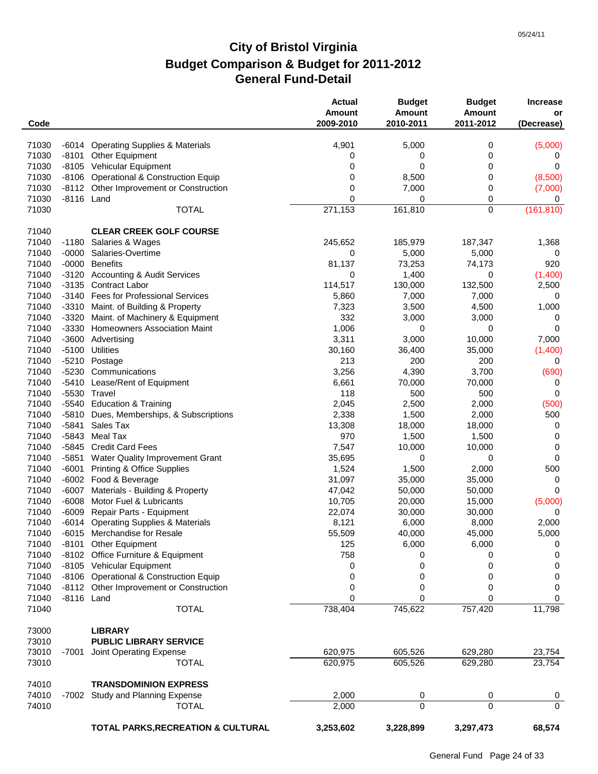| Code           |            |                                           | <b>Actual</b><br><b>Amount</b><br>2009-2010 | <b>Budget</b><br>Amount<br>2010-2011 | <b>Budget</b><br><b>Amount</b><br>2011-2012 | <b>Increase</b><br>or<br>(Decrease) |
|----------------|------------|-------------------------------------------|---------------------------------------------|--------------------------------------|---------------------------------------------|-------------------------------------|
|                |            |                                           |                                             |                                      |                                             |                                     |
| 71030          | -6014      | <b>Operating Supplies &amp; Materials</b> | 4,901                                       | 5,000                                | 0                                           | (5,000)                             |
| 71030          | $-8101$    | <b>Other Equipment</b>                    | 0                                           | 0                                    | 0                                           | 0                                   |
| 71030          |            | -8105 Vehicular Equipment                 | 0                                           | 0                                    | 0                                           | 0                                   |
| 71030          |            | -8106 Operational & Construction Equip    | 0                                           | 8,500                                | 0                                           | (8,500)                             |
| 71030          |            | -8112 Other Improvement or Construction   | 0                                           | 7,000                                | 0                                           | (7,000)                             |
| 71030          | -8116 Land |                                           | 0                                           | 0                                    | 0                                           | 0                                   |
| 71030          |            | <b>TOTAL</b>                              | 271,153                                     | 161,810                              | $\mathbf 0$                                 | (161, 810)                          |
| 71040          |            | <b>CLEAR CREEK GOLF COURSE</b>            |                                             |                                      |                                             |                                     |
| 71040          | -1180      | Salaries & Wages                          | 245,652                                     | 185,979                              | 187,347                                     | 1,368                               |
| 71040          | $-0000$    | Salaries-Overtime                         | 0                                           | 5,000                                | 5,000                                       | 0                                   |
| 71040          |            | -0000 Benefits                            | 81,137                                      | 73,253                               | 74,173                                      | 920                                 |
| 71040          |            | -3120 Accounting & Audit Services         | 0                                           | 1,400                                | 0                                           | (1,400)                             |
| 71040          | $-3135$    | Contract Labor                            | 114,517                                     | 130,000                              | 132,500                                     | 2,500                               |
| 71040          |            | -3140 Fees for Professional Services      | 5,860                                       | 7,000                                | 7,000                                       | 0                                   |
| 71040          |            | -3310 Maint. of Building & Property       | 7,323                                       | 3,500                                | 4,500                                       | 1,000                               |
| 71040          | $-3320$    | Maint. of Machinery & Equipment           | 332                                         | 3,000                                | 3,000                                       | 0                                   |
| 71040          | -3330      | <b>Homeowners Association Maint</b>       | 1,006                                       | 0                                    | 0                                           | $\Omega$                            |
| 71040<br>71040 | $-5100$    | -3600 Advertising<br><b>Utilities</b>     | 3,311                                       | 3,000                                | 10,000                                      | 7,000                               |
| 71040          |            | -5210 Postage                             | 30,160<br>213                               | 36,400<br>200                        | 35,000<br>200                               | (1,400)<br>0                        |
| 71040          |            | -5230 Communications                      | 3,256                                       | 4,390                                | 3,700                                       | (690)                               |
| 71040          |            | -5410 Lease/Rent of Equipment             | 6,661                                       | 70,000                               | 70,000                                      | 0                                   |
| 71040          |            | -5530 Travel                              | 118                                         | 500                                  | 500                                         | 0                                   |
| 71040          |            | -5540 Education & Training                | 2,045                                       | 2,500                                | 2,000                                       | (500)                               |
| 71040          | $-5810$    | Dues, Memberships, & Subscriptions        | 2,338                                       | 1,500                                | 2,000                                       | 500                                 |
| 71040          | $-5841$    | Sales Tax                                 | 13,308                                      | 18,000                               | 18,000                                      | 0                                   |
| 71040          | $-5843$    | Meal Tax                                  | 970                                         | 1,500                                | 1,500                                       | 0                                   |
| 71040          | -5845      | <b>Credit Card Fees</b>                   | 7,547                                       | 10,000                               | 10,000                                      | 0                                   |
| 71040          | -5851      | Water Quality Improvement Grant           | 35,695                                      | 0                                    | 0                                           | 0                                   |
| 71040          | $-6001$    | <b>Printing &amp; Office Supplies</b>     | 1,524                                       | 1,500                                | 2,000                                       | 500                                 |
| 71040          |            | -6002 Food & Beverage                     | 31,097                                      | 35,000                               | 35,000                                      | 0                                   |
| 71040          | -6007      | Materials - Building & Property           | 47,042                                      | 50,000                               | 50,000                                      | 0                                   |
| 71040          | $-6008$    | Motor Fuel & Lubricants                   | 10,705                                      | 20,000                               | 15,000                                      | (5,000)                             |
| 71040          | $-6009$    | Repair Parts - Equipment                  | 22,074                                      | 30,000                               | 30,000                                      | 0                                   |
| 71040          |            | -6014 Operating Supplies & Materials      | 8,121                                       | 6,000                                | 8,000                                       | 2,000                               |
| 71040          |            | -6015 Merchandise for Resale              | 55,509                                      | 40,000                               | 45,000                                      | 5,000                               |
| 71040          |            | -8101 Other Equipment                     | 125                                         | 6,000                                | 6,000                                       | 0                                   |
| 71040          |            | -8102 Office Furniture & Equipment        | 758                                         | 0                                    | 0                                           | 0                                   |
| 71040          |            | -8105 Vehicular Equipment                 | 0                                           | 0                                    | 0                                           | 0                                   |
| 71040          |            | -8106 Operational & Construction Equip    | 0                                           | 0                                    | 0                                           | $\pmb{0}$                           |
| 71040          |            | -8112 Other Improvement or Construction   | 0                                           | 0                                    | 0                                           | 0                                   |
| 71040          | -8116 Land |                                           | 0                                           | 0                                    | 0                                           | 0                                   |
| 71040          |            | <b>TOTAL</b>                              | 738,404                                     | 745,622                              | 757,420                                     | 11,798                              |
| 73000          |            | <b>LIBRARY</b>                            |                                             |                                      |                                             |                                     |
| 73010          |            | <b>PUBLIC LIBRARY SERVICE</b>             |                                             |                                      |                                             |                                     |
| 73010          | -7001      | Joint Operating Expense                   | 620,975                                     | 605,526                              | 629,280                                     | 23,754                              |
| 73010          |            | <b>TOTAL</b>                              | 620,975                                     | 605,526                              | 629,280                                     | 23,754                              |
| 74010          |            | <b>TRANSDOMINION EXPRESS</b>              |                                             |                                      |                                             |                                     |
| 74010          | -7002      | Study and Planning Expense                | 2,000                                       | 0                                    | 0                                           | 0                                   |
| 74010          |            | <b>TOTAL</b>                              | 2,000                                       | $\Omega$                             | $\Omega$                                    | $\Omega$                            |
|                |            | TOTAL PARKS, RECREATION & CULTURAL        | 3,253,602                                   | 3,228,899                            | 3,297,473                                   | 68,574                              |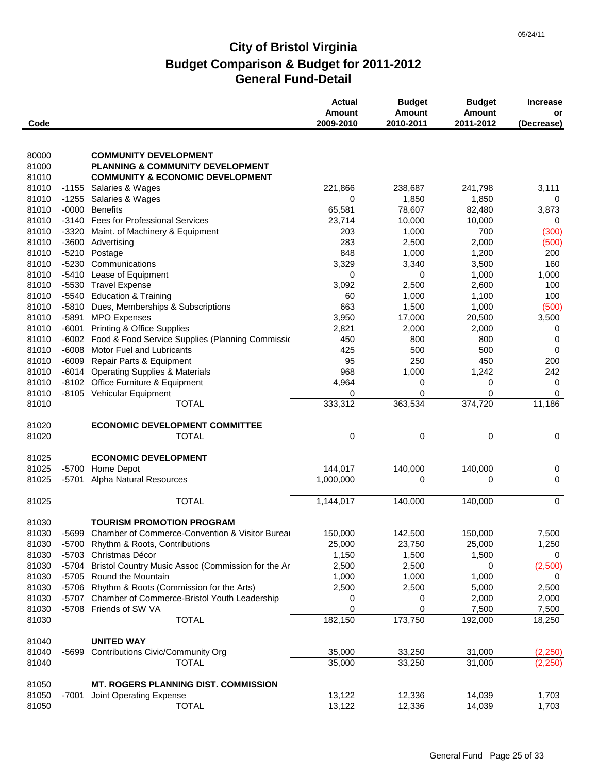| Code           |         |                                                          | <b>Actual</b><br><b>Amount</b><br>2009-2010 | <b>Budget</b><br><b>Amount</b><br>2010-2011 | <b>Budget</b><br>Amount<br>2011-2012 | <b>Increase</b><br>or<br>(Decrease) |
|----------------|---------|----------------------------------------------------------|---------------------------------------------|---------------------------------------------|--------------------------------------|-------------------------------------|
|                |         |                                                          |                                             |                                             |                                      |                                     |
| 80000          |         | <b>COMMUNITY DEVELOPMENT</b>                             |                                             |                                             |                                      |                                     |
| 81000          |         | <b>PLANNING &amp; COMMUNITY DEVELOPMENT</b>              |                                             |                                             |                                      |                                     |
| 81010          |         | <b>COMMUNITY &amp; ECONOMIC DEVELOPMENT</b>              |                                             |                                             |                                      |                                     |
| 81010          |         | -1155 Salaries & Wages                                   | 221,866<br>0                                | 238,687                                     | 241,798                              | 3,111                               |
| 81010<br>81010 |         | -1255 Salaries & Wages<br>-0000 Benefits                 |                                             | 1,850<br>78,607                             | 1,850                                | 0                                   |
| 81010          |         | -3140 Fees for Professional Services                     | 65,581<br>23,714                            | 10,000                                      | 82,480<br>10,000                     | 3,873<br>0                          |
| 81010          | $-3320$ | Maint. of Machinery & Equipment                          | 203                                         | 1,000                                       | 700                                  | (300)                               |
| 81010          | $-3600$ | Advertising                                              | 283                                         | 2,500                                       | 2,000                                | (500)                               |
| 81010          |         | -5210 Postage                                            | 848                                         | 1,000                                       | 1,200                                | 200                                 |
| 81010          | $-5230$ | Communications                                           | 3,329                                       | 3,340                                       | 3,500                                | 160                                 |
| 81010          |         | -5410 Lease of Equipment                                 | 0                                           | 0                                           | 1,000                                | 1,000                               |
| 81010          |         | -5530 Travel Expense                                     | 3,092                                       | 2,500                                       | 2,600                                | 100                                 |
| 81010          |         | -5540 Education & Training                               | 60                                          | 1,000                                       | 1,100                                | 100                                 |
| 81010          |         | -5810 Dues, Memberships & Subscriptions                  | 663                                         | 1,500                                       | 1,000                                | (500)                               |
| 81010          |         | -5891 MPO Expenses                                       | 3,950                                       | 17,000                                      | 20,500                               | 3,500                               |
| 81010          |         | -6001 Printing & Office Supplies                         | 2,821                                       | 2,000                                       | 2,000                                | 0                                   |
| 81010          |         | -6002 Food & Food Service Supplies (Planning Commissio   | 450                                         | 800                                         | 800                                  | 0                                   |
| 81010          |         | -6008 Motor Fuel and Lubricants                          | 425                                         | 500                                         | 500                                  | 0                                   |
| 81010          | $-6009$ | Repair Parts & Equipment                                 | 95                                          | 250                                         | 450                                  | 200                                 |
| 81010          |         | -6014 Operating Supplies & Materials                     | 968                                         | 1,000                                       | 1,242                                | 242                                 |
| 81010          |         | -8102 Office Furniture & Equipment                       | 4,964                                       | 0                                           | 0                                    | 0                                   |
| 81010          |         | -8105 Vehicular Equipment                                | 0                                           | 0                                           | $\mathbf 0$                          | 0                                   |
| 81010          |         | <b>TOTAL</b>                                             | 333,312                                     | 363,534                                     | 374,720                              | 11,186                              |
| 81020          |         | <b>ECONOMIC DEVELOPMENT COMMITTEE</b>                    |                                             |                                             |                                      |                                     |
| 81020          |         | <b>TOTAL</b>                                             | $\mathbf 0$                                 | 0                                           | $\mathbf 0$                          | $\mathbf 0$                         |
| 81025          |         | <b>ECONOMIC DEVELOPMENT</b>                              |                                             |                                             |                                      |                                     |
| 81025          |         | -5700 Home Depot                                         | 144,017                                     | 140,000                                     | 140,000                              | 0                                   |
| 81025          | -5701   | Alpha Natural Resources                                  | 1,000,000                                   | 0                                           | 0                                    | 0                                   |
| 81025          |         | <b>TOTAL</b>                                             | 1,144,017                                   | 140,000                                     | 140,000                              | 0                                   |
| 81030          |         | <b>TOURISM PROMOTION PROGRAM</b>                         |                                             |                                             |                                      |                                     |
| 81030          |         | -5699 Chamber of Commerce-Convention & Visitor Burea     | 150,000                                     | 142,500                                     | 150,000                              | 7,500                               |
| 81030          |         | -5700 Rhythm & Roots, Contributions                      | 25,000                                      | 23,750                                      | 25,000                               | 1,250                               |
| 81030          |         | -5703 Christmas Décor                                    | 1,150                                       | 1,500                                       | 1,500                                | 0                                   |
| 81030          |         | -5704 Bristol Country Music Assoc (Commission for the Ar | 2,500                                       | 2,500                                       | 0                                    | (2,500)                             |
| 81030          |         | -5705 Round the Mountain                                 | 1,000                                       | 1,000                                       | 1,000                                | 0                                   |
| 81030          |         | -5706 Rhythm & Roots (Commission for the Arts)           | 2,500                                       | 2,500                                       | 5,000                                | 2,500                               |
| 81030          |         | -5707 Chamber of Commerce-Bristol Youth Leadership       | 0                                           | 0                                           | 2,000                                | 2,000                               |
| 81030          |         | -5708 Friends of SW VA                                   | 0                                           | 0                                           | 7,500                                | 7,500                               |
| 81030          |         | <b>TOTAL</b>                                             | 182,150                                     | 173,750                                     | 192,000                              | 18,250                              |
| 81040          |         | <b>UNITED WAY</b>                                        |                                             |                                             |                                      |                                     |
| 81040          | -5699   | <b>Contributions Civic/Community Org</b>                 | 35,000                                      | 33,250                                      | 31,000                               | (2,250)                             |
| 81040          |         | <b>TOTAL</b>                                             | 35,000                                      | 33,250                                      | 31,000                               | (2,250)                             |
| 81050          |         | <b>MT. ROGERS PLANNING DIST. COMMISSION</b>              |                                             |                                             |                                      |                                     |
| 81050          | -7001   | Joint Operating Expense                                  | 13,122                                      | 12,336                                      | 14,039                               | 1,703                               |
| 81050          |         | <b>TOTAL</b>                                             | 13,122                                      | 12,336                                      | 14,039                               | 1,703                               |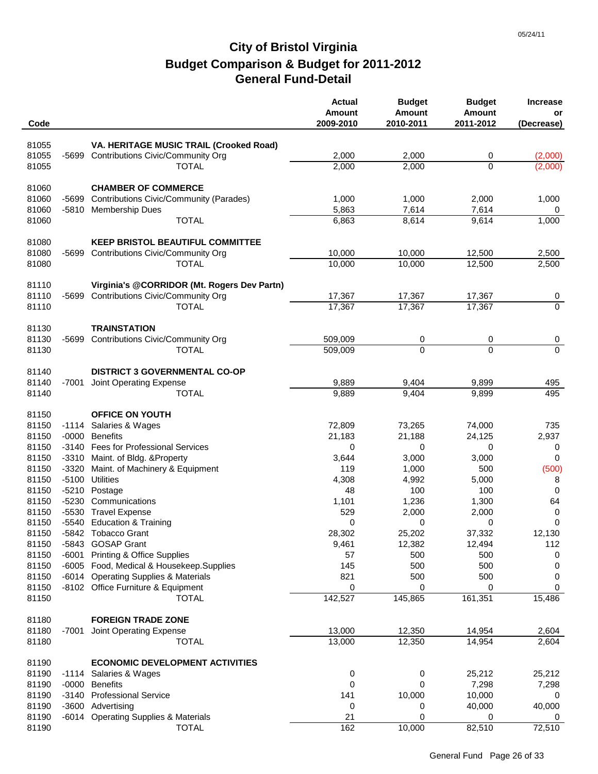| Code           |         |                                                   | <b>Actual</b><br><b>Amount</b><br>2009-2010 | <b>Budget</b><br><b>Amount</b><br>2010-2011 | <b>Budget</b><br><b>Amount</b><br>2011-2012 | <b>Increase</b><br>or<br>(Decrease) |
|----------------|---------|---------------------------------------------------|---------------------------------------------|---------------------------------------------|---------------------------------------------|-------------------------------------|
| 81055          |         | VA. HERITAGE MUSIC TRAIL (Crooked Road)           |                                             |                                             |                                             |                                     |
| 81055          | -5699   | Contributions Civic/Community Org                 | 2,000                                       | 2,000                                       | 0                                           | (2,000)                             |
| 81055          |         | <b>TOTAL</b>                                      | 2,000                                       | 2,000                                       | 0                                           | (2,000)                             |
|                |         |                                                   |                                             |                                             |                                             |                                     |
| 81060          |         | <b>CHAMBER OF COMMERCE</b>                        |                                             |                                             |                                             |                                     |
| 81060          | -5699   | Contributions Civic/Community (Parades)           | 1,000                                       | 1,000                                       | 2,000                                       | 1,000                               |
| 81060          | $-5810$ | <b>Membership Dues</b>                            | 5,863                                       | 7,614                                       | 7,614                                       | 0                                   |
| 81060          |         | <b>TOTAL</b>                                      | 6,863                                       | 8,614                                       | 9,614                                       | 1,000                               |
| 81080          |         | <b>KEEP BRISTOL BEAUTIFUL COMMITTEE</b>           |                                             |                                             |                                             |                                     |
| 81080          | -5699   | Contributions Civic/Community Org                 | 10,000                                      | 10,000                                      | 12,500                                      | 2,500                               |
| 81080          |         | <b>TOTAL</b>                                      | 10,000                                      | 10,000                                      | 12,500                                      | 2,500                               |
|                |         |                                                   |                                             |                                             |                                             |                                     |
| 81110          |         | Virginia's @CORRIDOR (Mt. Rogers Dev Partn)       |                                             |                                             |                                             |                                     |
| 81110          | -5699   | Contributions Civic/Community Org                 | 17,367                                      | 17,367                                      | 17,367                                      | 0                                   |
| 81110          |         | <b>TOTAL</b>                                      | 17,367                                      | 17,367                                      | 17,367                                      | $\mathbf 0$                         |
| 81130          |         | <b>TRAINSTATION</b>                               |                                             |                                             |                                             |                                     |
| 81130          | $-5699$ | Contributions Civic/Community Org                 | 509,009                                     | 0                                           | 0                                           | 0                                   |
| 81130          |         | <b>TOTAL</b>                                      | 509,009                                     | $\overline{0}$                              | $\Omega$                                    | $\overline{0}$                      |
|                |         |                                                   |                                             |                                             |                                             |                                     |
| 81140          |         | <b>DISTRICT 3 GOVERNMENTAL CO-OP</b>              |                                             |                                             |                                             |                                     |
| 81140          | -7001   | Joint Operating Expense                           | 9,889                                       | 9,404                                       | 9,899                                       | 495                                 |
| 81140          |         | <b>TOTAL</b>                                      | 9,889                                       | 9,404                                       | 9,899                                       | 495                                 |
| 81150          |         | <b>OFFICE ON YOUTH</b>                            |                                             |                                             |                                             |                                     |
| 81150          | $-1114$ | Salaries & Wages                                  | 72,809                                      | 73,265                                      | 74,000                                      | 735                                 |
| 81150          |         | -0000 Benefits                                    | 21,183                                      | 21,188                                      | 24,125                                      | 2,937                               |
| 81150          |         | -3140 Fees for Professional Services              | 0                                           | 0                                           | 0                                           | 0                                   |
| 81150          |         | -3310 Maint. of Bldg. & Property                  | 3,644                                       | 3,000                                       | 3,000                                       | 0                                   |
| 81150          | $-3320$ | Maint. of Machinery & Equipment                   | 119                                         | 1,000                                       | 500                                         | (500)                               |
| 81150          | $-5100$ | <b>Utilities</b>                                  | 4,308                                       | 4,992                                       | 5,000                                       | 8                                   |
| 81150          |         | -5210 Postage                                     | 48                                          | 100                                         | 100                                         | 0                                   |
| 81150          | $-5230$ | Communications                                    | 1,101                                       | 1,236                                       | 1,300                                       | 64                                  |
| 81150          |         | -5530 Travel Expense                              | 529                                         | 2,000                                       | 2,000                                       | 0                                   |
| 81150          |         | -5540 Education & Training<br>-5842 Tobacco Grant | 0<br>28,302                                 | 0                                           | 0                                           | $\pmb{0}$                           |
| 81150<br>81150 |         | -5843 GOSAP Grant                                 | 9,461                                       | 25,202<br>12,382                            | 37,332<br>12,494                            | 12,130<br>112                       |
| 81150          |         | -6001 Printing & Office Supplies                  | 57                                          | 500                                         | 500                                         | 0                                   |
| 81150          |         | -6005 Food, Medical & Housekeep.Supplies          | 145                                         | 500                                         | 500                                         | 0                                   |
| 81150          |         | -6014 Operating Supplies & Materials              | 821                                         | 500                                         | 500                                         | 0                                   |
| 81150          |         | -8102 Office Furniture & Equipment                | 0                                           | 0                                           | 0                                           | 0                                   |
| 81150          |         | <b>TOTAL</b>                                      | 142,527                                     | 145,865                                     | 161,351                                     | 15,486                              |
|                |         |                                                   |                                             |                                             |                                             |                                     |
| 81180          |         | <b>FOREIGN TRADE ZONE</b>                         |                                             |                                             |                                             |                                     |
| 81180          | -7001   | Joint Operating Expense                           | 13,000                                      | 12,350                                      | 14,954                                      | 2,604                               |
| 81180          |         | <b>TOTAL</b>                                      | 13,000                                      | 12,350                                      | 14,954                                      | 2,604                               |
| 81190          |         | <b>ECONOMIC DEVELOPMENT ACTIVITIES</b>            |                                             |                                             |                                             |                                     |
| 81190          |         | -1114 Salaries & Wages                            | 0                                           | 0                                           | 25,212                                      | 25,212                              |
| 81190          |         | -0000 Benefits                                    | 0                                           | 0                                           | 7,298                                       | 7,298                               |
| 81190          |         | -3140 Professional Service                        | 141                                         | 10,000                                      | 10,000                                      | 0                                   |
| 81190          |         | -3600 Advertising                                 | 0                                           | 0                                           | 40,000                                      | 40,000                              |
| 81190          |         | -6014 Operating Supplies & Materials              | 21                                          | 0                                           | 0                                           | 0                                   |
| 81190          |         | <b>TOTAL</b>                                      | 162                                         | 10,000                                      | 82,510                                      | 72,510                              |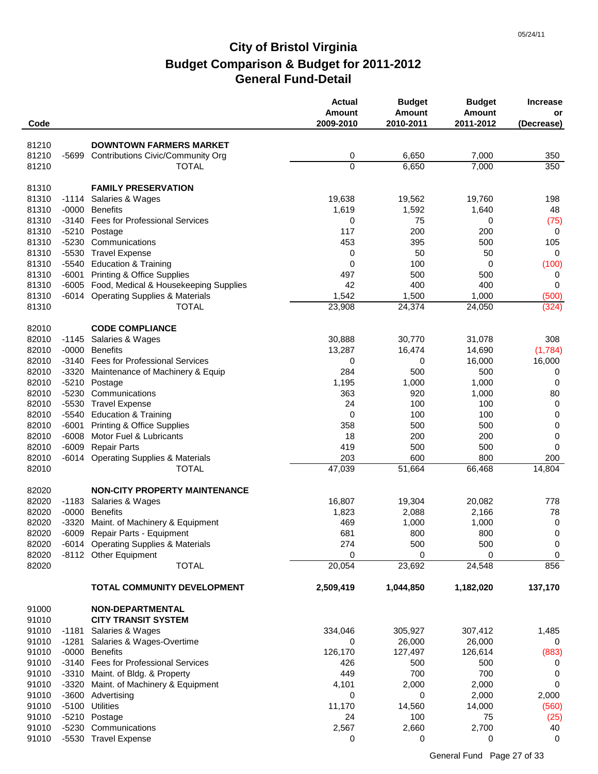| Code  |         |                                           | <b>Actual</b><br><b>Amount</b><br>2009-2010 | <b>Budget</b><br>Amount<br>2010-2011 | <b>Budget</b><br><b>Amount</b><br>2011-2012 | <b>Increase</b><br>or<br>(Decrease) |
|-------|---------|-------------------------------------------|---------------------------------------------|--------------------------------------|---------------------------------------------|-------------------------------------|
|       |         |                                           |                                             |                                      |                                             |                                     |
| 81210 |         | <b>DOWNTOWN FARMERS MARKET</b>            |                                             |                                      |                                             |                                     |
| 81210 | -5699   | Contributions Civic/Community Org         | 0                                           | 6,650                                | 7,000                                       | 350                                 |
| 81210 |         | <b>TOTAL</b>                              | 0                                           | 6,650                                | 7,000                                       | 350                                 |
| 81310 |         | <b>FAMILY PRESERVATION</b>                |                                             |                                      |                                             |                                     |
| 81310 | -1114   | Salaries & Wages                          | 19,638                                      | 19,562                               | 19,760                                      | 198                                 |
| 81310 | $-0000$ | <b>Benefits</b>                           | 1,619                                       | 1,592                                | 1,640                                       | 48                                  |
| 81310 |         | -3140 Fees for Professional Services      | 0                                           | 75                                   | 0                                           | (75)                                |
| 81310 |         | -5210 Postage                             | 117                                         | 200                                  | 200                                         | $\mathbf 0$                         |
| 81310 | $-5230$ | Communications                            | 453                                         | 395                                  | 500                                         | 105                                 |
| 81310 | $-5530$ | <b>Travel Expense</b>                     | 0                                           | 50                                   | 50                                          | $\mathbf 0$                         |
| 81310 |         | -5540 Education & Training                | 0                                           | 100                                  | 0                                           | (100)                               |
| 81310 | -6001   | <b>Printing &amp; Office Supplies</b>     | 497                                         | 500                                  | 500                                         | 0                                   |
| 81310 | $-6005$ | Food, Medical & Housekeeping Supplies     | 42                                          | 400                                  | 400                                         | 0                                   |
| 81310 | -6014   | <b>Operating Supplies &amp; Materials</b> | 1,542                                       | 1,500                                | 1,000                                       | (500)                               |
| 81310 |         | <b>TOTAL</b>                              | 23,908                                      | 24,374                               | 24,050                                      | (324)                               |
| 82010 |         | <b>CODE COMPLIANCE</b>                    |                                             |                                      |                                             |                                     |
| 82010 | -1145   | Salaries & Wages                          | 30,888                                      | 30,770                               | 31,078                                      | 308                                 |
| 82010 | $-0000$ | <b>Benefits</b>                           | 13,287                                      | 16,474                               | 14,690                                      | (1,784)                             |
| 82010 |         | -3140 Fees for Professional Services      | 0                                           | 0                                    | 16,000                                      | 16,000                              |
| 82010 |         | -3320 Maintenance of Machinery & Equip    | 284                                         | 500                                  | 500                                         | 0                                   |
| 82010 |         | -5210 Postage                             | 1,195                                       | 1,000                                | 1,000                                       | 0                                   |
| 82010 | -5230   | Communications                            | 363                                         | 920                                  | 1,000                                       | 80                                  |
| 82010 |         | -5530 Travel Expense                      | 24                                          | 100                                  | 100                                         | $\mathbf 0$                         |
| 82010 |         | -5540 Education & Training                | 0                                           | 100                                  | 100                                         | 0                                   |
| 82010 | $-6001$ | Printing & Office Supplies                | 358                                         | 500                                  | 500                                         | 0                                   |
| 82010 | $-6008$ | Motor Fuel & Lubricants                   | 18                                          | 200                                  | 200                                         | 0                                   |
| 82010 | $-6009$ | <b>Repair Parts</b>                       | 419                                         | 500                                  | 500                                         | 0                                   |
| 82010 | -6014   | <b>Operating Supplies &amp; Materials</b> | 203                                         | 600                                  | 800                                         | 200                                 |
| 82010 |         | <b>TOTAL</b>                              | 47,039                                      | 51,664                               | 66,468                                      | 14,804                              |
| 82020 |         | <b>NON-CITY PROPERTY MAINTENANCE</b>      |                                             |                                      |                                             |                                     |
| 82020 | $-1183$ | Salaries & Wages                          | 16,807                                      | 19,304                               | 20,082                                      | 778                                 |
| 82020 | $-0000$ | <b>Benefits</b>                           | 1,823                                       | 2,088                                | 2,166                                       | 78                                  |
| 82020 | $-3320$ | Maint. of Machinery & Equipment           | 469                                         | 1,000                                | 1,000                                       | 0                                   |
| 82020 | -6009   | Repair Parts - Equipment                  | 681                                         | 800                                  | 800                                         | 0                                   |
| 82020 |         | -6014 Operating Supplies & Materials      | 274                                         | 500                                  | 500                                         | $\mathbf 0$                         |
| 82020 |         | -8112 Other Equipment                     | 0                                           | 0                                    | 0                                           | 0                                   |
| 82020 |         | <b>TOTAL</b>                              | 20,054                                      | 23,692                               | 24,548                                      | 856                                 |
|       |         | TOTAL COMMUNITY DEVELOPMENT               | 2,509,419                                   | 1,044,850                            | 1,182,020                                   | 137,170                             |
| 91000 |         | <b>NON-DEPARTMENTAL</b>                   |                                             |                                      |                                             |                                     |
| 91010 |         | <b>CITY TRANSIT SYSTEM</b>                |                                             |                                      |                                             |                                     |
| 91010 | -1181   | Salaries & Wages                          | 334,046                                     | 305,927                              | 307,412                                     | 1,485                               |
| 91010 | -1281   | Salaries & Wages-Overtime                 | 0                                           | 26,000                               | 26,000                                      | 0                                   |
| 91010 |         | -0000 Benefits                            | 126,170                                     | 127,497                              | 126,614                                     | (883)                               |
| 91010 |         | -3140 Fees for Professional Services      | 426                                         | 500                                  | 500                                         | 0                                   |
| 91010 |         | -3310 Maint. of Bldg. & Property          | 449                                         | 700                                  | 700                                         | 0                                   |
| 91010 |         | -3320 Maint. of Machinery & Equipment     | 4,101                                       | 2,000                                | 2,000                                       | 0                                   |
| 91010 |         | -3600 Advertising                         | 0                                           | 0                                    | 2,000                                       | 2,000                               |
| 91010 |         | -5100 Utilities                           | 11,170                                      | 14,560                               | 14,000                                      | (560)                               |
| 91010 |         | -5210 Postage                             | 24                                          | 100                                  | 75                                          | (25)                                |
| 91010 |         | -5230 Communications                      | 2,567                                       | 2,660                                | 2,700                                       | 40                                  |
| 91010 |         | -5530 Travel Expense                      | 0                                           | 0                                    | 0                                           | 0                                   |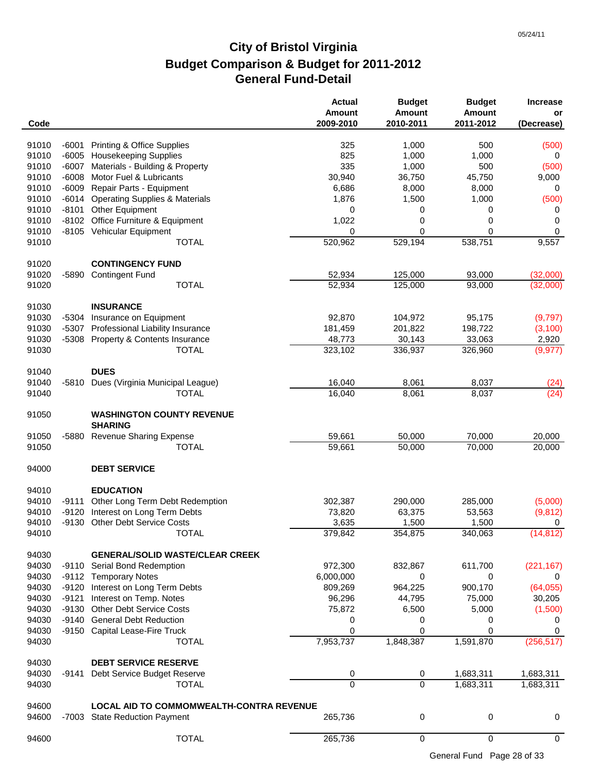| Code  |         |                                                    | <b>Actual</b><br><b>Amount</b><br>2009-2010 | <b>Budget</b><br><b>Amount</b><br>2010-2011 | <b>Budget</b><br><b>Amount</b><br>2011-2012 | <b>Increase</b><br>or<br>(Decrease) |
|-------|---------|----------------------------------------------------|---------------------------------------------|---------------------------------------------|---------------------------------------------|-------------------------------------|
| 91010 | -6001   | <b>Printing &amp; Office Supplies</b>              | 325                                         | 1,000                                       | 500                                         |                                     |
| 91010 |         | -6005 Housekeeping Supplies                        | 825                                         | 1,000                                       | 1,000                                       | (500)<br>0                          |
| 91010 |         | -6007 Materials - Building & Property              | 335                                         | 1,000                                       | 500                                         | (500)                               |
| 91010 | $-6008$ | Motor Fuel & Lubricants                            | 30,940                                      | 36,750                                      | 45,750                                      | 9,000                               |
| 91010 | $-6009$ | Repair Parts - Equipment                           | 6,686                                       | 8,000                                       | 8,000                                       | 0                                   |
| 91010 | $-6014$ | <b>Operating Supplies &amp; Materials</b>          | 1,876                                       | 1,500                                       | 1,000                                       | (500)                               |
| 91010 | $-8101$ | Other Equipment                                    | 0                                           | 0                                           | 0                                           | 0                                   |
| 91010 | $-8102$ | Office Furniture & Equipment                       | 1,022                                       | 0                                           | 0                                           | 0                                   |
| 91010 |         | -8105 Vehicular Equipment                          | 0                                           | 0                                           | $\mathbf 0$                                 | 0                                   |
| 91010 |         | <b>TOTAL</b>                                       | 520,962                                     | 529,194                                     | 538,751                                     | 9,557                               |
| 91020 |         | <b>CONTINGENCY FUND</b>                            |                                             |                                             |                                             |                                     |
| 91020 | -5890   | <b>Contingent Fund</b>                             | 52,934                                      | 125,000                                     | 93,000                                      | (32,000)                            |
| 91020 |         | <b>TOTAL</b>                                       | 52,934                                      | 125,000                                     | 93,000                                      | (32,000)                            |
| 91030 |         | <b>INSURANCE</b>                                   |                                             |                                             |                                             |                                     |
| 91030 | -5304   | Insurance on Equipment                             | 92,870                                      | 104,972                                     | 95,175                                      | (9,797)                             |
| 91030 | -5307   | Professional Liability Insurance                   | 181,459                                     | 201,822                                     | 198,722                                     | (3, 100)                            |
| 91030 |         | -5308 Property & Contents Insurance                | 48,773                                      | 30,143                                      | 33,063                                      | 2,920                               |
| 91030 |         | <b>TOTAL</b>                                       | 323,102                                     | 336,937                                     | 326,960                                     | (9, 977)                            |
| 91040 |         | <b>DUES</b>                                        |                                             |                                             |                                             |                                     |
| 91040 | $-5810$ | Dues (Virginia Municipal League)                   | 16,040                                      | 8,061                                       | 8,037                                       | (24)                                |
| 91040 |         | <b>TOTAL</b>                                       | 16,040                                      | 8,061                                       | 8,037                                       | (24)                                |
| 91050 |         | <b>WASHINGTON COUNTY REVENUE</b><br><b>SHARING</b> |                                             |                                             |                                             |                                     |
| 91050 | -5880   | <b>Revenue Sharing Expense</b>                     | 59,661                                      | 50,000                                      | 70,000                                      | 20,000                              |
| 91050 |         | <b>TOTAL</b>                                       | 59,661                                      | 50,000                                      | 70,000                                      | 20,000                              |
| 94000 |         | <b>DEBT SERVICE</b>                                |                                             |                                             |                                             |                                     |
| 94010 |         | <b>EDUCATION</b>                                   |                                             |                                             |                                             |                                     |
| 94010 | $-9111$ | Other Long Term Debt Redemption                    | 302,387                                     | 290,000                                     | 285,000                                     | (5,000)                             |
| 94010 | $-9120$ | Interest on Long Term Debts                        | 73,820                                      | 63,375                                      | 53,563                                      | (9, 812)                            |
| 94010 |         | -9130 Other Debt Service Costs                     | 3,635                                       | 1,500                                       | 1,500                                       | 0                                   |
| 94010 |         | <b>TOTAL</b>                                       | 379,842                                     | 354,875                                     | 340,063                                     | (14, 812)                           |
| 94030 |         | <b>GENERAL/SOLID WASTE/CLEAR CREEK</b>             |                                             |                                             |                                             |                                     |
| 94030 | -9110   | Serial Bond Redemption                             | 972,300                                     | 832,867                                     | 611,700                                     | (221, 167)                          |
| 94030 |         | -9112 Temporary Notes                              | 6,000,000                                   | 0                                           | 0                                           | 0                                   |
| 94030 | $-9120$ | Interest on Long Term Debts                        | 809,269                                     | 964,225                                     | 900,170                                     | (64, 055)                           |
| 94030 | $-9121$ | Interest on Temp. Notes                            | 96,296                                      | 44,795                                      | 75,000                                      | 30,205                              |
| 94030 | -9130   | <b>Other Debt Service Costs</b>                    | 75,872                                      | 6,500                                       | 5,000                                       | (1,500)                             |
| 94030 | -9140   | <b>General Debt Reduction</b>                      | 0                                           | 0                                           | 0                                           | 0                                   |
| 94030 |         | -9150 Capital Lease-Fire Truck                     | 0                                           | 0                                           | 0                                           | 0                                   |
| 94030 |         | <b>TOTAL</b>                                       | 7,953,737                                   | 1,848,387                                   | 1,591,870                                   | (256, 517)                          |
| 94030 |         | <b>DEBT SERVICE RESERVE</b>                        |                                             |                                             |                                             |                                     |
| 94030 | -9141   | Debt Service Budget Reserve                        | 0                                           | 0                                           | 1,683,311                                   | 1,683,311                           |
| 94030 |         | <b>TOTAL</b>                                       | $\Omega$                                    | $\Omega$                                    | 1,683,311                                   | 1,683,311                           |
| 94600 |         | LOCAL AID TO COMMOMWEALTH-CONTRA REVENUE           |                                             |                                             |                                             |                                     |
| 94600 |         | -7003 State Reduction Payment                      | 265,736                                     | 0                                           | 0                                           | 0                                   |
| 94600 |         | <b>TOTAL</b>                                       | 265,736                                     | 0                                           | $\mathbf 0$                                 | 0                                   |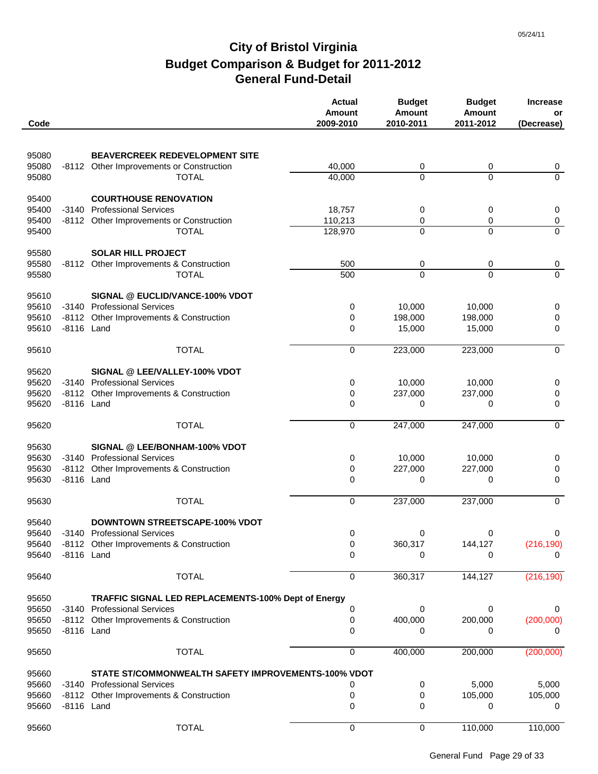| Code           |            |                                                     | <b>Actual</b><br><b>Amount</b><br>2009-2010 | <b>Budget</b><br>Amount<br>2010-2011 | <b>Budget</b><br><b>Amount</b><br>2011-2012 | <b>Increase</b><br>or<br>(Decrease) |
|----------------|------------|-----------------------------------------------------|---------------------------------------------|--------------------------------------|---------------------------------------------|-------------------------------------|
| 95080          |            | BEAVERCREEK REDEVELOPMENT SITE                      |                                             |                                      |                                             |                                     |
| 95080          |            | -8112 Other Improvements or Construction            | 40,000                                      | 0                                    | 0                                           | 0                                   |
| 95080          |            | <b>TOTAL</b>                                        | 40,000                                      | $\mathbf{0}$                         | $\Omega$                                    | $\mathbf 0$                         |
|                |            |                                                     |                                             |                                      |                                             |                                     |
| 95400          |            | <b>COURTHOUSE RENOVATION</b>                        |                                             |                                      |                                             |                                     |
| 95400          | $-3140$    | <b>Professional Services</b>                        | 18,757                                      | 0                                    | 0                                           | 0                                   |
| 95400          |            | -8112 Other Improvements or Construction            | 110,213                                     | 0                                    | 0                                           | $\pmb{0}$                           |
| 95400          |            | <b>TOTAL</b>                                        | 128,970                                     | $\Omega$                             | $\Omega$                                    | $\overline{0}$                      |
|                |            | <b>SOLAR HILL PROJECT</b>                           |                                             |                                      |                                             |                                     |
| 95580<br>95580 | -8112      | Other Improvements & Construction                   | 500                                         | 0                                    | 0                                           | $\overline{0}$                      |
| 95580          |            | <b>TOTAL</b>                                        | 500                                         | $\overline{0}$                       | $\mathbf 0$                                 | $\overline{0}$                      |
|                |            |                                                     |                                             |                                      |                                             |                                     |
| 95610          |            | SIGNAL @ EUCLID/VANCE-100% VDOT                     |                                             |                                      |                                             |                                     |
| 95610          |            | -3140 Professional Services                         | 0                                           | 10,000                               | 10,000                                      | 0                                   |
| 95610          |            | -8112 Other Improvements & Construction             | 0                                           | 198,000                              | 198,000                                     | $\pmb{0}$                           |
| 95610          | -8116 Land |                                                     | $\mathbf 0$                                 | 15,000                               | 15,000                                      | 0                                   |
| 95610          |            | <b>TOTAL</b>                                        | 0                                           | 223,000                              | 223,000                                     | $\mathbf 0$                         |
|                |            |                                                     |                                             |                                      |                                             |                                     |
| 95620          |            | SIGNAL @ LEE/VALLEY-100% VDOT                       |                                             |                                      |                                             |                                     |
| 95620          |            | -3140 Professional Services                         | 0                                           | 10,000                               | 10,000                                      | 0                                   |
| 95620          | -8116 Land | -8112 Other Improvements & Construction             | 0                                           | 237,000                              | 237,000                                     | 0                                   |
| 95620          |            |                                                     | 0                                           | 0                                    | 0                                           | 0                                   |
| 95620          |            | <b>TOTAL</b>                                        | 0                                           | 247,000                              | 247,000                                     | $\mathbf 0$                         |
| 95630          |            | SIGNAL @ LEE/BONHAM-100% VDOT                       |                                             |                                      |                                             |                                     |
| 95630          |            | -3140 Professional Services                         | 0                                           | 10,000                               | 10,000                                      | 0                                   |
| 95630          |            | -8112 Other Improvements & Construction             | 0                                           | 227,000                              | 227,000                                     | $\pmb{0}$                           |
| 95630          | -8116 Land |                                                     | $\mathbf 0$                                 | 0                                    | 0                                           | 0                                   |
|                |            |                                                     |                                             |                                      |                                             |                                     |
| 95630          |            | <b>TOTAL</b>                                        | 0                                           | 237,000                              | 237,000                                     | $\overline{0}$                      |
| 95640          |            | <b>DOWNTOWN STREETSCAPE-100% VDOT</b>               |                                             |                                      |                                             |                                     |
| 95640          |            | -3140 Professional Services                         | 0                                           | $\Omega$                             | 0                                           | 0                                   |
| 95640          |            | -8112 Other Improvements & Construction             | 0                                           | 360,317                              | 144,127                                     | (216, 190)                          |
| 95640          | -8116 Land |                                                     | 0                                           | 0                                    | 0                                           | 0                                   |
| 95640          |            | <b>TOTAL</b>                                        | 0                                           | 360,317                              | 144,127                                     | (216, 190)                          |
| 95650          |            | TRAFFIC SIGNAL LED REPLACEMENTS-100% Dept of Energy |                                             |                                      |                                             |                                     |
| 95650          |            | -3140 Professional Services                         | 0                                           | 0                                    | 0                                           | 0                                   |
| 95650          |            | -8112 Other Improvements & Construction             | 0                                           | 400,000                              | 200,000                                     | (200,000)                           |
| 95650          | -8116 Land |                                                     | 0                                           | 0                                    | 0                                           | 0                                   |
|                |            |                                                     |                                             |                                      |                                             |                                     |
| 95650          |            | <b>TOTAL</b>                                        | 0                                           | 400,000                              | 200,000                                     | (200,000)                           |
| 95660          |            | STATE ST/COMMONWEALTH SAFETY IMPROVEMENTS-100% VDOT |                                             |                                      |                                             |                                     |
| 95660          |            | -3140 Professional Services                         | 0                                           | 0                                    | 5,000                                       | 5,000                               |
| 95660          |            | -8112 Other Improvements & Construction             | 0                                           | 0                                    | 105,000                                     | 105,000                             |
| 95660          | -8116 Land |                                                     | 0                                           | 0                                    | 0                                           | 0                                   |
|                |            |                                                     |                                             |                                      |                                             |                                     |
| 95660          |            | <b>TOTAL</b>                                        | 0                                           | 0                                    | 110,000                                     | 110,000                             |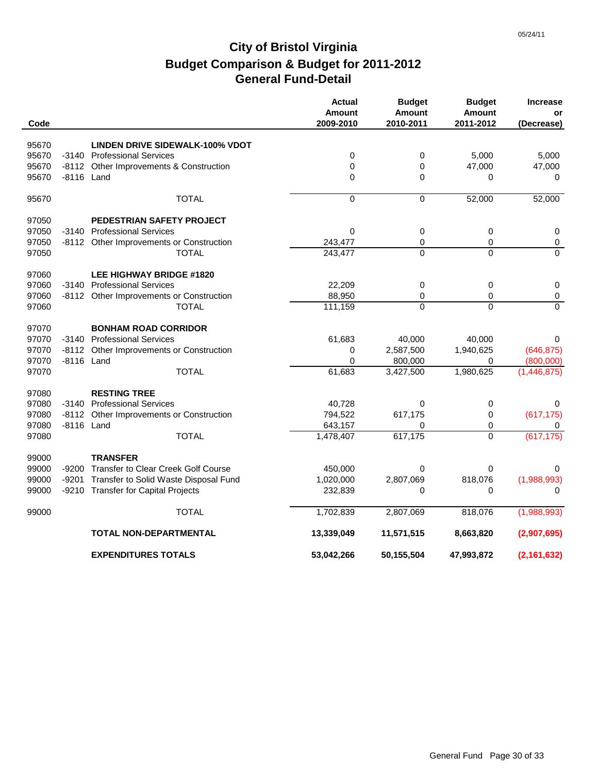|       |            |                                          | <b>Actual</b><br><b>Amount</b> | <b>Budget</b><br>Amount | <b>Budget</b><br><b>Amount</b> | <b>Increase</b><br>or |
|-------|------------|------------------------------------------|--------------------------------|-------------------------|--------------------------------|-----------------------|
| Code  |            |                                          | 2009-2010                      | 2010-2011               | 2011-2012                      | (Decrease)            |
| 95670 |            | <b>LINDEN DRIVE SIDEWALK-100% VDOT</b>   |                                |                         |                                |                       |
| 95670 |            | -3140 Professional Services              | 0                              | 0                       | 5,000                          | 5,000                 |
| 95670 |            | -8112 Other Improvements & Construction  | 0                              | 0                       | 47,000                         | 47,000                |
| 95670 | -8116 Land |                                          | $\mathbf 0$                    | 0                       | 0                              | 0                     |
| 95670 |            | <b>TOTAL</b>                             | $\overline{0}$                 | 0                       | 52,000                         | 52,000                |
| 97050 |            | PEDESTRIAN SAFETY PROJECT                |                                |                         |                                |                       |
| 97050 |            | -3140 Professional Services              | $\mathbf 0$                    | 0                       | 0                              | 0                     |
| 97050 |            | -8112 Other Improvements or Construction | 243,477                        | 0                       | 0                              | $\pmb{0}$             |
| 97050 |            | <b>TOTAL</b>                             | 243,477                        | $\Omega$                | $\Omega$                       | $\Omega$              |
| 97060 |            | <b>LEE HIGHWAY BRIDGE #1820</b>          |                                |                         |                                |                       |
| 97060 |            | -3140 Professional Services              | 22,209                         | 0                       | 0                              | 0                     |
| 97060 |            | -8112 Other Improvements or Construction | 88,950                         | 0                       | 0                              | $\pmb{0}$             |
| 97060 |            | <b>TOTAL</b>                             | 111,159                        | $\overline{0}$          | $\Omega$                       | $\Omega$              |
| 97070 |            | <b>BONHAM ROAD CORRIDOR</b>              |                                |                         |                                |                       |
| 97070 |            | -3140 Professional Services              | 61,683                         | 40,000                  | 40,000                         | 0                     |
| 97070 |            | -8112 Other Improvements or Construction | 0                              | 2,587,500               | 1,940,625                      | (646, 875)            |
| 97070 | -8116 Land |                                          | $\mathbf 0$                    | 800,000                 | 0                              | (800,000)             |
| 97070 |            | <b>TOTAL</b>                             | 61,683                         | 3,427,500               | 1,980,625                      | (1,446,875)           |
| 97080 |            | <b>RESTING TREE</b>                      |                                |                         |                                |                       |
| 97080 | -3140      | <b>Professional Services</b>             | 40,728                         | 0                       | 0                              | 0                     |
| 97080 | -8112      | Other Improvements or Construction       | 794,522                        | 617,175                 | 0                              | (617, 175)            |
| 97080 | -8116 Land |                                          | 643,157                        | 0                       | 0                              | 0                     |
| 97080 |            | <b>TOTAL</b>                             | 1,478,407                      | 617,175                 | $\Omega$                       | (617, 175)            |
| 99000 |            | <b>TRANSFER</b>                          |                                |                         |                                |                       |
| 99000 | -9200      | Transfer to Clear Creek Golf Course      | 450,000                        | $\Omega$                | 0                              | 0                     |
| 99000 | -9201      | Transfer to Solid Waste Disposal Fund    | 1,020,000                      | 2,807,069               | 818,076                        | (1,988,993)           |
| 99000 |            | -9210 Transfer for Capital Projects      | 232,839                        | 0                       | 0                              | 0                     |
| 99000 |            | <b>TOTAL</b>                             | 1,702,839                      | 2,807,069               | 818,076                        | (1,988,993)           |
|       |            | TOTAL NON-DEPARTMENTAL                   | 13,339,049                     | 11,571,515              | 8,663,820                      | (2,907,695)           |
|       |            | <b>EXPENDITURES TOTALS</b>               | 53,042,266                     | 50,155,504              | 47,993,872                     | (2, 161, 632)         |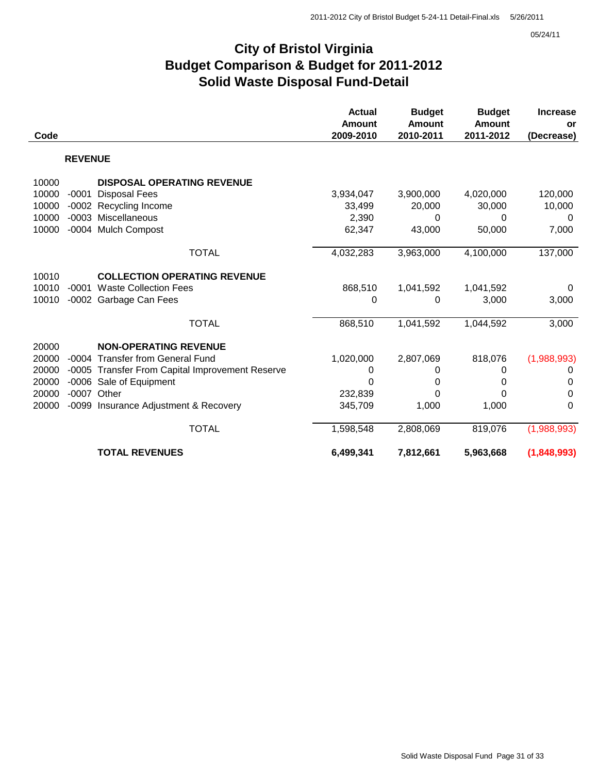05/24/11

### **City of Bristol Virginia Budget Comparison & Budget for 2011-2012 Solid Waste Disposal Fund-Detail**

|       |                |                                                 | <b>Actual</b> | <b>Budget</b> | <b>Budget</b> | <b>Increase</b> |
|-------|----------------|-------------------------------------------------|---------------|---------------|---------------|-----------------|
|       |                |                                                 | <b>Amount</b> | <b>Amount</b> | Amount        | <b>or</b>       |
| Code  |                |                                                 | 2009-2010     | 2010-2011     | 2011-2012     | (Decrease)      |
|       | <b>REVENUE</b> |                                                 |               |               |               |                 |
| 10000 |                | <b>DISPOSAL OPERATING REVENUE</b>               |               |               |               |                 |
| 10000 | -0001          | <b>Disposal Fees</b>                            | 3,934,047     | 3,900,000     | 4,020,000     | 120,000         |
| 10000 |                | -0002 Recycling Income                          | 33,499        | 20,000        | 30,000        | 10,000          |
| 10000 |                | -0003 Miscellaneous                             | 2,390         | 0             | 0             | 0               |
| 10000 |                | -0004 Mulch Compost                             | 62,347        | 43,000        | 50,000        | 7,000           |
|       |                | <b>TOTAL</b>                                    | 4,032,283     | 3,963,000     | 4,100,000     | 137,000         |
| 10010 |                | <b>COLLECTION OPERATING REVENUE</b>             |               |               |               |                 |
| 10010 |                | -0001 Waste Collection Fees                     | 868,510       | 1,041,592     | 1,041,592     | 0               |
| 10010 |                | -0002 Garbage Can Fees                          | $\Omega$      | 0             | 3,000         | 3,000           |
|       |                | <b>TOTAL</b>                                    | 868,510       | 1,041,592     | 1,044,592     | 3,000           |
| 20000 |                | <b>NON-OPERATING REVENUE</b>                    |               |               |               |                 |
| 20000 |                | -0004 Transfer from General Fund                | 1,020,000     | 2,807,069     | 818,076       | (1,988,993)     |
| 20000 |                | -0005 Transfer From Capital Improvement Reserve | 0             | 0             | 0             | 0               |
| 20000 |                | -0006 Sale of Equipment                         | $\Omega$      | 0             | 0             | 0               |
| 20000 |                | -0007 Other                                     | 232,839       | $\Omega$      | 0             | 0               |
| 20000 |                | -0099 Insurance Adjustment & Recovery           | 345,709       | 1,000         | 1,000         | $\Omega$        |
|       |                | <b>TOTAL</b>                                    | 1,598,548     | 2,808,069     | 819,076       | (1,988,993)     |
|       |                | <b>TOTAL REVENUES</b>                           | 6,499,341     | 7,812,661     | 5,963,668     | (1,848,993)     |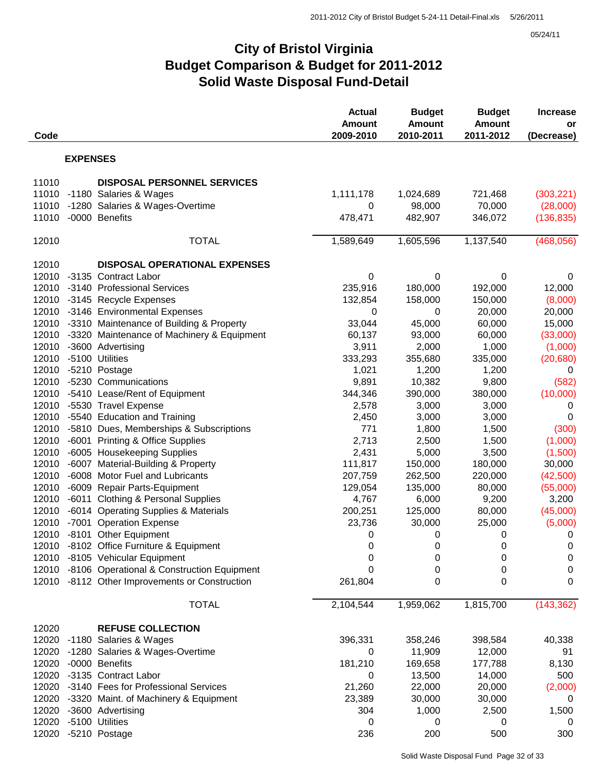05/24/11

### **City of Bristol Virginia Budget Comparison & Budget for 2011-2012 Solid Waste Disposal Fund-Detail**

| Code           |                 |                                                                 | <b>Actual</b><br><b>Amount</b><br>2009-2010 | <b>Budget</b><br><b>Amount</b><br>2010-2011 | <b>Budget</b><br><b>Amount</b><br>2011-2012 | <b>Increase</b><br>or<br>(Decrease) |
|----------------|-----------------|-----------------------------------------------------------------|---------------------------------------------|---------------------------------------------|---------------------------------------------|-------------------------------------|
|                | <b>EXPENSES</b> |                                                                 |                                             |                                             |                                             |                                     |
| 11010          |                 | <b>DISPOSAL PERSONNEL SERVICES</b>                              |                                             |                                             |                                             |                                     |
| 11010          |                 | -1180 Salaries & Wages                                          | 1,111,178                                   | 1,024,689                                   | 721,468                                     | (303, 221)                          |
| 11010          |                 | -1280 Salaries & Wages-Overtime                                 | 0                                           | 98,000                                      | 70,000                                      | (28,000)                            |
| 11010          |                 | -0000 Benefits                                                  | 478,471                                     | 482,907                                     | 346,072                                     | (136, 835)                          |
| 12010          |                 | <b>TOTAL</b>                                                    | 1,589,649                                   | 1,605,596                                   | 1,137,540                                   | (468, 056)                          |
| 12010          |                 | <b>DISPOSAL OPERATIONAL EXPENSES</b>                            |                                             |                                             |                                             |                                     |
| 12010          |                 | -3135 Contract Labor                                            | 0                                           | 0                                           | $\mathbf 0$                                 | 0                                   |
| 12010          |                 | -3140 Professional Services                                     | 235,916                                     | 180,000                                     | 192,000                                     | 12,000                              |
| 12010          |                 | -3145 Recycle Expenses                                          | 132,854                                     | 158,000                                     | 150,000                                     | (8,000)                             |
| 12010          |                 | -3146 Environmental Expenses                                    | 0                                           | 0                                           | 20,000                                      | 20,000                              |
| 12010          |                 | -3310 Maintenance of Building & Property                        | 33,044                                      | 45,000                                      | 60,000                                      | 15,000                              |
| 12010          |                 | -3320 Maintenance of Machinery & Equipment                      | 60,137                                      | 93,000                                      | 60,000                                      | (33,000)                            |
| 12010          |                 | -3600 Advertising                                               | 3,911                                       | 2,000                                       | 1,000                                       | (1,000)                             |
| 12010          |                 | -5100 Utilities                                                 | 333,293                                     | 355,680                                     | 335,000                                     | (20, 680)                           |
| 12010          |                 | -5210 Postage                                                   | 1,021                                       | 1,200                                       | 1,200                                       | 0                                   |
| 12010          |                 | -5230 Communications                                            | 9,891                                       | 10,382                                      | 9,800                                       | (582)                               |
| 12010          |                 | -5410 Lease/Rent of Equipment                                   | 344,346                                     | 390,000                                     | 380,000                                     | (10,000)                            |
| 12010          |                 | -5530 Travel Expense                                            | 2,578                                       | 3,000                                       | 3,000                                       | 0                                   |
| 12010          |                 | -5540 Education and Training                                    | 2,450                                       | 3,000                                       | 3,000                                       | 0                                   |
| 12010          |                 | -5810 Dues, Memberships & Subscriptions                         | 771                                         | 1,800                                       | 1,500                                       | (300)                               |
| 12010          |                 | -6001 Printing & Office Supplies                                | 2,713                                       | 2,500                                       | 1,500                                       | (1,000)                             |
| 12010          |                 | -6005 Housekeeping Supplies                                     | 2,431                                       | 5,000                                       | 3,500                                       | (1,500)                             |
| 12010          |                 | -6007 Material-Building & Property                              | 111,817                                     | 150,000                                     | 180,000                                     | 30,000                              |
| 12010<br>12010 |                 | -6008 Motor Fuel and Lubricants<br>-6009 Repair Parts-Equipment | 207,759<br>129,054                          | 262,500                                     | 220,000<br>80,000                           | (42,500)<br>(55,000)                |
| 12010          |                 | -6011 Clothing & Personal Supplies                              | 4,767                                       | 135,000<br>6,000                            | 9,200                                       | 3,200                               |
| 12010          |                 | -6014 Operating Supplies & Materials                            | 200,251                                     | 125,000                                     | 80,000                                      | (45,000)                            |
| 12010          |                 | -7001 Operation Expense                                         | 23,736                                      | 30,000                                      | 25,000                                      | (5,000)                             |
| 12010          |                 | -8101 Other Equipment                                           | 0                                           | 0                                           | 0                                           | 0                                   |
|                |                 | 12010 -8102 Office Furniture & Equipment                        | $\mathbf 0$                                 | 0                                           | $\pmb{0}$                                   | $\mathbf 0$                         |
|                |                 | 12010 -8105 Vehicular Equipment                                 | 0                                           | 0                                           | 0                                           | 0                                   |
|                |                 | 12010 -8106 Operational & Construction Equipment                | 0                                           | 0                                           | 0                                           | $\pmb{0}$                           |
| 12010          |                 | -8112 Other Improvements or Construction                        | 261,804                                     | 0                                           | 0                                           | 0                                   |
|                |                 | <b>TOTAL</b>                                                    | 2,104,544                                   | 1,959,062                                   | 1,815,700                                   | (143, 362)                          |
| 12020          |                 | <b>REFUSE COLLECTION</b>                                        |                                             |                                             |                                             |                                     |
|                |                 | 12020 -1180 Salaries & Wages                                    | 396,331                                     | 358,246                                     | 398,584                                     | 40,338                              |
| 12020          |                 | -1280 Salaries & Wages-Overtime                                 | 0                                           | 11,909                                      | 12,000                                      | 91                                  |
| 12020          |                 | -0000 Benefits                                                  | 181,210                                     | 169,658                                     | 177,788                                     | 8,130                               |
| 12020          |                 | -3135 Contract Labor                                            | 0                                           | 13,500                                      | 14,000                                      | 500                                 |
| 12020          |                 | -3140 Fees for Professional Services                            | 21,260                                      | 22,000                                      | 20,000                                      | (2,000)                             |
| 12020          |                 | -3320 Maint. of Machinery & Equipment                           | 23,389                                      | 30,000                                      | 30,000                                      | 0                                   |
| 12020          |                 | -3600 Advertising                                               | 304                                         | 1,000                                       | 2,500                                       | 1,500                               |
| 12020          |                 | -5100 Utilities                                                 | 0                                           | 0                                           | 0                                           | 0                                   |
| 12020          |                 | -5210 Postage                                                   | 236                                         | 200                                         | 500                                         | 300                                 |